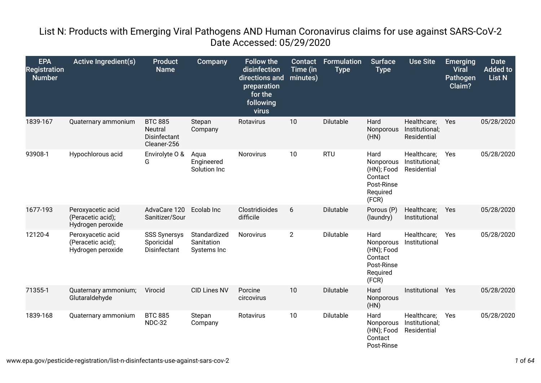## List N: Products with Emerging Viral Pathogens AND Human Coronavirus claims for use against SARS-CoV-2 Date Accessed: 05/29/2020

| <b>EPA</b><br><b>Registration</b><br><b>Number</b> | <b>Active Ingredient(s)</b>                                 | <b>Product</b><br><b>Name</b>                            | Company                                   | <b>Follow the</b><br>disinfection<br>directions and<br>preparation<br>for the<br>following<br>virus | <b>Contact</b><br>Time (in<br>minutes) | <b>Formulation</b><br><b>Type</b> | <b>Surface</b><br><b>Type</b>                                                 | <b>Use Site</b>                              | <b>Emerging</b><br><b>Viral</b><br><b>Pathogen</b><br>Claim? | <b>Date</b><br><b>Added to</b><br><b>List N</b> |
|----------------------------------------------------|-------------------------------------------------------------|----------------------------------------------------------|-------------------------------------------|-----------------------------------------------------------------------------------------------------|----------------------------------------|-----------------------------------|-------------------------------------------------------------------------------|----------------------------------------------|--------------------------------------------------------------|-------------------------------------------------|
| 1839-167                                           | Quaternary ammonium                                         | <b>BTC 885</b><br>Neutral<br>Disinfectant<br>Cleaner-256 | Stepan<br>Company                         | Rotavirus                                                                                           | 10                                     | Dilutable                         | Hard<br>Nonporous<br>(HN)                                                     | Healthcare;<br>Institutional;<br>Residential | Yes                                                          | 05/28/2020                                      |
| 93908-1                                            | Hypochlorous acid                                           | Envirolyte O &<br>G                                      | Aqua<br>Engineered<br>Solution Inc        | Norovirus                                                                                           | 10                                     | <b>RTU</b>                        | Hard<br>Nonporous<br>(HN); Food<br>Contact<br>Post-Rinse<br>Required<br>(FCR) | Healthcare;<br>Institutional;<br>Residential | Yes                                                          | 05/28/2020                                      |
| 1677-193                                           | Peroxyacetic acid<br>(Peracetic acid);<br>Hydrogen peroxide | AdvaCare 120<br>Sanitizer/Sour                           | Ecolab Inc                                | Clostridioides<br>difficile                                                                         | 6                                      | Dilutable                         | Porous (P)<br>(laundry)                                                       | Healthcare;<br>Institutional                 | Yes                                                          | 05/28/2020                                      |
| 12120-4                                            | Peroxyacetic acid<br>(Peracetic acid);<br>Hydrogen peroxide | <b>SSS Synersys</b><br>Sporicidal<br>Disinfectant        | Standardized<br>Sanitation<br>Systems Inc | Norovirus                                                                                           | $\overline{2}$                         | Dilutable                         | Hard<br>Nonporous<br>(HN); Food<br>Contact<br>Post-Rinse<br>Required<br>(FCR) | Healthcare;<br>Institutional                 | Yes                                                          | 05/28/2020                                      |
| 71355-1                                            | Quaternary ammonium;<br>Glutaraldehyde                      | Virocid                                                  | <b>CID Lines NV</b>                       | Porcine<br>circovirus                                                                               | 10                                     | Dilutable                         | Hard<br>Nonporous<br>(HN)                                                     | Institutional                                | Yes                                                          | 05/28/2020                                      |
| 1839-168                                           | Quaternary ammonium                                         | <b>BTC 885</b><br><b>NDC-32</b>                          | Stepan<br>Company                         | Rotavirus                                                                                           | 10                                     | Dilutable                         | Hard<br>Nonporous<br>(HN); Food<br>Contact<br>Post-Rinse                      | Healthcare;<br>Institutional;<br>Residential | Yes                                                          | 05/28/2020                                      |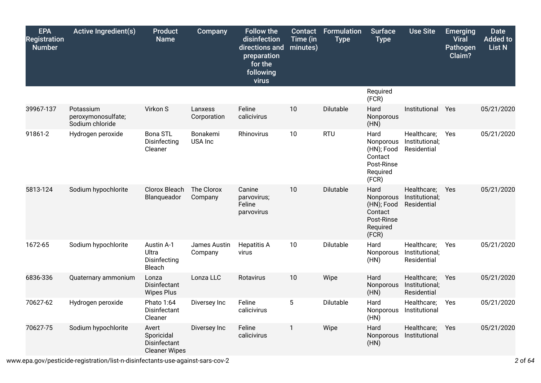| <b>EPA</b><br>Registration<br><b>Number</b> | <b>Active Ingredient(s)</b>                        | <b>Product</b><br><b>Name</b>                               | Company                 | <b>Follow the</b><br>disinfection<br>directions and<br>preparation<br>for the<br>following<br>virus | Contact<br>Time (in<br>minutes) | <b>Formulation</b><br><b>Type</b> | <b>Surface</b><br><b>Type</b>                                                 | <b>Use Site</b>                              | <b>Emerging</b><br><b>Viral</b><br>Pathogen<br>Claim? | <b>Date</b><br><b>Added to</b><br>List N |
|---------------------------------------------|----------------------------------------------------|-------------------------------------------------------------|-------------------------|-----------------------------------------------------------------------------------------------------|---------------------------------|-----------------------------------|-------------------------------------------------------------------------------|----------------------------------------------|-------------------------------------------------------|------------------------------------------|
|                                             |                                                    |                                                             |                         |                                                                                                     |                                 |                                   | Required<br>(FCR)                                                             |                                              |                                                       |                                          |
| 39967-137                                   | Potassium<br>peroxymonosulfate;<br>Sodium chloride | Virkon S                                                    | Lanxess<br>Corporation  | Feline<br>calicivirus                                                                               | 10                              | Dilutable                         | Hard<br>Nonporous<br>(HN)                                                     | Institutional                                | Yes                                                   | 05/21/2020                               |
| 91861-2                                     | Hydrogen peroxide                                  | <b>Bona STL</b><br>Disinfecting<br>Cleaner                  | Bonakemi<br>USA Inc     | Rhinovirus                                                                                          | 10                              | <b>RTU</b>                        | Hard<br>Nonporous<br>(HN); Food<br>Contact<br>Post-Rinse<br>Required<br>(FCR) | Healthcare;<br>Institutional;<br>Residential | Yes                                                   | 05/21/2020                               |
| 5813-124                                    | Sodium hypochlorite                                | Clorox Bleach<br>Blanqueador                                | The Clorox<br>Company   | Canine<br>parvovirus;<br>Feline<br>parvovirus                                                       | 10                              | Dilutable                         | Hard<br>Nonporous<br>(HN); Food<br>Contact<br>Post-Rinse<br>Required<br>(FCR) | Healthcare;<br>Institutional;<br>Residential | Yes                                                   | 05/21/2020                               |
| 1672-65                                     | Sodium hypochlorite                                | Austin A-1<br>Ultra<br>Disinfecting<br>Bleach               | James Austin<br>Company | <b>Hepatitis A</b><br>virus                                                                         | 10                              | Dilutable                         | Hard<br>Nonporous<br>(HN)                                                     | Healthcare;<br>Institutional;<br>Residential | Yes                                                   | 05/21/2020                               |
| 6836-336                                    | Quaternary ammonium                                | Lonza<br>Disinfectant<br><b>Wipes Plus</b>                  | Lonza LLC               | Rotavirus                                                                                           | 10                              | Wipe                              | Hard<br>Nonporous<br>(HN)                                                     | Healthcare;<br>Institutional;<br>Residential | <b>Yes</b>                                            | 05/21/2020                               |
| 70627-62                                    | Hydrogen peroxide                                  | Phato 1:64<br>Disinfectant<br>Cleaner                       | Diversey Inc            | Feline<br>calicivirus                                                                               | 5                               | Dilutable                         | Hard<br>Nonporous<br>(HN)                                                     | Healthcare;<br>Institutional                 | Yes                                                   | 05/21/2020                               |
| 70627-75                                    | Sodium hypochlorite                                | Avert<br>Sporicidal<br>Disinfectant<br><b>Cleaner Wipes</b> | Diversey Inc            | Feline<br>calicivirus                                                                               | 1                               | Wipe                              | Hard<br>Nonporous<br>(HN)                                                     | Healthcare;<br>Institutional                 | Yes                                                   | 05/21/2020                               |

www.epa.gov/pesticide-registration/list-n-disinfectants-use-against-sars-cov-2 *2* of *64*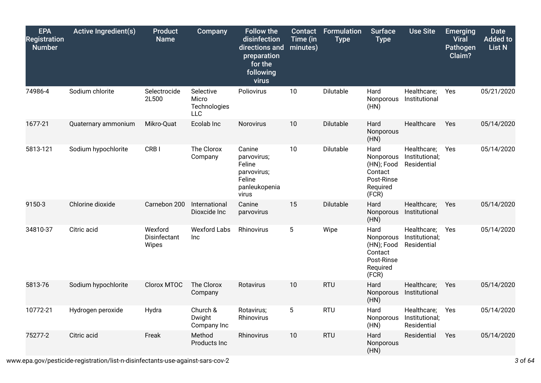| <b>EPA</b><br><b>Registration</b><br><b>Number</b> | <b>Active Ingredient(s)</b> | <b>Product</b><br><b>Name</b>    | <b>Company</b>                            | <b>Follow the</b><br>disinfection<br>directions and<br>preparation<br>for the<br>following<br>virus | Contact<br>Time (in<br>minutes) | <b>Formulation</b><br><b>Type</b> | <b>Surface</b><br><b>Type</b>                                                 | <b>Use Site</b>                              | <b>Emerging</b><br><b>Viral</b><br>Pathogen<br>Claim? | <b>Date</b><br><b>Added to</b><br><b>List N</b> |
|----------------------------------------------------|-----------------------------|----------------------------------|-------------------------------------------|-----------------------------------------------------------------------------------------------------|---------------------------------|-----------------------------------|-------------------------------------------------------------------------------|----------------------------------------------|-------------------------------------------------------|-------------------------------------------------|
| 74986-4                                            | Sodium chlorite             | Selectrocide<br>2L500            | Selective<br>Micro<br>Technologies<br>LLC | Poliovirus                                                                                          | 10                              | Dilutable                         | Hard<br>Nonporous<br>(HN)                                                     | Healthcare;<br>Institutional                 | Yes                                                   | 05/21/2020                                      |
| 1677-21                                            | Quaternary ammonium         | Mikro-Quat                       | Ecolab Inc                                | Norovirus                                                                                           | 10                              | Dilutable                         | Hard<br>Nonporous<br>(HN)                                                     | Healthcare                                   | Yes                                                   | 05/14/2020                                      |
| 5813-121                                           | Sodium hypochlorite         | CRB I                            | The Clorox<br>Company                     | Canine<br>parvovirus;<br>Feline<br>parvovirus;<br>Feline<br>panleukopenia<br>virus                  | 10                              | Dilutable                         | Hard<br>Nonporous<br>(HN); Food<br>Contact<br>Post-Rinse<br>Required<br>(FCR) | Healthcare;<br>Institutional;<br>Residential | Yes                                                   | 05/14/2020                                      |
| 9150-3                                             | Chlorine dioxide            | Carnebon 200                     | International<br>Dioxcide Inc             | Canine<br>parvovirus                                                                                | 15                              | Dilutable                         | Hard<br>Nonporous<br>(HN)                                                     | Healthcare;<br>Institutional                 | Yes                                                   | 05/14/2020                                      |
| 34810-37                                           | Citric acid                 | Wexford<br>Disinfectant<br>Wipes | <b>Wexford Labs</b><br>Inc                | Rhinovirus                                                                                          | 5                               | Wipe                              | Hard<br>Nonporous<br>(HN); Food<br>Contact<br>Post-Rinse<br>Required<br>(FCR) | Healthcare;<br>Institutional;<br>Residential | Yes                                                   | 05/14/2020                                      |
| 5813-76                                            | Sodium hypochlorite         | Clorox MTOC                      | The Clorox<br>Company                     | Rotavirus                                                                                           | 10                              | <b>RTU</b>                        | Hard<br>Nonporous<br>(HN)                                                     | Healthcare;<br>Institutional                 | Yes                                                   | 05/14/2020                                      |
| 10772-21                                           | Hydrogen peroxide           | Hydra                            | Church &<br>Dwight<br>Company Inc         | Rotavirus;<br>Rhinovirus                                                                            | 5                               | <b>RTU</b>                        | Hard<br>Nonporous<br>(HN)                                                     | Healthcare;<br>Institutional;<br>Residential | Yes                                                   | 05/14/2020                                      |
| 75277-2                                            | Citric acid                 | Freak                            | Method<br>Products Inc                    | Rhinovirus                                                                                          | 10                              | <b>RTU</b>                        | Hard<br>Nonporous<br>(HN)                                                     | Residential                                  | Yes                                                   | 05/14/2020                                      |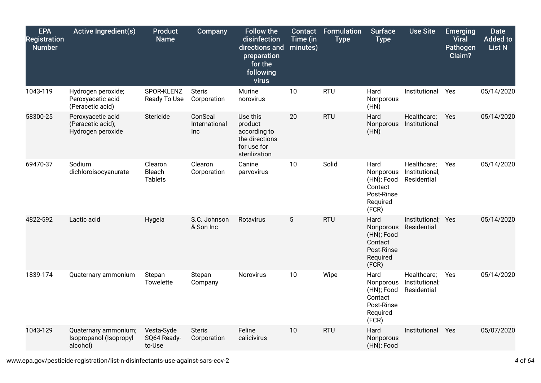| <b>EPA</b><br><b>Registration</b><br><b>Number</b> | <b>Active Ingredient(s)</b>                                 | <b>Product</b><br><b>Name</b>       | Company                         | <b>Follow the</b><br>disinfection<br>directions and<br>preparation<br>for the<br>following<br>virus | <b>Contact</b><br>Time (in<br>minutes) | <b>Formulation</b><br><b>Type</b> | <b>Surface</b><br><b>Type</b>                                                 | <b>Use Site</b>                              | <b>Emerging</b><br><b>Viral</b><br>Pathogen<br>Claim? | <b>Date</b><br><b>Added to</b><br><b>List N</b> |
|----------------------------------------------------|-------------------------------------------------------------|-------------------------------------|---------------------------------|-----------------------------------------------------------------------------------------------------|----------------------------------------|-----------------------------------|-------------------------------------------------------------------------------|----------------------------------------------|-------------------------------------------------------|-------------------------------------------------|
| 1043-119                                           | Hydrogen peroxide;<br>Peroxyacetic acid<br>(Peracetic acid) | SPOR-KLENZ<br>Ready To Use          | <b>Steris</b><br>Corporation    | Murine<br>norovirus                                                                                 | 10                                     | <b>RTU</b>                        | Hard<br>Nonporous<br>(HN)                                                     | Institutional                                | Yes                                                   | 05/14/2020                                      |
| 58300-25                                           | Peroxyacetic acid<br>(Peracetic acid);<br>Hydrogen peroxide | Stericide                           | ConSeal<br>International<br>Inc | Use this<br>product<br>according to<br>the directions<br>for use for<br>sterilization               | 20                                     | <b>RTU</b>                        | Hard<br>Nonporous<br>(HN)                                                     | Healthcare;<br>Institutional                 | Yes                                                   | 05/14/2020                                      |
| 69470-37                                           | Sodium<br>dichloroisocyanurate                              | Clearon<br>Bleach<br><b>Tablets</b> | Clearon<br>Corporation          | Canine<br>parvovirus                                                                                | 10                                     | Solid                             | Hard<br>Nonporous<br>(HN); Food<br>Contact<br>Post-Rinse<br>Required<br>(FCR) | Healthcare;<br>Institutional;<br>Residential | Yes                                                   | 05/14/2020                                      |
| 4822-592                                           | Lactic acid                                                 | Hygeia                              | S.C. Johnson<br>& Son Inc       | Rotavirus                                                                                           | 5                                      | <b>RTU</b>                        | Hard<br>Nonporous<br>(HN); Food<br>Contact<br>Post-Rinse<br>Required<br>(FCR) | Institutional; Yes<br>Residential            |                                                       | 05/14/2020                                      |
| 1839-174                                           | Quaternary ammonium                                         | Stepan<br><b>Towelette</b>          | Stepan<br>Company               | Norovirus                                                                                           | 10                                     | Wipe                              | Hard<br>Nonporous<br>(HN); Food<br>Contact<br>Post-Rinse<br>Required<br>(FCR) | Healthcare;<br>Institutional;<br>Residential | Yes                                                   | 05/14/2020                                      |
| 1043-129                                           | Quaternary ammonium;<br>Isopropanol (Isopropyl<br>alcohol)  | Vesta-Syde<br>SQ64 Ready-<br>to-Use | <b>Steris</b><br>Corporation    | Feline<br>calicivirus                                                                               | 10                                     | <b>RTU</b>                        | Hard<br>Nonporous<br>(HN); Food                                               | Institutional                                | Yes                                                   | 05/07/2020                                      |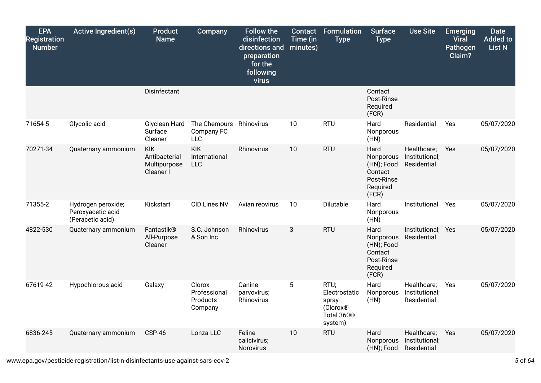| <b>EPA</b><br><b>Registration</b><br><b>Number</b> | <b>Active Ingredient(s)</b>                                 | <b>Product</b><br><b>Name</b>                            | <b>Company</b>                                | <b>Follow the</b><br>disinfection<br>directions and<br>preparation<br>for the<br>following<br>virus | <b>Contact</b><br>Time (in<br>minutes) | <b>Formulation</b><br><b>Type</b>                                                           | <b>Surface</b><br><b>Type</b>                                                 | <b>Use Site</b>                              | <b>Emerging</b><br><b>Viral</b><br>Pathogen<br>Claim? | <b>Date</b><br><b>Added to</b><br><b>List N</b> |
|----------------------------------------------------|-------------------------------------------------------------|----------------------------------------------------------|-----------------------------------------------|-----------------------------------------------------------------------------------------------------|----------------------------------------|---------------------------------------------------------------------------------------------|-------------------------------------------------------------------------------|----------------------------------------------|-------------------------------------------------------|-------------------------------------------------|
|                                                    |                                                             | Disinfectant                                             |                                               |                                                                                                     |                                        |                                                                                             | Contact<br>Post-Rinse<br>Required<br>(FCR)                                    |                                              |                                                       |                                                 |
| 71654-5                                            | Glycolic acid                                               | Glyclean Hard<br>Surface<br>Cleaner                      | The Chemours<br>Company FC<br><b>LLC</b>      | Rhinovirus                                                                                          | 10                                     | <b>RTU</b>                                                                                  | Hard<br>Nonporous<br>(HN)                                                     | Residential                                  | Yes                                                   | 05/07/2020                                      |
| 70271-34                                           | Quaternary ammonium                                         | <b>KIK</b><br>Antibacterial<br>Multipurpose<br>Cleaner I | <b>KIK</b><br>International<br><b>LLC</b>     | Rhinovirus                                                                                          | 10                                     | <b>RTU</b>                                                                                  | Hard<br>Nonporous<br>(HN); Food<br>Contact<br>Post-Rinse<br>Required<br>(FCR) | Healthcare;<br>Institutional;<br>Residential | Yes                                                   | 05/07/2020                                      |
| 71355-2                                            | Hydrogen peroxide;<br>Peroxyacetic acid<br>(Peracetic acid) | Kickstart                                                | <b>CID Lines NV</b>                           | Avian reovirus                                                                                      | 10                                     | Dilutable                                                                                   | Hard<br>Nonporous<br>(HN)                                                     | Institutional                                | Yes                                                   | 05/07/2020                                      |
| 4822-530                                           | Quaternary ammonium                                         | Fantastik®<br>All-Purpose<br>Cleaner                     | S.C. Johnson<br>& Son Inc                     | Rhinovirus                                                                                          | 3                                      | <b>RTU</b>                                                                                  | Hard<br>Nonporous<br>(HN); Food<br>Contact<br>Post-Rinse<br>Required<br>(FCR) | Institutional; Yes<br>Residential            |                                                       | 05/07/2020                                      |
| 67619-42                                           | Hypochlorous acid                                           | Galaxy                                                   | Clorox<br>Professional<br>Products<br>Company | Canine<br>parvovirus;<br>Rhinovirus                                                                 | 5                                      | RTU;<br>Electrostatic<br>spray<br>(Clorox <sup>®</sup><br>Total 360 <sup>®</sup><br>system) | Hard<br>Nonporous<br>(HN)                                                     | Healthcare;<br>Institutional;<br>Residential | Yes                                                   | 05/07/2020                                      |
| 6836-245                                           | Quaternary ammonium                                         | CSP-46                                                   | Lonza LLC                                     | Feline<br>calicivirus;<br><b>Norovirus</b>                                                          | 10                                     | <b>RTU</b>                                                                                  | Hard<br>Nonporous<br>(HN); Food                                               | Healthcare;<br>Institutional;<br>Residential | Yes                                                   | 05/07/2020                                      |

www.epa.gov/pesticide-registration/list-n-disinfectants-use-against-sars-cov-2 *5* of *64*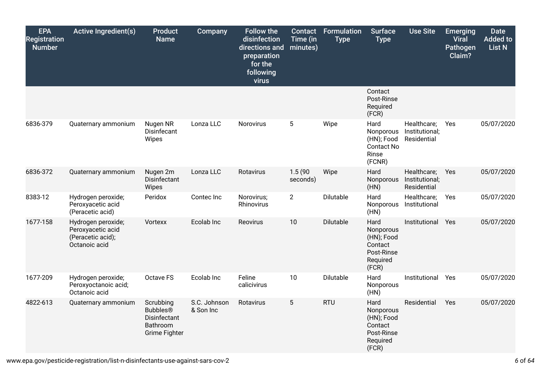| <b>EPA</b><br><b>Registration</b><br><b>Number</b> | <b>Active Ingredient(s)</b>                                                   | <b>Product</b><br><b>Name</b>                                                    | <b>Company</b>            | <b>Follow the</b><br>disinfection<br>directions and<br>preparation<br>for the<br>following<br>virus | Contact<br>Time (in<br>minutes) | Formulation<br><b>Type</b> | <b>Surface</b><br><b>Type</b>                                                 | <b>Use Site</b>                              | <b>Emerging</b><br><b>Viral</b><br>Pathogen<br>Claim? | <b>Date</b><br><b>Added to</b><br>List N |
|----------------------------------------------------|-------------------------------------------------------------------------------|----------------------------------------------------------------------------------|---------------------------|-----------------------------------------------------------------------------------------------------|---------------------------------|----------------------------|-------------------------------------------------------------------------------|----------------------------------------------|-------------------------------------------------------|------------------------------------------|
|                                                    |                                                                               |                                                                                  |                           |                                                                                                     |                                 |                            | Contact<br>Post-Rinse<br>Required<br>(FCR)                                    |                                              |                                                       |                                          |
| 6836-379                                           | Quaternary ammonium                                                           | Nugen NR<br>Disinfecant<br>Wipes                                                 | Lonza LLC                 | Norovirus                                                                                           | 5                               | Wipe                       | Hard<br>Nonporous<br>(HN); Food<br><b>Contact No</b><br>Rinse<br>(FCNR)       | Healthcare;<br>Institutional;<br>Residential | Yes                                                   | 05/07/2020                               |
| 6836-372                                           | Quaternary ammonium                                                           | Nugen 2m<br>Disinfectant<br>Wipes                                                | Lonza LLC                 | Rotavirus                                                                                           | 1.5(90)<br>seconds)             | Wipe                       | Hard<br>Nonporous<br>(HN)                                                     | Healthcare;<br>Institutional;<br>Residential | Yes                                                   | 05/07/2020                               |
| 8383-12                                            | Hydrogen peroxide;<br>Peroxyacetic acid<br>(Peracetic acid)                   | Peridox                                                                          | Contec Inc                | Norovirus;<br>Rhinovirus                                                                            | $\overline{2}$                  | Dilutable                  | Hard<br>Nonporous<br>(HN)                                                     | Healthcare;<br>Institutional                 | Yes                                                   | 05/07/2020                               |
| 1677-158                                           | Hydrogen peroxide;<br>Peroxyacetic acid<br>(Peracetic acid);<br>Octanoic acid | Vortexx                                                                          | Ecolab Inc                | Reovirus                                                                                            | 10                              | Dilutable                  | Hard<br>Nonporous<br>(HN); Food<br>Contact<br>Post-Rinse<br>Required<br>(FCR) | Institutional                                | Yes                                                   | 05/07/2020                               |
| 1677-209                                           | Hydrogen peroxide;<br>Peroxyoctanoic acid;<br>Octanoic acid                   | Octave FS                                                                        | Ecolab Inc                | Feline<br>calicivirus                                                                               | 10                              | Dilutable                  | Hard<br>Nonporous<br>(HN)                                                     | Institutional                                | Yes                                                   | 05/07/2020                               |
| 4822-613                                           | Quaternary ammonium                                                           | Scrubbing<br><b>Bubbles®</b><br><b>Disinfectant</b><br>Bathroom<br>Grime Fighter | S.C. Johnson<br>& Son Inc | Rotavirus                                                                                           | 5                               | <b>RTU</b>                 | Hard<br>Nonporous<br>(HN); Food<br>Contact<br>Post-Rinse<br>Required<br>(FCR) | Residential                                  | Yes                                                   | 05/07/2020                               |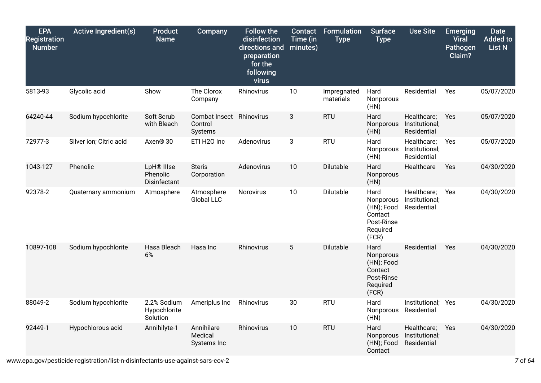| <b>EPA</b><br><b>Registration</b><br><b>Number</b> | <b>Active Ingredient(s)</b> | <b>Product</b><br><b>Name</b>           | Company                              | <b>Follow the</b><br>disinfection<br>directions and<br>preparation<br>for the<br>following<br>virus | <b>Contact</b><br>Time (in<br>minutes) | <b>Formulation</b><br><b>Type</b> | <b>Surface</b><br><b>Type</b>                                                 | <b>Use Site</b>                              | <b>Emerging</b><br><b>Viral</b><br>Pathogen<br>Claim? | <b>Date</b><br><b>Added to</b><br><b>List N</b> |
|----------------------------------------------------|-----------------------------|-----------------------------------------|--------------------------------------|-----------------------------------------------------------------------------------------------------|----------------------------------------|-----------------------------------|-------------------------------------------------------------------------------|----------------------------------------------|-------------------------------------------------------|-------------------------------------------------|
| 5813-93                                            | Glycolic acid               | Show                                    | The Clorox<br>Company                | Rhinovirus                                                                                          | 10                                     | Impregnated<br>materials          | Hard<br>Nonporous<br>(HN)                                                     | Residential                                  | Yes                                                   | 05/07/2020                                      |
| 64240-44                                           | Sodium hypochlorite         | Soft Scrub<br>with Bleach               | Combat Insect<br>Control<br>Systems  | Rhinovirus                                                                                          | 3                                      | <b>RTU</b>                        | Hard<br>Nonporous<br>(HN)                                                     | Healthcare;<br>Institutional;<br>Residential | Yes                                                   | 05/07/2020                                      |
| 72977-3                                            | Silver ion; Citric acid     | Axen <sup>®</sup> 30                    | ETI H2O Inc                          | Adenovirus                                                                                          | 3                                      | <b>RTU</b>                        | Hard<br>Nonporous<br>(HN)                                                     | Healthcare;<br>Institutional;<br>Residential | Yes                                                   | 05/07/2020                                      |
| 1043-127                                           | Phenolic                    | LpH® IIIse<br>Phenolic<br>Disinfectant  | <b>Steris</b><br>Corporation         | Adenovirus                                                                                          | 10                                     | Dilutable                         | Hard<br>Nonporous<br>(HN)                                                     | Healthcare                                   | Yes                                                   | 04/30/2020                                      |
| 92378-2                                            | Quaternary ammonium         | Atmosphere                              | Atmosphere<br><b>Global LLC</b>      | Norovirus                                                                                           | 10                                     | Dilutable                         | Hard<br>Nonporous<br>(HN); Food<br>Contact<br>Post-Rinse<br>Required<br>(FCR) | Healthcare;<br>Institutional;<br>Residential | Yes                                                   | 04/30/2020                                      |
| 10897-108                                          | Sodium hypochlorite         | Hasa Bleach<br>6%                       | Hasa Inc                             | Rhinovirus                                                                                          | 5                                      | Dilutable                         | Hard<br>Nonporous<br>(HN); Food<br>Contact<br>Post-Rinse<br>Required<br>(FCR) | Residential                                  | Yes                                                   | 04/30/2020                                      |
| 88049-2                                            | Sodium hypochlorite         | 2.2% Sodium<br>Hypochlorite<br>Solution | Ameriplus Inc                        | Rhinovirus                                                                                          | 30                                     | <b>RTU</b>                        | Hard<br>Nonporous<br>(HN)                                                     | Institutional; Yes<br>Residential            |                                                       | 04/30/2020                                      |
| 92449-1                                            | Hypochlorous acid           | Annihilyte-1                            | Annihilare<br>Medical<br>Systems Inc | Rhinovirus                                                                                          | 10                                     | <b>RTU</b>                        | Hard<br>Nonporous<br>(HN); Food<br>Contact                                    | Healthcare;<br>Institutional;<br>Residential | Yes                                                   | 04/30/2020                                      |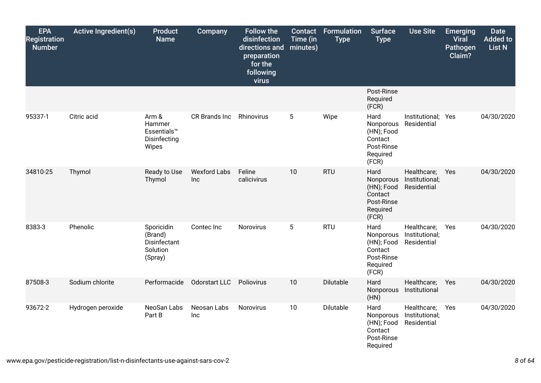| <b>EPA</b><br><b>Registration</b><br><b>Number</b> | <b>Active Ingredient(s)</b> | <b>Product</b><br><b>Name</b>                                | Company                    | <b>Follow the</b><br>disinfection<br>directions and<br>preparation<br>for the<br>following<br>virus | Contact<br>Time (in<br>minutes) | Formulation<br><b>Type</b> | <b>Surface</b><br><b>Type</b>                                                 | <b>Use Site</b>                              | <b>Emerging</b><br><b>Viral</b><br>Pathogen<br>Claim? | <b>Date</b><br><b>Added to</b><br>List N |
|----------------------------------------------------|-----------------------------|--------------------------------------------------------------|----------------------------|-----------------------------------------------------------------------------------------------------|---------------------------------|----------------------------|-------------------------------------------------------------------------------|----------------------------------------------|-------------------------------------------------------|------------------------------------------|
|                                                    |                             |                                                              |                            |                                                                                                     |                                 |                            | Post-Rinse<br>Required<br>(FCR)                                               |                                              |                                                       |                                          |
| 95337-1                                            | Citric acid                 | Arm &<br>Hammer<br>Essentials™<br>Disinfecting<br>Wipes      | CR Brands Inc              | Rhinovirus                                                                                          | $5\phantom{.0}$                 | Wipe                       | Hard<br>Nonporous<br>(HN); Food<br>Contact<br>Post-Rinse<br>Required<br>(FCR) | Institutional; Yes<br>Residential            |                                                       | 04/30/2020                               |
| 34810-25                                           | Thymol                      | Ready to Use<br>Thymol                                       | <b>Wexford Labs</b><br>Inc | Feline<br>calicivirus                                                                               | 10                              | <b>RTU</b>                 | Hard<br>Nonporous<br>(HN); Food<br>Contact<br>Post-Rinse<br>Required<br>(FCR) | Healthcare;<br>Institutional;<br>Residential | Yes                                                   | 04/30/2020                               |
| 8383-3                                             | Phenolic                    | Sporicidin<br>(Brand)<br>Disinfectant<br>Solution<br>(Spray) | Contec Inc                 | Norovirus                                                                                           | 5                               | <b>RTU</b>                 | Hard<br>Nonporous<br>(HN); Food<br>Contact<br>Post-Rinse<br>Required<br>(FCR) | Healthcare;<br>Institutional;<br>Residential | Yes                                                   | 04/30/2020                               |
| 87508-3                                            | Sodium chlorite             | Performacide                                                 | Odorstart LLC              | Poliovirus                                                                                          | 10                              | Dilutable                  | Hard<br>Nonporous<br>(HN)                                                     | Healthcare;<br>Institutional                 | Yes                                                   | 04/30/2020                               |
| 93672-2                                            | Hydrogen peroxide           | NeoSan Labs<br>Part B                                        | Neosan Labs<br>Inc         | Norovirus                                                                                           | 10                              | Dilutable                  | Hard<br>Nonporous<br>(HN); Food<br>Contact<br>Post-Rinse<br>Required          | Healthcare;<br>Institutional;<br>Residential | Yes                                                   | 04/30/2020                               |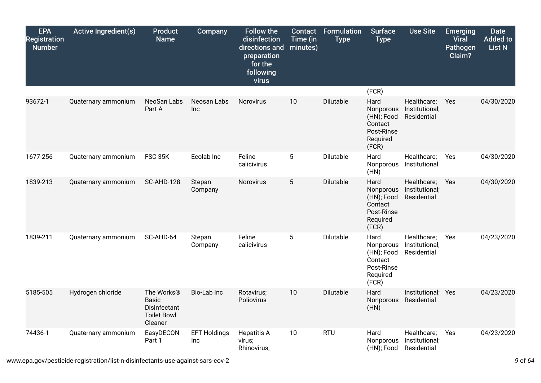| <b>EPA</b><br><b>Registration</b><br><b>Number</b> | <b>Active Ingredient(s)</b> | <b>Product</b><br><b>Name</b>                                                           | Company                    | <b>Follow the</b><br>disinfection<br>directions and<br>preparation<br>for the<br>following<br>virus | Contact<br>Time (in<br>minutes) | <b>Formulation</b><br><b>Type</b> | <b>Surface</b><br><b>Type</b>                                                 | <b>Use Site</b>                              | <b>Emerging</b><br><b>Viral</b><br>Pathogen<br>Claim? | <b>Date</b><br><b>Added to</b><br>List N |
|----------------------------------------------------|-----------------------------|-----------------------------------------------------------------------------------------|----------------------------|-----------------------------------------------------------------------------------------------------|---------------------------------|-----------------------------------|-------------------------------------------------------------------------------|----------------------------------------------|-------------------------------------------------------|------------------------------------------|
|                                                    |                             |                                                                                         |                            |                                                                                                     |                                 |                                   | (FCR)                                                                         |                                              |                                                       |                                          |
| 93672-1                                            | Quaternary ammonium         | NeoSan Labs<br>Part A                                                                   | Neosan Labs<br>Inc         | Norovirus                                                                                           | 10                              | Dilutable                         | Hard<br>Nonporous<br>(HN); Food<br>Contact<br>Post-Rinse<br>Required<br>(FCR) | Healthcare;<br>Institutional;<br>Residential | Yes                                                   | 04/30/2020                               |
| 1677-256                                           | Quaternary ammonium         | <b>FSC 35K</b>                                                                          | Ecolab Inc                 | Feline<br>calicivirus                                                                               | $\overline{5}$                  | Dilutable                         | Hard<br>Nonporous<br>(HN)                                                     | Healthcare;<br>Institutional                 | Yes                                                   | 04/30/2020                               |
| 1839-213                                           | Quaternary ammonium         | SC-AHD-128                                                                              | Stepan<br>Company          | Norovirus                                                                                           | 5                               | Dilutable                         | Hard<br>Nonporous<br>(HN); Food<br>Contact<br>Post-Rinse<br>Required<br>(FCR) | Healthcare;<br>Institutional;<br>Residential | Yes                                                   | 04/30/2020                               |
| 1839-211                                           | Quaternary ammonium         | SC-AHD-64                                                                               | Stepan<br>Company          | Feline<br>calicivirus                                                                               | 5                               | Dilutable                         | Hard<br>Nonporous<br>(HN); Food<br>Contact<br>Post-Rinse<br>Required<br>(FCR) | Healthcare;<br>Institutional;<br>Residential | Yes                                                   | 04/23/2020                               |
| 5185-505                                           | Hydrogen chloride           | The Works <sup>®</sup><br><b>Basic</b><br>Disinfectant<br><b>Toilet Bowl</b><br>Cleaner | Bio-Lab Inc                | Rotavirus;<br>Poliovirus                                                                            | 10                              | Dilutable                         | Hard<br>Nonporous<br>(HN)                                                     | Institutional; Yes<br>Residential            |                                                       | 04/23/2020                               |
| 74436-1                                            | Quaternary ammonium         | EasyDECON<br>Part 1                                                                     | <b>EFT Holdings</b><br>Inc | <b>Hepatitis A</b><br>virus;<br>Rhinovirus;                                                         | 10                              | <b>RTU</b>                        | Hard<br>Nonporous<br>(HN); Food                                               | Healthcare;<br>Institutional;<br>Residential | Yes                                                   | 04/23/2020                               |

www.epa.gov/pesticide-registration/list-n-disinfectants-use-against-sars-cov-2 *9* of *64*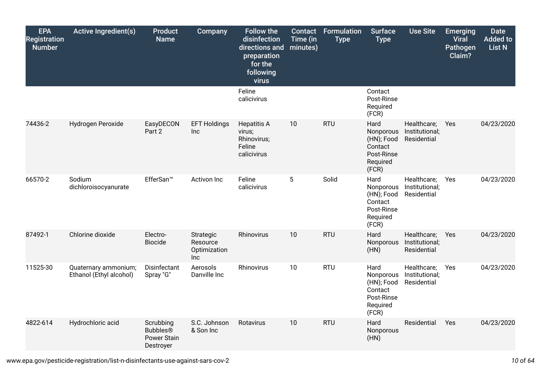| <b>EPA</b><br><b>Registration</b><br><b>Number</b> | <b>Active Ingredient(s)</b>                     | <b>Product</b><br><b>Name</b>                                   | <b>Company</b>                                      | <b>Follow the</b><br>disinfection<br>directions and<br>preparation<br>for the<br>following<br>virus | <b>Contact</b><br>Time (in<br>minutes) | Formulation<br><b>Type</b> | <b>Surface</b><br><b>Type</b>                                                 | <b>Use Site</b>                              | <b>Emerging</b><br><b>Viral</b><br>Pathogen<br>Claim? | <b>Date</b><br><b>Added to</b><br>List N |
|----------------------------------------------------|-------------------------------------------------|-----------------------------------------------------------------|-----------------------------------------------------|-----------------------------------------------------------------------------------------------------|----------------------------------------|----------------------------|-------------------------------------------------------------------------------|----------------------------------------------|-------------------------------------------------------|------------------------------------------|
|                                                    |                                                 |                                                                 |                                                     | Feline<br>calicivirus                                                                               |                                        |                            | Contact<br>Post-Rinse<br>Required<br>(FCR)                                    |                                              |                                                       |                                          |
| 74436-2                                            | Hydrogen Peroxide                               | EasyDECON<br>Part 2                                             | <b>EFT Holdings</b><br>Inc                          | <b>Hepatitis A</b><br>virus;<br>Rhinovirus;<br>Feline<br>calicivirus                                | 10                                     | <b>RTU</b>                 | Hard<br>Nonporous<br>(HN); Food<br>Contact<br>Post-Rinse<br>Required<br>(FCR) | Healthcare;<br>Institutional;<br>Residential | Yes                                                   | 04/23/2020                               |
| 66570-2                                            | Sodium<br>dichloroisocyanurate                  | EfferSan <sup>™</sup>                                           | Activon Inc                                         | Feline<br>calicivirus                                                                               | 5                                      | Solid                      | Hard<br>Nonporous<br>(HN); Food<br>Contact<br>Post-Rinse<br>Required<br>(FCR) | Healthcare;<br>Institutional;<br>Residential | Yes                                                   | 04/23/2020                               |
| 87492-1                                            | Chlorine dioxide                                | Electro-<br><b>Biocide</b>                                      | Strategic<br>Resource<br>Optimization<br><b>Inc</b> | Rhinovirus                                                                                          | 10                                     | <b>RTU</b>                 | Hard<br>Nonporous<br>(HN)                                                     | Healthcare;<br>Institutional;<br>Residential | Yes                                                   | 04/23/2020                               |
| 11525-30                                           | Quaternary ammonium;<br>Ethanol (Ethyl alcohol) | Disinfectant<br>Spray "G"                                       | Aerosols<br>Danville Inc                            | Rhinovirus                                                                                          | 10                                     | <b>RTU</b>                 | Hard<br>Nonporous<br>(HN); Food<br>Contact<br>Post-Rinse<br>Required<br>(FCR) | Healthcare;<br>Institutional;<br>Residential | Yes                                                   | 04/23/2020                               |
| 4822-614                                           | Hydrochloric acid                               | Scrubbing<br><b>Bubbles®</b><br><b>Power Stain</b><br>Destroyer | S.C. Johnson<br>& Son Inc                           | Rotavirus                                                                                           | 10                                     | <b>RTU</b>                 | Hard<br>Nonporous<br>(HN)                                                     | Residential                                  | Yes                                                   | 04/23/2020                               |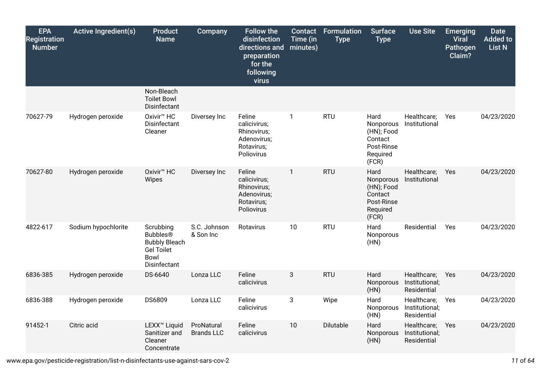| <b>EPA</b><br><b>Registration</b><br><b>Number</b> | <b>Active Ingredient(s)</b> | <b>Product</b><br><b>Name</b>                                                                            | Company                         | <b>Follow the</b><br>disinfection<br>directions and<br>preparation<br>for the<br>following<br>virus | <b>Contact</b><br>Time (in<br>minutes) | <b>Formulation</b><br><b>Type</b> | <b>Surface</b><br><b>Type</b>                                                 | <b>Use Site</b>                              | <b>Emerging</b><br><b>Viral</b><br>Pathogen<br>Claim? | <b>Date</b><br><b>Added to</b><br>List N |
|----------------------------------------------------|-----------------------------|----------------------------------------------------------------------------------------------------------|---------------------------------|-----------------------------------------------------------------------------------------------------|----------------------------------------|-----------------------------------|-------------------------------------------------------------------------------|----------------------------------------------|-------------------------------------------------------|------------------------------------------|
|                                                    |                             | Non-Bleach<br><b>Toilet Bowl</b><br>Disinfectant                                                         |                                 |                                                                                                     |                                        |                                   |                                                                               |                                              |                                                       |                                          |
| 70627-79                                           | Hydrogen peroxide           | Oxivir <sup>™</sup> HC<br>Disinfectant<br>Cleaner                                                        | Diversey Inc                    | Feline<br>calicivirus;<br>Rhinovirus;<br>Adenovirus;<br>Rotavirus;<br>Poliovirus                    | $\mathbf{1}$                           | <b>RTU</b>                        | Hard<br>Nonporous<br>(HN); Food<br>Contact<br>Post-Rinse<br>Required<br>(FCR) | Healthcare;<br>Institutional                 | Yes                                                   | 04/23/2020                               |
| 70627-80                                           | Hydrogen peroxide           | Oxivir <sup>™</sup> HC<br>Wipes                                                                          | Diversey Inc                    | Feline<br>calicivirus;<br>Rhinovirus;<br>Adenovirus;<br>Rotavirus;<br>Poliovirus                    | $\mathbf{1}$                           | <b>RTU</b>                        | Hard<br>Nonporous<br>(HN); Food<br>Contact<br>Post-Rinse<br>Required<br>(FCR) | Healthcare;<br>Institutional                 | Yes                                                   | 04/23/2020                               |
| 4822-617                                           | Sodium hypochlorite         | Scrubbing<br><b>Bubbles®</b><br><b>Bubbly Bleach</b><br><b>Gel Toilet</b><br><b>Bowl</b><br>Disinfectant | S.C. Johnson<br>& Son Inc       | Rotavirus                                                                                           | 10                                     | <b>RTU</b>                        | Hard<br>Nonporous<br>(HN)                                                     | Residential                                  | Yes                                                   | 04/23/2020                               |
| 6836-385                                           | Hydrogen peroxide           | DS-6640                                                                                                  | Lonza LLC                       | Feline<br>calicivirus                                                                               | 3                                      | <b>RTU</b>                        | Hard<br>Nonporous<br>(HN)                                                     | Healthcare;<br>Institutional;<br>Residential | Yes                                                   | 04/23/2020                               |
| 6836-388                                           | Hydrogen peroxide           | DS6809                                                                                                   | Lonza LLC                       | Feline<br>calicivirus                                                                               | 3                                      | Wipe                              | Hard<br>Nonporous<br>(HN)                                                     | Healthcare;<br>Institutional;<br>Residential | Yes                                                   | 04/23/2020                               |
| 91452-1                                            | Citric acid                 | LEXX <sup>™</sup> Liquid<br>Sanitizer and<br>Cleaner<br>Concentrate                                      | ProNatural<br><b>Brands LLC</b> | Feline<br>calicivirus                                                                               | 10                                     | Dilutable                         | Hard<br>Nonporous<br>(HN)                                                     | Healthcare;<br>Institutional;<br>Residential | Yes                                                   | 04/23/2020                               |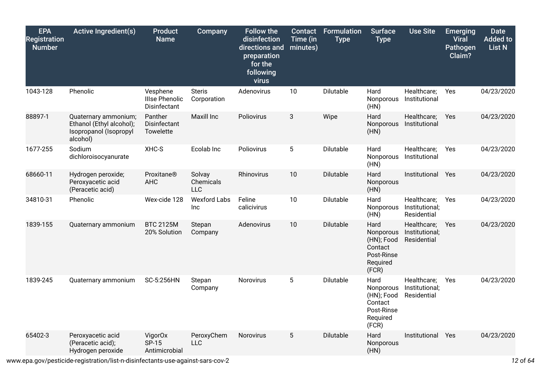| <b>EPA</b><br><b>Registration</b><br><b>Number</b> | <b>Active Ingredient(s)</b>                                                            | <b>Product</b><br><b>Name</b>                     | <b>Company</b>                    | <b>Follow the</b><br>disinfection<br>directions and<br>preparation<br>for the<br>following<br>virus | <b>Contact</b><br>Time (in<br>minutes) | <b>Formulation</b><br><b>Type</b> | <b>Surface</b><br><b>Type</b>                                                 | <b>Use Site</b>                              | <b>Emerging</b><br><b>Viral</b><br>Pathogen<br>Claim? | <b>Date</b><br><b>Added to</b><br><b>List N</b> |
|----------------------------------------------------|----------------------------------------------------------------------------------------|---------------------------------------------------|-----------------------------------|-----------------------------------------------------------------------------------------------------|----------------------------------------|-----------------------------------|-------------------------------------------------------------------------------|----------------------------------------------|-------------------------------------------------------|-------------------------------------------------|
| 1043-128                                           | Phenolic                                                                               | Vesphene<br><b>Illse Phenolic</b><br>Disinfectant | <b>Steris</b><br>Corporation      | Adenovirus                                                                                          | 10                                     | Dilutable                         | Hard<br>Nonporous<br>(HN)                                                     | Healthcare;<br>Institutional                 | Yes                                                   | 04/23/2020                                      |
| 88897-1                                            | Quaternary ammonium;<br>Ethanol (Ethyl alcohol);<br>Isopropanol (Isopropyl<br>alcohol) | Panther<br>Disinfectant<br>Towelette              | Maxill Inc                        | Poliovirus                                                                                          | 3                                      | Wipe                              | Hard<br>Nonporous<br>(HN)                                                     | Healthcare;<br>Institutional                 | Yes                                                   | 04/23/2020                                      |
| 1677-255                                           | Sodium<br>dichloroisocyanurate                                                         | XHC-S                                             | Ecolab Inc                        | Poliovirus                                                                                          | 5                                      | <b>Dilutable</b>                  | Hard<br>Nonporous<br>(HN)                                                     | Healthcare;<br>Institutional                 | <b>Yes</b>                                            | 04/23/2020                                      |
| 68660-11                                           | Hydrogen peroxide;<br>Peroxyacetic acid<br>(Peracetic acid)                            | Proxitane®<br><b>AHC</b>                          | Solvay<br>Chemicals<br><b>LLC</b> | Rhinovirus                                                                                          | 10                                     | Dilutable                         | Hard<br>Nonporous<br>(HN)                                                     | Institutional                                | Yes                                                   | 04/23/2020                                      |
| 34810-31                                           | Phenolic                                                                               | Wex-cide 128                                      | <b>Wexford Labs</b><br><b>Inc</b> | Feline<br>calicivirus                                                                               | 10                                     | Dilutable                         | Hard<br>Nonporous<br>(HN)                                                     | Healthcare;<br>Institutional;<br>Residential | Yes                                                   | 04/23/2020                                      |
| 1839-155                                           | Quaternary ammonium                                                                    | <b>BTC 2125M</b><br>20% Solution                  | Stepan<br>Company                 | Adenovirus                                                                                          | 10                                     | Dilutable                         | Hard<br>Nonporous<br>(HN); Food<br>Contact<br>Post-Rinse<br>Required<br>(FCR) | Healthcare;<br>Institutional;<br>Residential | Yes                                                   | 04/23/2020                                      |
| 1839-245                                           | Quaternary ammonium                                                                    | SC-5:256HN                                        | Stepan<br>Company                 | Norovirus                                                                                           | 5                                      | Dilutable                         | Hard<br>Nonporous<br>(HN); Food<br>Contact<br>Post-Rinse<br>Required<br>(FCR) | Healthcare;<br>Institutional;<br>Residential | Yes                                                   | 04/23/2020                                      |
| 65402-3                                            | Peroxyacetic acid<br>(Peracetic acid);<br>Hydrogen peroxide                            | VigorOx<br>SP-15<br>Antimicrobial                 | PeroxyChem<br><b>LLC</b>          | Norovirus                                                                                           | 5                                      | Dilutable                         | Hard<br>Nonporous<br>(HN)                                                     | Institutional                                | Yes                                                   | 04/23/2020                                      |

www.epa.gov/pesticide-registration/list-n-disinfectants-use-against-sars-cov-2 *12* of *64*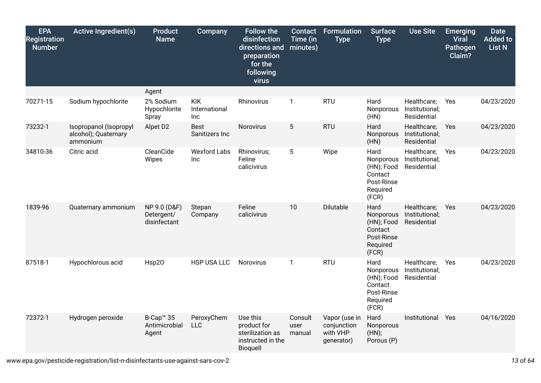| <b>EPA</b><br><b>Registration</b><br><b>Number</b> | <b>Active Ingredient(s)</b>                                | <b>Product</b><br><b>Name</b>                   | <b>Company</b>                     | <b>Follow the</b><br>disinfection<br>directions and<br>preparation<br>for the<br>following<br>virus | Contact<br>Time (in<br>minutes) | <b>Formulation</b><br><b>Type</b>                      | <b>Surface</b><br><b>Type</b>                                                 | <b>Use Site</b>                              | <b>Emerging</b><br><b>Viral</b><br>Pathogen<br>Claim? | <b>Date</b><br><b>Added to</b><br><b>List N</b> |
|----------------------------------------------------|------------------------------------------------------------|-------------------------------------------------|------------------------------------|-----------------------------------------------------------------------------------------------------|---------------------------------|--------------------------------------------------------|-------------------------------------------------------------------------------|----------------------------------------------|-------------------------------------------------------|-------------------------------------------------|
|                                                    |                                                            | Agent                                           |                                    |                                                                                                     |                                 |                                                        |                                                                               |                                              |                                                       |                                                 |
| 70271-15                                           | Sodium hypochlorite                                        | 2% Sodium<br>Hypochlorite<br>Spray              | <b>KIK</b><br>International<br>Inc | Rhinovirus                                                                                          | $\mathbf{1}$                    | <b>RTU</b>                                             | Hard<br>Nonporous<br>(HN)                                                     | Healthcare;<br>Institutional;<br>Residential | Yes                                                   | 04/23/2020                                      |
| 73232-1                                            | Isopropanol (Isopropyl<br>alcohol); Quaternary<br>ammonium | Alpet D2                                        | <b>Best</b><br>Sanitizers Inc      | Norovirus                                                                                           | $5\phantom{.0}$                 | <b>RTU</b>                                             | Hard<br>Nonporous<br>(HN)                                                     | Healthcare;<br>Institutional;<br>Residential | Yes                                                   | 04/23/2020                                      |
| 34810-36                                           | Citric acid                                                | CleanCide<br>Wipes                              | <b>Wexford Labs</b><br>Inc         | Rhinovirus;<br>Feline<br>calicivirus                                                                | $\overline{5}$                  | Wipe                                                   | Hard<br>Nonporous<br>(HN); Food<br>Contact<br>Post-Rinse<br>Required<br>(FCR) | Healthcare;<br>Institutional;<br>Residential | Yes                                                   | 04/23/2020                                      |
| 1839-96                                            | Quaternary ammonium                                        | NP 9.0 (D&F)<br>Detergent/<br>disinfectant      | Stepan<br>Company                  | Feline<br>calicivirus                                                                               | 10                              | Dilutable                                              | Hard<br>Nonporous<br>(HN); Food<br>Contact<br>Post-Rinse<br>Required<br>(FCR) | Healthcare;<br>Institutional;<br>Residential | Yes                                                   | 04/23/2020                                      |
| 87518-1                                            | Hypochlorous acid                                          | Hsp20                                           | HSP USA LLC                        | Norovirus                                                                                           | $\mathbf{1}$                    | <b>RTU</b>                                             | Hard<br>Nonporous<br>(HN); Food<br>Contact<br>Post-Rinse<br>Required<br>(FCR) | Healthcare;<br>Institutional;<br>Residential | Yes                                                   | 04/23/2020                                      |
| 72372-1                                            | Hydrogen peroxide                                          | B-Cap <sup>™</sup> 35<br>Antimicrobial<br>Agent | PeroxyChem<br><b>LLC</b>           | Use this<br>product for<br>sterilization as<br>instructed in the<br>Bioquell                        | Consult<br>user<br>manual       | Vapor (use in<br>conjunction<br>with VHP<br>generator) | Hard<br>Nonporous<br>(HN);<br>Porous (P)                                      | Institutional                                | Yes                                                   | 04/16/2020                                      |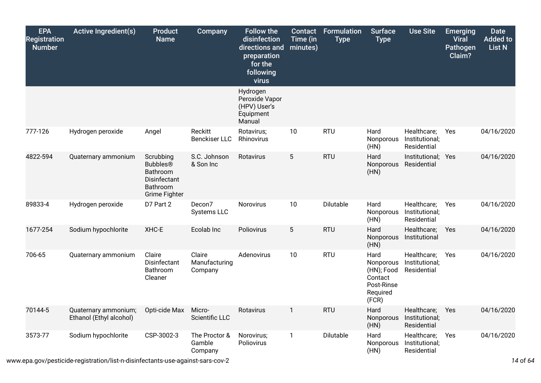| <b>EPA</b><br><b>Registration</b><br><b>Number</b> | <b>Active Ingredient(s)</b>                     | <b>Product</b><br><b>Name</b>                                                         | Company                            | <b>Follow the</b><br>disinfection<br>directions and<br>preparation<br>for the<br>following<br>virus | Contact<br>Time (in<br>minutes) | <b>Formulation</b><br><b>Type</b> | <b>Surface</b><br><b>Type</b>                                                 | <b>Use Site</b>                              | <b>Emerging</b><br><b>Viral</b><br><b>Pathogen</b><br>Claim? | <b>Date</b><br><b>Added to</b><br><b>List N</b> |
|----------------------------------------------------|-------------------------------------------------|---------------------------------------------------------------------------------------|------------------------------------|-----------------------------------------------------------------------------------------------------|---------------------------------|-----------------------------------|-------------------------------------------------------------------------------|----------------------------------------------|--------------------------------------------------------------|-------------------------------------------------|
|                                                    |                                                 |                                                                                       |                                    | Hydrogen<br>Peroxide Vapor<br>(HPV) User's<br>Equipment<br>Manual                                   |                                 |                                   |                                                                               |                                              |                                                              |                                                 |
| 777-126                                            | Hydrogen peroxide                               | Angel                                                                                 | Reckitt<br><b>Benckiser LLC</b>    | Rotavirus;<br>Rhinovirus                                                                            | 10                              | <b>RTU</b>                        | Hard<br>Nonporous<br>(HN)                                                     | Healthcare;<br>Institutional;<br>Residential | Yes                                                          | 04/16/2020                                      |
| 4822-594                                           | Quaternary ammonium                             | Scrubbing<br><b>Bubbles®</b><br>Bathroom<br>Disinfectant<br>Bathroom<br>Grime Fighter | S.C. Johnson<br>& Son Inc          | Rotavirus                                                                                           | $5\phantom{.0}$                 | <b>RTU</b>                        | Hard<br>Nonporous<br>(HN)                                                     | Institutional; Yes<br>Residential            |                                                              | 04/16/2020                                      |
| 89833-4                                            | Hydrogen peroxide                               | D7 Part 2                                                                             | Decon7<br><b>Systems LLC</b>       | Norovirus                                                                                           | 10                              | Dilutable                         | Hard<br>Nonporous<br>(HN)                                                     | Healthcare;<br>Institutional;<br>Residential | Yes                                                          | 04/16/2020                                      |
| 1677-254                                           | Sodium hypochlorite                             | XHC-E                                                                                 | Ecolab Inc                         | Poliovirus                                                                                          | $5\phantom{.0}$                 | <b>RTU</b>                        | Hard<br>Nonporous<br>(HN)                                                     | Healthcare;<br>Institutional                 | Yes                                                          | 04/16/2020                                      |
| 706-65                                             | Quaternary ammonium                             | Claire<br>Disinfectant<br>Bathroom<br>Cleaner                                         | Claire<br>Manufacturing<br>Company | Adenovirus                                                                                          | 10                              | <b>RTU</b>                        | Hard<br>Nonporous<br>(HN); Food<br>Contact<br>Post-Rinse<br>Required<br>(FCR) | Healthcare;<br>Institutional;<br>Residential | Yes                                                          | 04/16/2020                                      |
| 70144-5                                            | Quaternary ammonium;<br>Ethanol (Ethyl alcohol) | Opti-cide Max                                                                         | Micro-<br>Scientific LLC           | Rotavirus                                                                                           | $\mathbf{1}$                    | <b>RTU</b>                        | Hard<br>Nonporous<br>(HN)                                                     | Healthcare;<br>Institutional;<br>Residential | Yes                                                          | 04/16/2020                                      |
| 3573-77                                            | Sodium hypochlorite                             | CSP-3002-3                                                                            | The Proctor &<br>Gamble<br>Company | Norovirus;<br>Poliovirus                                                                            | $\mathbf{1}$                    | Dilutable                         | Hard<br>Nonporous<br>(HN)                                                     | Healthcare;<br>Institutional;<br>Residential | Yes                                                          | 04/16/2020                                      |

www.epa.gov/pesticide-registration/list-n-disinfectants-use-against-sars-cov-2 *14* of *64*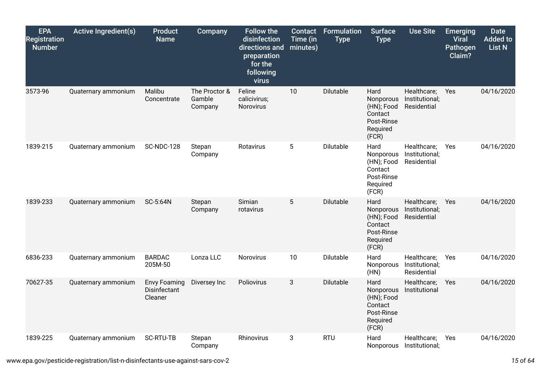| <b>EPA</b><br><b>Registration</b><br><b>Number</b> | <b>Active Ingredient(s)</b> | <b>Product</b><br><b>Name</b>                  | Company                            | <b>Follow the</b><br>disinfection<br>directions and<br>preparation<br>for the<br>following<br>virus | <b>Contact</b><br>Time (in<br>minutes) | <b>Formulation</b><br><b>Type</b> | <b>Surface</b><br><b>Type</b>                                                 | <b>Use Site</b>                              | <b>Emerging</b><br><b>Viral</b><br>Pathogen<br>Claim? | <b>Date</b><br><b>Added to</b><br><b>List N</b> |
|----------------------------------------------------|-----------------------------|------------------------------------------------|------------------------------------|-----------------------------------------------------------------------------------------------------|----------------------------------------|-----------------------------------|-------------------------------------------------------------------------------|----------------------------------------------|-------------------------------------------------------|-------------------------------------------------|
| 3573-96                                            | Quaternary ammonium         | Malibu<br>Concentrate                          | The Proctor &<br>Gamble<br>Company | Feline<br>calicivirus;<br>Norovirus                                                                 | 10                                     | Dilutable                         | Hard<br>Nonporous<br>(HN); Food<br>Contact<br>Post-Rinse<br>Required<br>(FCR) | Healthcare;<br>Institutional;<br>Residential | Yes                                                   | 04/16/2020                                      |
| 1839-215                                           | Quaternary ammonium         | <b>SC-NDC-128</b>                              | Stepan<br>Company                  | Rotavirus                                                                                           | 5                                      | Dilutable                         | Hard<br>Nonporous<br>(HN); Food<br>Contact<br>Post-Rinse<br>Required<br>(FCR) | Healthcare;<br>Institutional;<br>Residential | Yes                                                   | 04/16/2020                                      |
| 1839-233                                           | Quaternary ammonium         | SC-5:64N                                       | Stepan<br>Company                  | Simian<br>rotavirus                                                                                 | 5                                      | <b>Dilutable</b>                  | Hard<br>Nonporous<br>(HN); Food<br>Contact<br>Post-Rinse<br>Required<br>(FCR) | Healthcare;<br>Institutional;<br>Residential | Yes                                                   | 04/16/2020                                      |
| 6836-233                                           | Quaternary ammonium         | <b>BARDAC</b><br>205M-50                       | Lonza LLC                          | <b>Norovirus</b>                                                                                    | 10                                     | Dilutable                         | Hard<br>Nonporous<br>(HN)                                                     | Healthcare;<br>Institutional;<br>Residential | Yes                                                   | 04/16/2020                                      |
| 70627-35                                           | Quaternary ammonium         | <b>Envy Foaming</b><br>Disinfectant<br>Cleaner | Diversey Inc                       | Poliovirus                                                                                          | 3                                      | Dilutable                         | Hard<br>Nonporous<br>(HN); Food<br>Contact<br>Post-Rinse<br>Required<br>(FCR) | Healthcare;<br>Institutional                 | Yes                                                   | 04/16/2020                                      |
| 1839-225                                           | Quaternary ammonium         | <b>SC-RTU-TB</b>                               | Stepan<br>Company                  | Rhinovirus                                                                                          | 3                                      | <b>RTU</b>                        | Hard<br>Nonporous                                                             | Healthcare;<br>Institutional;                | Yes                                                   | 04/16/2020                                      |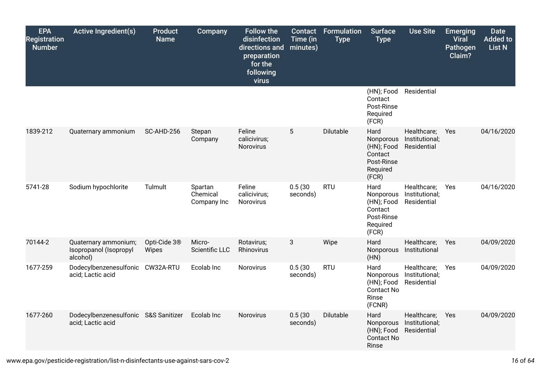| <b>EPA</b><br><b>Registration</b><br><b>Number</b> | <b>Active Ingredient(s)</b>                                | <b>Product</b><br><b>Name</b>     | Company                            | <b>Follow the</b><br>disinfection<br>directions and<br>preparation<br>for the<br>following<br>virus | Contact<br>Time (in<br>minutes) | Formulation<br><b>Type</b> | <b>Surface</b><br><b>Type</b>                                                 | <b>Use Site</b>                              | <b>Emerging</b><br><b>Viral</b><br>Pathogen<br>Claim? | <b>Date</b><br><b>Added to</b><br>List N |
|----------------------------------------------------|------------------------------------------------------------|-----------------------------------|------------------------------------|-----------------------------------------------------------------------------------------------------|---------------------------------|----------------------------|-------------------------------------------------------------------------------|----------------------------------------------|-------------------------------------------------------|------------------------------------------|
|                                                    |                                                            |                                   |                                    |                                                                                                     |                                 |                            | (HN); Food<br>Contact<br>Post-Rinse<br>Required<br>(FCR)                      | Residential                                  |                                                       |                                          |
| 1839-212                                           | Quaternary ammonium                                        | <b>SC-AHD-256</b>                 | Stepan<br>Company                  | Feline<br>calicivirus;<br>Norovirus                                                                 | $5\phantom{.0}$                 | Dilutable                  | Hard<br>Nonporous<br>(HN); Food<br>Contact<br>Post-Rinse<br>Required<br>(FCR) | Healthcare;<br>Institutional;<br>Residential | Yes                                                   | 04/16/2020                               |
| 5741-28                                            | Sodium hypochlorite                                        | Tulmult                           | Spartan<br>Chemical<br>Company Inc | Feline<br>calicivirus;<br>Norovirus                                                                 | 0.5(30)<br>seconds)             | <b>RTU</b>                 | Hard<br>Nonporous<br>(HN); Food<br>Contact<br>Post-Rinse<br>Required<br>(FCR) | Healthcare;<br>Institutional;<br>Residential | Yes                                                   | 04/16/2020                               |
| 70144-2                                            | Quaternary ammonium;<br>Isopropanol (Isopropyl<br>alcohol) | Opti-Cide 3 <sup>®</sup><br>Wipes | Micro-<br>Scientific LLC           | Rotavirus;<br>Rhinovirus                                                                            | $\mathbf{3}$                    | Wipe                       | Hard<br>Nonporous<br>(HN)                                                     | Healthcare;<br>Institutional                 | Yes                                                   | 04/09/2020                               |
| 1677-259                                           | Dodecylbenzenesulfonic CW32A-RTU<br>acid; Lactic acid      |                                   | Ecolab Inc                         | Norovirus                                                                                           | 0.5(30)<br>seconds)             | <b>RTU</b>                 | Hard<br>Nonporous<br>(HN); Food<br>Contact No<br>Rinse<br>(FCNR)              | Healthcare;<br>Institutional;<br>Residential | Yes                                                   | 04/09/2020                               |
| 1677-260                                           | Dodecylbenzenesulfonic S&S Sanitizer<br>acid; Lactic acid  |                                   | Ecolab Inc                         | Norovirus                                                                                           | 0.5(30)<br>seconds)             | Dilutable                  | Hard<br>Nonporous<br>(HN); Food<br><b>Contact No</b><br>Rinse                 | Healthcare;<br>Institutional;<br>Residential | Yes                                                   | 04/09/2020                               |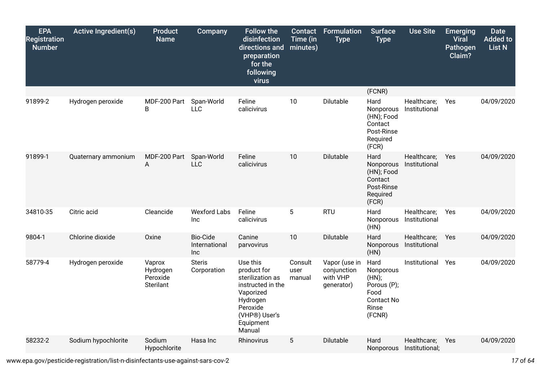| <b>EPA</b><br><b>Registration</b><br><b>Number</b> | <b>Active Ingredient(s)</b> | <b>Product</b><br><b>Name</b>                      | Company                                 | <b>Follow the</b><br>disinfection<br>directions and<br>preparation<br>for the<br>following<br>virus                                           | Contact<br>Time (in<br>minutes) | Formulation<br><b>Type</b>                             | <b>Surface</b><br><b>Type</b>                                                             | <b>Use Site</b>               | <b>Emerging</b><br><b>Viral</b><br><b>Pathogen</b><br>Claim? | <b>Date</b><br><b>Added to</b><br><b>List N</b> |
|----------------------------------------------------|-----------------------------|----------------------------------------------------|-----------------------------------------|-----------------------------------------------------------------------------------------------------------------------------------------------|---------------------------------|--------------------------------------------------------|-------------------------------------------------------------------------------------------|-------------------------------|--------------------------------------------------------------|-------------------------------------------------|
|                                                    |                             |                                                    |                                         |                                                                                                                                               |                                 |                                                        | (FCNR)                                                                                    |                               |                                                              |                                                 |
| 91899-2                                            | Hydrogen peroxide           | MDF-200 Part<br>B                                  | Span-World<br><b>LLC</b>                | Feline<br>calicivirus                                                                                                                         | 10                              | Dilutable                                              | Hard<br>Nonporous<br>(HN); Food<br>Contact<br>Post-Rinse<br>Required<br>(FCR)             | Healthcare;<br>Institutional  | Yes                                                          | 04/09/2020                                      |
| 91899-1                                            | Quaternary ammonium         | MDF-200 Part<br>A                                  | Span-World<br><b>LLC</b>                | Feline<br>calicivirus                                                                                                                         | 10                              | Dilutable                                              | Hard<br>Nonporous<br>(HN); Food<br>Contact<br>Post-Rinse<br>Required<br>(FCR)             | Healthcare;<br>Institutional  | Yes                                                          | 04/09/2020                                      |
| 34810-35                                           | Citric acid                 | Cleancide                                          | <b>Wexford Labs</b><br>Inc              | Feline<br>calicivirus                                                                                                                         | $5\phantom{.0}$                 | <b>RTU</b>                                             | Hard<br>Nonporous<br>(HN)                                                                 | Healthcare;<br>Institutional  | Yes                                                          | 04/09/2020                                      |
| 9804-1                                             | Chlorine dioxide            | Oxine                                              | <b>Bio-Cide</b><br>International<br>Inc | Canine<br>parvovirus                                                                                                                          | 10                              | Dilutable                                              | Hard<br>Nonporous<br>(HN)                                                                 | Healthcare;<br>Institutional  | Yes                                                          | 04/09/2020                                      |
| 58779-4                                            | Hydrogen peroxide           | Vaprox<br>Hydrogen<br>Peroxide<br><b>Sterilant</b> | <b>Steris</b><br>Corporation            | Use this<br>product for<br>sterilization as<br>instructed in the<br>Vaporized<br>Hydrogen<br>Peroxide<br>(VHP®) User's<br>Equipment<br>Manual | Consult<br>user<br>manual       | Vapor (use in<br>conjunction<br>with VHP<br>generator) | Hard<br>Nonporous<br>(HN);<br>Porous (P);<br>Food<br><b>Contact No</b><br>Rinse<br>(FCNR) | Institutional                 | Yes                                                          | 04/09/2020                                      |
| 58232-2                                            | Sodium hypochlorite         | Sodium<br>Hypochlorite                             | Hasa Inc                                | Rhinovirus                                                                                                                                    | 5                               | Dilutable                                              | Hard<br>Nonporous                                                                         | Healthcare;<br>Institutional; | Yes                                                          | 04/09/2020                                      |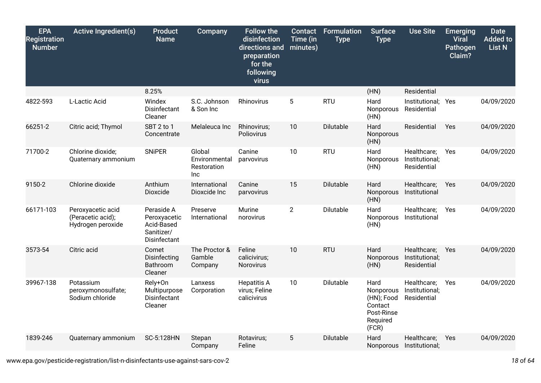| <b>EPA</b><br><b>Registration</b><br><b>Number</b> | <b>Active Ingredient(s)</b>                                 | <b>Product</b><br><b>Name</b>                                                 | Company                                       | <b>Follow the</b><br>disinfection<br>directions and<br>preparation<br>for the<br>following<br>virus | <b>Contact</b><br>Time (in<br>minutes) | <b>Formulation</b><br><b>Type</b> | <b>Surface</b><br><b>Type</b>                                                 | <b>Use Site</b>                              | <b>Emerging</b><br><b>Viral</b><br>Pathogen<br>Claim? | <b>Date</b><br><b>Added to</b><br><b>List N</b> |
|----------------------------------------------------|-------------------------------------------------------------|-------------------------------------------------------------------------------|-----------------------------------------------|-----------------------------------------------------------------------------------------------------|----------------------------------------|-----------------------------------|-------------------------------------------------------------------------------|----------------------------------------------|-------------------------------------------------------|-------------------------------------------------|
|                                                    |                                                             | 8.25%                                                                         |                                               |                                                                                                     |                                        |                                   | (HN)                                                                          | Residential                                  |                                                       |                                                 |
| 4822-593                                           | L-Lactic Acid                                               | Windex<br>Disinfectant<br>Cleaner                                             | S.C. Johnson<br>& Son Inc                     | Rhinovirus                                                                                          | 5                                      | <b>RTU</b>                        | Hard<br>Nonporous<br>(HN)                                                     | Institutional; Yes<br>Residential            |                                                       | 04/09/2020                                      |
| 66251-2                                            | Citric acid; Thymol                                         | SBT 2 to 1<br>Concentrate                                                     | Melaleuca Inc                                 | Rhinovirus;<br>Poliovirus                                                                           | 10                                     | Dilutable                         | Hard<br>Nonporous<br>(HN)                                                     | Residential                                  | Yes                                                   | 04/09/2020                                      |
| 71700-2                                            | Chlorine dioxide;<br>Quaternary ammonium                    | <b>SNiPER</b>                                                                 | Global<br>Environmental<br>Restoration<br>Inc | Canine<br>parvovirus                                                                                | 10                                     | <b>RTU</b>                        | Hard<br>Nonporous<br>(HN)                                                     | Healthcare;<br>Institutional;<br>Residential | Yes                                                   | 04/09/2020                                      |
| 9150-2                                             | Chlorine dioxide                                            | Anthium<br>Dioxcide                                                           | International<br>Dioxcide Inc                 | Canine<br>parvovirus                                                                                | 15                                     | Dilutable                         | Hard<br>Nonporous<br>(HN)                                                     | Healthcare;<br>Institutional                 | Yes                                                   | 04/09/2020                                      |
| 66171-103                                          | Peroxyacetic acid<br>(Peracetic acid);<br>Hydrogen peroxide | Peraside A<br>Peroxyacetic<br>Acid-Based<br>Sanitizer/<br><b>Disinfectant</b> | Preserve<br>International                     | Murine<br>norovirus                                                                                 | $\overline{2}$                         | Dilutable                         | Hard<br>Nonporous<br>(HN)                                                     | Healthcare;<br>Institutional                 | Yes                                                   | 04/09/2020                                      |
| 3573-54                                            | Citric acid                                                 | Comet<br>Disinfecting<br>Bathroom<br>Cleaner                                  | The Proctor &<br>Gamble<br>Company            | Feline<br>calicivirus;<br>Norovirus                                                                 | 10                                     | <b>RTU</b>                        | Hard<br>Nonporous<br>(HN)                                                     | Healthcare;<br>Institutional;<br>Residential | <b>Yes</b>                                            | 04/09/2020                                      |
| 39967-138                                          | Potassium<br>peroxymonosulfate;<br>Sodium chloride          | Rely+On<br>Multipurpose<br>Disinfectant<br>Cleaner                            | Lanxess<br>Corporation                        | <b>Hepatitis A</b><br>virus; Feline<br>calicivirus                                                  | 10                                     | Dilutable                         | Hard<br>Nonporous<br>(HN); Food<br>Contact<br>Post-Rinse<br>Required<br>(FCR) | Healthcare;<br>Institutional;<br>Residential | Yes                                                   | 04/09/2020                                      |
| 1839-246                                           | Quaternary ammonium                                         | SC-5:128HN                                                                    | Stepan<br>Company                             | Rotavirus;<br>Feline                                                                                | 5                                      | Dilutable                         | Hard<br><b>Nonporous</b>                                                      | Healthcare;<br>Institutional;                | Yes                                                   | 04/09/2020                                      |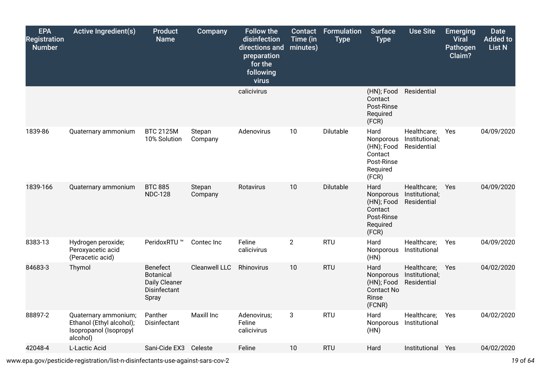| <b>EPA</b><br><b>Registration</b><br><b>Number</b> | <b>Active Ingredient(s)</b>                                                            | <b>Product</b><br><b>Name</b>                                          | Company              | <b>Follow the</b><br>disinfection<br>directions and<br>preparation<br>for the<br>following<br>virus | Contact<br>Time (in<br>minutes) | <b>Formulation</b><br><b>Type</b> | <b>Surface</b><br><b>Type</b>                                                 | <b>Use Site</b>                              | <b>Emerging</b><br><b>Viral</b><br>Pathogen<br>Claim? | <b>Date</b><br><b>Added to</b><br><b>List N</b> |
|----------------------------------------------------|----------------------------------------------------------------------------------------|------------------------------------------------------------------------|----------------------|-----------------------------------------------------------------------------------------------------|---------------------------------|-----------------------------------|-------------------------------------------------------------------------------|----------------------------------------------|-------------------------------------------------------|-------------------------------------------------|
|                                                    |                                                                                        |                                                                        |                      | calicivirus                                                                                         |                                 |                                   | (HN); Food<br>Contact<br>Post-Rinse<br>Required<br>(FCR)                      | Residential                                  |                                                       |                                                 |
| 1839-86                                            | Quaternary ammonium                                                                    | <b>BTC 2125M</b><br>10% Solution                                       | Stepan<br>Company    | Adenovirus                                                                                          | 10                              | Dilutable                         | Hard<br>Nonporous<br>(HN); Food<br>Contact<br>Post-Rinse<br>Required<br>(FCR) | Healthcare;<br>Institutional;<br>Residential | Yes                                                   | 04/09/2020                                      |
| 1839-166                                           | Quaternary ammonium                                                                    | <b>BTC 885</b><br><b>NDC-128</b>                                       | Stepan<br>Company    | Rotavirus                                                                                           | 10                              | Dilutable                         | Hard<br>Nonporous<br>(HN); Food<br>Contact<br>Post-Rinse<br>Required<br>(FCR) | Healthcare;<br>Institutional;<br>Residential | Yes                                                   | 04/09/2020                                      |
| 8383-13                                            | Hydrogen peroxide;<br>Peroxyacetic acid<br>(Peracetic acid)                            | PeridoxRTU ™                                                           | Contec Inc           | Feline<br>calicivirus                                                                               | $\overline{2}$                  | <b>RTU</b>                        | Hard<br>Nonporous<br>(HN)                                                     | Healthcare;<br>Institutional                 | Yes                                                   | 04/09/2020                                      |
| 84683-3                                            | Thymol                                                                                 | Benefect<br><b>Botanical</b><br>Daily Cleaner<br>Disinfectant<br>Spray | <b>Cleanwell LLC</b> | Rhinovirus                                                                                          | 10                              | <b>RTU</b>                        | Hard<br>Nonporous<br>(HN); Food<br><b>Contact No</b><br>Rinse<br>(FCNR)       | Healthcare;<br>Institutional;<br>Residential | Yes                                                   | 04/02/2020                                      |
| 88897-2                                            | Quaternary ammonium;<br>Ethanol (Ethyl alcohol);<br>Isopropanol (Isopropyl<br>alcohol) | Panther<br>Disinfectant                                                | <b>Maxill Inc</b>    | Adenovirus;<br>Feline<br>calicivirus                                                                | 3                               | <b>RTU</b>                        | Hard<br>Nonporous<br>(HN)                                                     | Healthcare;<br>Institutional                 | Yes                                                   | 04/02/2020                                      |
| 42048-4                                            | L-Lactic Acid                                                                          | Sani-Cide EX3                                                          | Celeste              | Feline                                                                                              | 10                              | <b>RTU</b>                        | Hard                                                                          | Institutional Yes                            |                                                       | 04/02/2020                                      |

www.epa.gov/pesticide-registration/list-n-disinfectants-use-against-sars-cov-2 *19* of *64*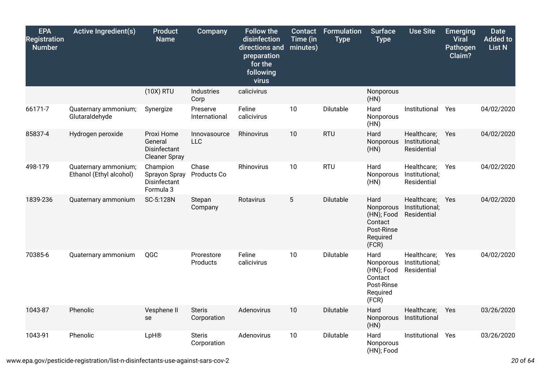| <b>EPA</b><br><b>Registration</b><br><b>Number</b> | <b>Active Ingredient(s)</b>                     | <b>Product</b><br><b>Name</b>                                 | <b>Company</b>               | <b>Follow the</b><br>disinfection<br>directions and<br>preparation<br>for the<br>following<br>virus | <b>Contact</b><br>Time (in<br>minutes) | <b>Formulation</b><br><b>Type</b> | <b>Surface</b><br><b>Type</b>                                                 | <b>Use Site</b>                              | <b>Emerging</b><br><b>Viral</b><br>Pathogen<br>Claim? | <b>Date</b><br><b>Added to</b><br><b>List N</b> |
|----------------------------------------------------|-------------------------------------------------|---------------------------------------------------------------|------------------------------|-----------------------------------------------------------------------------------------------------|----------------------------------------|-----------------------------------|-------------------------------------------------------------------------------|----------------------------------------------|-------------------------------------------------------|-------------------------------------------------|
|                                                    |                                                 | (10X) RTU                                                     | Industries<br>Corp           | calicivirus                                                                                         |                                        |                                   | Nonporous<br>(HN)                                                             |                                              |                                                       |                                                 |
| 66171-7                                            | Quaternary ammonium;<br>Glutaraldehyde          | Synergize                                                     | Preserve<br>International    | Feline<br>calicivirus                                                                               | 10                                     | <b>Dilutable</b>                  | Hard<br>Nonporous<br>(HN)                                                     | Institutional                                | Yes                                                   | 04/02/2020                                      |
| 85837-4                                            | Hydrogen peroxide                               | Proxi Home<br>General<br>Disinfectant<br><b>Cleaner Spray</b> | Innovasource<br><b>LLC</b>   | Rhinovirus                                                                                          | 10                                     | <b>RTU</b>                        | Hard<br>Nonporous<br>(HN)                                                     | Healthcare;<br>Institutional;<br>Residential | Yes                                                   | 04/02/2020                                      |
| 498-179                                            | Quaternary ammonium;<br>Ethanol (Ethyl alcohol) | Champion<br>Sprayon Spray<br>Disinfectant<br>Formula 3        | Chase<br>Products Co         | Rhinovirus                                                                                          | 10                                     | <b>RTU</b>                        | Hard<br>Nonporous<br>(HN)                                                     | Healthcare;<br>Institutional;<br>Residential | Yes                                                   | 04/02/2020                                      |
| 1839-236                                           | Quaternary ammonium                             | SC-5:128N                                                     | Stepan<br>Company            | Rotavirus                                                                                           | 5                                      | Dilutable                         | Hard<br>Nonporous<br>(HN); Food<br>Contact<br>Post-Rinse<br>Required<br>(FCR) | Healthcare;<br>Institutional;<br>Residential | <b>Yes</b>                                            | 04/02/2020                                      |
| 70385-6                                            | Quaternary ammonium                             | QGC                                                           | Prorestore<br>Products       | Feline<br>calicivirus                                                                               | 10                                     | Dilutable                         | Hard<br>Nonporous<br>(HN); Food<br>Contact<br>Post-Rinse<br>Required<br>(FCR) | Healthcare;<br>Institutional;<br>Residential | Yes                                                   | 04/02/2020                                      |
| 1043-87                                            | Phenolic                                        | Vesphene II<br>se                                             | <b>Steris</b><br>Corporation | Adenovirus                                                                                          | 10                                     | Dilutable                         | Hard<br>Nonporous<br>(HN)                                                     | Healthcare;<br>Institutional                 | Yes                                                   | 03/26/2020                                      |
| 1043-91                                            | Phenolic                                        | LpH®                                                          | <b>Steris</b><br>Corporation | Adenovirus                                                                                          | 10                                     | Dilutable                         | Hard<br>Nonporous<br>(HN); Food                                               | Institutional                                | Yes                                                   | 03/26/2020                                      |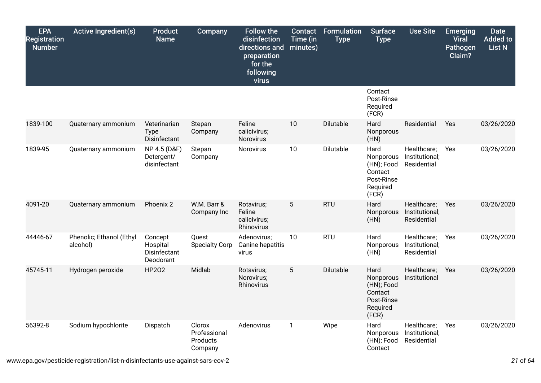| <b>EPA</b><br><b>Registration</b><br><b>Number</b> | <b>Active Ingredient(s)</b>          | <b>Product</b><br><b>Name</b>                    | <b>Company</b>                                | <b>Follow the</b><br>disinfection<br>directions and<br>preparation<br>for the<br>following<br>virus | <b>Contact</b><br>Time (in<br>minutes) | <b>Formulation</b><br><b>Type</b> | <b>Surface</b><br><b>Type</b>                                                 | <b>Use Site</b>                              | <b>Emerging</b><br><b>Viral</b><br>Pathogen<br>Claim? | <b>Date</b><br><b>Added to</b><br><b>List N</b> |
|----------------------------------------------------|--------------------------------------|--------------------------------------------------|-----------------------------------------------|-----------------------------------------------------------------------------------------------------|----------------------------------------|-----------------------------------|-------------------------------------------------------------------------------|----------------------------------------------|-------------------------------------------------------|-------------------------------------------------|
|                                                    |                                      |                                                  |                                               |                                                                                                     |                                        |                                   | Contact<br>Post-Rinse<br>Required<br>(FCR)                                    |                                              |                                                       |                                                 |
| 1839-100                                           | Quaternary ammonium                  | Veterinarian<br><b>Type</b><br>Disinfectant      | Stepan<br>Company                             | Feline<br>calicivirus;<br>Norovirus                                                                 | 10                                     | Dilutable                         | Hard<br>Nonporous<br>(HN)                                                     | Residential                                  | Yes                                                   | 03/26/2020                                      |
| 1839-95                                            | Quaternary ammonium                  | NP 4.5 (D&F)<br>Detergent/<br>disinfectant       | Stepan<br>Company                             | Norovirus                                                                                           | 10                                     | Dilutable                         | Hard<br>Nonporous<br>(HN); Food<br>Contact<br>Post-Rinse<br>Required<br>(FCR) | Healthcare;<br>Institutional;<br>Residential | Yes                                                   | 03/26/2020                                      |
| 4091-20                                            | Quaternary ammonium                  | Phoenix 2                                        | W.M. Barr &<br>Company Inc                    | Rotavirus;<br>Feline<br>calicivirus;<br>Rhinovirus                                                  | 5                                      | <b>RTU</b>                        | Hard<br>Nonporous<br>(HN)                                                     | Healthcare;<br>Institutional;<br>Residential | Yes                                                   | 03/26/2020                                      |
| 44446-67                                           | Phenolic; Ethanol (Ethyl<br>alcohol) | Concept<br>Hospital<br>Disinfectant<br>Deodorant | Quest<br><b>Specialty Corp</b>                | Adenovirus;<br>Canine hepatitis<br>virus                                                            | 10                                     | <b>RTU</b>                        | Hard<br>Nonporous<br>(HN)                                                     | Healthcare;<br>Institutional;<br>Residential | Yes                                                   | 03/26/2020                                      |
| 45745-11                                           | Hydrogen peroxide                    | HP202                                            | Midlab                                        | Rotavirus;<br>Norovirus;<br>Rhinovirus                                                              | $5\phantom{.0}$                        | Dilutable                         | Hard<br>Nonporous<br>(HN); Food<br>Contact<br>Post-Rinse<br>Required<br>(FCR) | Healthcare;<br>Institutional                 | Yes                                                   | 03/26/2020                                      |
| 56392-8                                            | Sodium hypochlorite                  | Dispatch                                         | Clorox<br>Professional<br>Products<br>Company | Adenovirus                                                                                          | $\mathbf{1}$                           | Wipe                              | Hard<br>Nonporous<br>(HN); Food<br>Contact                                    | Healthcare;<br>Institutional;<br>Residential | Yes                                                   | 03/26/2020                                      |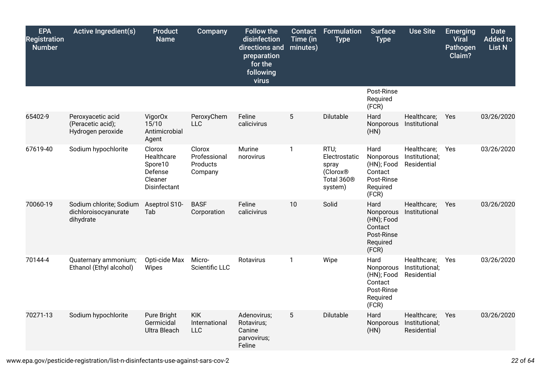| <b>EPA</b><br><b>Registration</b><br><b>Number</b> | <b>Active Ingredient(s)</b>                                  | <b>Product</b><br><b>Name</b>                                         | Company                                       | <b>Follow the</b><br>disinfection<br>directions and<br>preparation<br>for the<br>following<br>virus | Contact<br>Time (in<br>minutes) | <b>Formulation</b><br><b>Type</b>                                                           | <b>Surface</b><br><b>Type</b>                                                 | <b>Use Site</b>                              | <b>Emerging</b><br><b>Viral</b><br>Pathogen<br>Claim? | <b>Date</b><br><b>Added to</b><br><b>List N</b> |
|----------------------------------------------------|--------------------------------------------------------------|-----------------------------------------------------------------------|-----------------------------------------------|-----------------------------------------------------------------------------------------------------|---------------------------------|---------------------------------------------------------------------------------------------|-------------------------------------------------------------------------------|----------------------------------------------|-------------------------------------------------------|-------------------------------------------------|
|                                                    |                                                              |                                                                       |                                               |                                                                                                     |                                 |                                                                                             | Post-Rinse<br>Required<br>(FCR)                                               |                                              |                                                       |                                                 |
| 65402-9                                            | Peroxyacetic acid<br>(Peracetic acid);<br>Hydrogen peroxide  | VigorOx<br>15/10<br>Antimicrobial<br>Agent                            | PeroxyChem<br><b>LLC</b>                      | Feline<br>calicivirus                                                                               | 5                               | Dilutable                                                                                   | Hard<br>Nonporous<br>(HN)                                                     | Healthcare;<br>Institutional                 | Yes                                                   | 03/26/2020                                      |
| 67619-40                                           | Sodium hypochlorite                                          | Clorox<br>Healthcare<br>Spore10<br>Defense<br>Cleaner<br>Disinfectant | Clorox<br>Professional<br>Products<br>Company | Murine<br>norovirus                                                                                 | 1                               | RTU;<br>Electrostatic<br>spray<br>(Clorox <sup>®</sup><br>Total 360 <sup>®</sup><br>system) | Hard<br>Nonporous<br>(HN); Food<br>Contact<br>Post-Rinse<br>Required<br>(FCR) | Healthcare;<br>Institutional;<br>Residential | Yes                                                   | 03/26/2020                                      |
| 70060-19                                           | Sodium chlorite; Sodium<br>dichloroisocyanurate<br>dihydrate | Aseptrol S10-<br>Tab                                                  | <b>BASF</b><br>Corporation                    | Feline<br>calicivirus                                                                               | 10                              | Solid                                                                                       | Hard<br>Nonporous<br>(HN); Food<br>Contact<br>Post-Rinse<br>Required<br>(FCR) | Healthcare;<br>Institutional                 | Yes                                                   | 03/26/2020                                      |
| 70144-4                                            | Quaternary ammonium;<br>Ethanol (Ethyl alcohol)              | Opti-cide Max<br>Wipes                                                | Micro-<br>Scientific LLC                      | <b>Rotavirus</b>                                                                                    | $\mathbf{1}$                    | Wipe                                                                                        | Hard<br>Nonporous<br>(HN); Food<br>Contact<br>Post-Rinse<br>Required<br>(FCR) | Healthcare;<br>Institutional;<br>Residential | Yes                                                   | 03/26/2020                                      |
| 70271-13                                           | Sodium hypochlorite                                          | Pure Bright<br>Germicidal<br>Ultra Bleach                             | <b>KIK</b><br>International<br><b>LLC</b>     | Adenovirus;<br>Rotavirus;<br>Canine<br>parvovirus;<br>Feline                                        | 5                               | Dilutable                                                                                   | Hard<br>Nonporous<br>(HN)                                                     | Healthcare;<br>Institutional;<br>Residential | Yes                                                   | 03/26/2020                                      |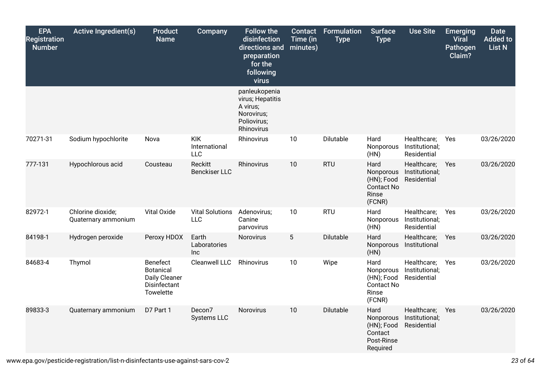| <b>EPA</b><br><b>Registration</b><br><b>Number</b> | <b>Active Ingredient(s)</b>              | <b>Product</b><br><b>Name</b>                                              | <b>Company</b>                            | <b>Follow the</b><br>disinfection<br>directions and<br>preparation<br>for the<br>following<br>virus | <b>Contact</b><br>Time (in<br>minutes) | Formulation<br><b>Type</b> | <b>Surface</b><br><b>Type</b>                                           | <b>Use Site</b>                              | <b>Emerging</b><br><b>Viral</b><br>Pathogen<br>Claim? | <b>Date</b><br><b>Added to</b><br>List N |
|----------------------------------------------------|------------------------------------------|----------------------------------------------------------------------------|-------------------------------------------|-----------------------------------------------------------------------------------------------------|----------------------------------------|----------------------------|-------------------------------------------------------------------------|----------------------------------------------|-------------------------------------------------------|------------------------------------------|
|                                                    |                                          |                                                                            |                                           | panleukopenia<br>virus; Hepatitis<br>A virus;<br>Norovirus;<br>Poliovirus;<br>Rhinovirus            |                                        |                            |                                                                         |                                              |                                                       |                                          |
| 70271-31                                           | Sodium hypochlorite                      | Nova                                                                       | <b>KIK</b><br>International<br><b>LLC</b> | Rhinovirus                                                                                          | 10                                     | Dilutable                  | Hard<br>Nonporous<br>(HN)                                               | Healthcare;<br>Institutional;<br>Residential | Yes                                                   | 03/26/2020                               |
| 777-131                                            | Hypochlorous acid                        | Cousteau                                                                   | Reckitt<br><b>Benckiser LLC</b>           | Rhinovirus                                                                                          | 10                                     | <b>RTU</b>                 | Hard<br>Nonporous<br>(HN); Food<br><b>Contact No</b><br>Rinse<br>(FCNR) | Healthcare;<br>Institutional;<br>Residential | Yes                                                   | 03/26/2020                               |
| 82972-1                                            | Chlorine dioxide;<br>Quaternary ammonium | Vital Oxide                                                                | <b>Vital Solutions</b><br><b>LLC</b>      | Adenovirus;<br>Canine<br>parvovirus                                                                 | 10                                     | <b>RTU</b>                 | Hard<br>Nonporous<br>(HN)                                               | Healthcare;<br>Institutional;<br>Residential | Yes                                                   | 03/26/2020                               |
| 84198-1                                            | Hydrogen peroxide                        | Peroxy HDOX                                                                | Earth<br>Laboratories<br><b>Inc</b>       | <b>Norovirus</b>                                                                                    | $5\phantom{.0}$                        | Dilutable                  | Hard<br>Nonporous<br>(HN)                                               | Healthcare;<br>Institutional                 | Yes                                                   | 03/26/2020                               |
| 84683-4                                            | Thymol                                   | Benefect<br><b>Botanical</b><br>Daily Cleaner<br>Disinfectant<br>Towelette | Cleanwell LLC                             | Rhinovirus                                                                                          | 10                                     | Wipe                       | Hard<br>Nonporous<br>(HN); Food<br><b>Contact No</b><br>Rinse<br>(FCNR) | Healthcare;<br>Institutional;<br>Residential | Yes                                                   | 03/26/2020                               |
| 89833-3                                            | Quaternary ammonium                      | D7 Part 1                                                                  | Decon7<br><b>Systems LLC</b>              | Norovirus                                                                                           | 10                                     | Dilutable                  | Hard<br>Nonporous<br>(HN); Food<br>Contact<br>Post-Rinse<br>Required    | Healthcare;<br>Institutional;<br>Residential | Yes                                                   | 03/26/2020                               |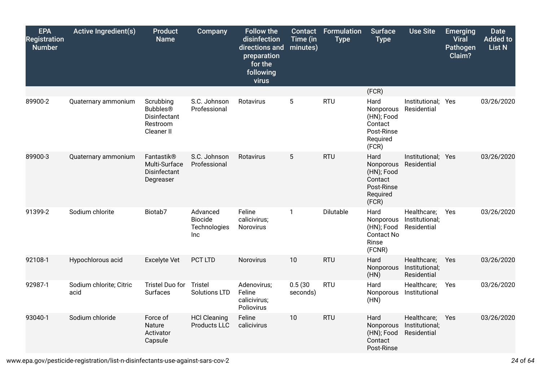| <b>EPA</b><br><b>Registration</b><br><b>Number</b> | <b>Active Ingredient(s)</b>     | <b>Product</b><br><b>Name</b>                             | <b>Company</b>                                           | <b>Follow the</b><br>disinfection<br>directions and<br>preparation<br>for the<br>following<br>virus | <b>Contact</b><br>Time (in<br>minutes) | <b>Formulation</b><br><b>Type</b> | <b>Surface</b><br><b>Type</b>                                                 | <b>Use Site</b>                              | <b>Emerging</b><br><b>Viral</b><br>Pathogen<br>Claim? | <b>Date</b><br><b>Added to</b><br><b>List N</b> |
|----------------------------------------------------|---------------------------------|-----------------------------------------------------------|----------------------------------------------------------|-----------------------------------------------------------------------------------------------------|----------------------------------------|-----------------------------------|-------------------------------------------------------------------------------|----------------------------------------------|-------------------------------------------------------|-------------------------------------------------|
| 89900-2                                            |                                 | Scrubbing                                                 | S.C. Johnson                                             | Rotavirus                                                                                           | 5                                      | <b>RTU</b>                        | (FCR)<br>Hard                                                                 | Institutional; Yes                           |                                                       | 03/26/2020                                      |
|                                                    | Quaternary ammonium             | <b>Bubbles®</b><br>Disinfectant<br>Restroom<br>Cleaner II | Professional                                             |                                                                                                     |                                        |                                   | Nonporous<br>(HN); Food<br>Contact<br>Post-Rinse<br>Required<br>(FCR)         | Residential                                  |                                                       |                                                 |
| 89900-3                                            | Quaternary ammonium             | Fantastik®<br>Multi-Surface<br>Disinfectant<br>Degreaser  | S.C. Johnson<br>Professional                             | Rotavirus                                                                                           | 5                                      | <b>RTU</b>                        | Hard<br>Nonporous<br>(HN); Food<br>Contact<br>Post-Rinse<br>Required<br>(FCR) | Institutional; Yes<br>Residential            |                                                       | 03/26/2020                                      |
| 91399-2                                            | Sodium chlorite                 | Biotab7                                                   | Advanced<br><b>Biocide</b><br>Technologies<br><b>Inc</b> | Feline<br>calicivirus;<br>Norovirus                                                                 | $\mathbf{1}$                           | Dilutable                         | Hard<br>Nonporous<br>(HN); Food<br><b>Contact No</b><br>Rinse<br>(FCNR)       | Healthcare;<br>Institutional;<br>Residential | Yes                                                   | 03/26/2020                                      |
| 92108-1                                            | Hypochlorous acid               | <b>Excelyte Vet</b>                                       | PCT LTD                                                  | Norovirus                                                                                           | 10                                     | <b>RTU</b>                        | Hard<br>Nonporous<br>(HN)                                                     | Healthcare;<br>Institutional;<br>Residential | Yes                                                   | 03/26/2020                                      |
| 92987-1                                            | Sodium chlorite; Citric<br>acid | Tristel Duo for<br><b>Surfaces</b>                        | Tristel<br><b>Solutions LTD</b>                          | Adenovirus;<br>Feline<br>calicivirus;<br>Poliovirus                                                 | 0.5(30)<br>seconds)                    | <b>RTU</b>                        | Hard<br>Nonporous<br>(HN)                                                     | Healthcare;<br>Institutional                 | Yes                                                   | 03/26/2020                                      |
| 93040-1                                            | Sodium chloride                 | Force of<br>Nature<br>Activator<br>Capsule                | <b>HCl Cleaning</b><br>Products LLC                      | Feline<br>calicivirus                                                                               | 10                                     | <b>RTU</b>                        | Hard<br>Nonporous<br>(HN); Food<br>Contact<br>Post-Rinse                      | Healthcare;<br>Institutional;<br>Residential | Yes                                                   | 03/26/2020                                      |

www.epa.gov/pesticide-registration/list-n-disinfectants-use-against-sars-cov-2 *24* of *64*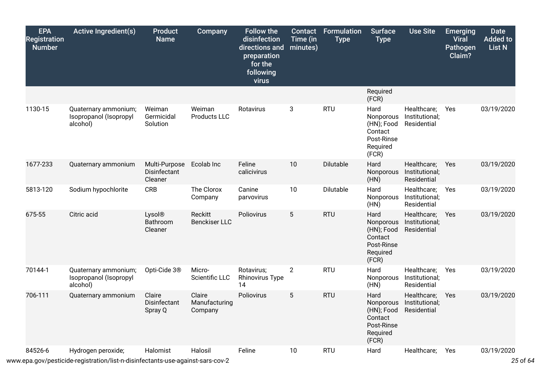| <b>EPA</b><br><b>Registration</b><br><b>Number</b> | <b>Active Ingredient(s)</b>                                | <b>Product</b><br><b>Name</b>            | <b>Company</b>                     | <b>Follow the</b><br>disinfection<br>directions and<br>preparation<br>for the<br>following<br>virus | <b>Contact</b><br>Time (in<br>minutes) | Formulation<br><b>Type</b> | <b>Surface</b><br><b>Type</b>                                                 | <b>Use Site</b>                              | <b>Emerging</b><br><b>Viral</b><br>Pathogen<br>Claim? | <b>Date</b><br><b>Added to</b><br><b>List N</b> |
|----------------------------------------------------|------------------------------------------------------------|------------------------------------------|------------------------------------|-----------------------------------------------------------------------------------------------------|----------------------------------------|----------------------------|-------------------------------------------------------------------------------|----------------------------------------------|-------------------------------------------------------|-------------------------------------------------|
|                                                    |                                                            |                                          |                                    |                                                                                                     |                                        |                            | Required<br>(FCR)                                                             |                                              |                                                       |                                                 |
| 1130-15                                            | Quaternary ammonium;<br>Isopropanol (Isopropyl<br>alcohol) | Weiman<br>Germicidal<br>Solution         | Weiman<br>Products LLC             | Rotavirus                                                                                           | 3                                      | <b>RTU</b>                 | Hard<br>Nonporous<br>(HN); Food<br>Contact<br>Post-Rinse<br>Required<br>(FCR) | Healthcare;<br>Institutional;<br>Residential | Yes                                                   | 03/19/2020                                      |
| 1677-233                                           | Quaternary ammonium                                        | Multi-Purpose<br>Disinfectant<br>Cleaner | Ecolab Inc                         | Feline<br>calicivirus                                                                               | 10                                     | Dilutable                  | Hard<br>Nonporous<br>(HN)                                                     | Healthcare;<br>Institutional;<br>Residential | Yes                                                   | 03/19/2020                                      |
| 5813-120                                           | Sodium hypochlorite                                        | <b>CRB</b>                               | The Clorox<br>Company              | Canine<br>parvovirus                                                                                | 10                                     | Dilutable                  | Hard<br>Nonporous<br>(HN)                                                     | Healthcare;<br>Institutional;<br>Residential | Yes                                                   | 03/19/2020                                      |
| 675-55                                             | Citric acid                                                | Lysol®<br>Bathroom<br>Cleaner            | Reckitt<br><b>Benckiser LLC</b>    | Poliovirus                                                                                          | $5\phantom{.0}$                        | <b>RTU</b>                 | Hard<br>Nonporous<br>(HN); Food<br>Contact<br>Post-Rinse<br>Required<br>(FCR) | Healthcare;<br>Institutional;<br>Residential | Yes                                                   | 03/19/2020                                      |
| 70144-1                                            | Quaternary ammonium;<br>Isopropanol (Isopropyl<br>alcohol) | Opti-Cide 3 <sup>®</sup>                 | Micro-<br>Scientific LLC           | Rotavirus;<br><b>Rhinovirus Type</b><br>14                                                          | $\overline{2}$                         | <b>RTU</b>                 | Hard<br>Nonporous<br>(HN)                                                     | Healthcare;<br>Institutional;<br>Residential | Yes                                                   | 03/19/2020                                      |
| 706-111                                            | Quaternary ammonium                                        | Claire<br>Disinfectant<br>Spray Q        | Claire<br>Manufacturing<br>Company | Poliovirus                                                                                          | $5\phantom{.0}$                        | <b>RTU</b>                 | Hard<br>Nonporous<br>(HN); Food<br>Contact<br>Post-Rinse<br>Required<br>(FCR) | Healthcare;<br>Institutional;<br>Residential | Yes                                                   | 03/19/2020                                      |
| 84526-6                                            | Hydrogen peroxide;                                         | Halomist                                 | Halosil                            | Feline                                                                                              | 10                                     | <b>RTU</b>                 | Hard                                                                          | Healthcare;                                  | Yes                                                   | 03/19/2020                                      |

www.epa.gov/pesticide-registration/list-n-disinfectants-use-against-sars-cov-2 *25* of *64*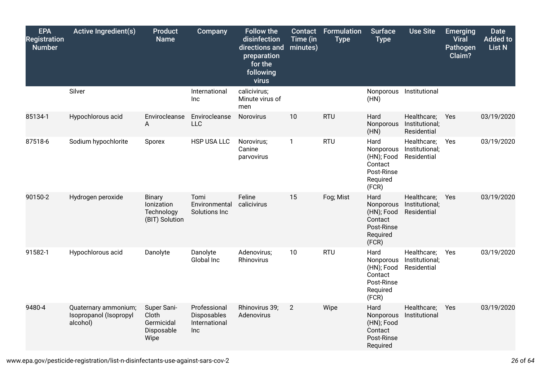| <b>EPA</b><br><b>Registration</b><br><b>Number</b> | <b>Active Ingredient(s)</b>                                | Product<br><b>Name</b>                                      | <b>Company</b>                                      | <b>Follow the</b><br>disinfection<br>directions and<br>preparation<br>for the<br>following<br>virus | Contact<br>Time (in<br>minutes) | Formulation<br><b>Type</b> | <b>Surface</b><br><b>Type</b>                                                 | <b>Use Site</b>                              | <b>Emerging</b><br><b>Viral</b><br>Pathogen<br>Claim? | <b>Date</b><br><b>Added to</b><br><b>List N</b> |
|----------------------------------------------------|------------------------------------------------------------|-------------------------------------------------------------|-----------------------------------------------------|-----------------------------------------------------------------------------------------------------|---------------------------------|----------------------------|-------------------------------------------------------------------------------|----------------------------------------------|-------------------------------------------------------|-------------------------------------------------|
|                                                    | Silver                                                     |                                                             | International<br>Inc                                | calicivirus;<br>Minute virus of<br>men                                                              |                                 |                            | Nonporous<br>(HN)                                                             | Institutional                                |                                                       |                                                 |
| 85134-1                                            | Hypochlorous acid                                          | Envirocleanse<br>A                                          | Envirocleanse<br><b>LLC</b>                         | Norovirus                                                                                           | 10                              | <b>RTU</b>                 | Hard<br>Nonporous<br>(HN)                                                     | Healthcare;<br>Institutional;<br>Residential | Yes                                                   | 03/19/2020                                      |
| 87518-6                                            | Sodium hypochlorite                                        | Sporex                                                      | HSP USA LLC                                         | Norovirus;<br>Canine<br>parvovirus                                                                  | $\mathbf{1}$                    | <b>RTU</b>                 | Hard<br>Nonporous<br>(HN); Food<br>Contact<br>Post-Rinse<br>Required<br>(FCR) | Healthcare;<br>Institutional;<br>Residential | Yes                                                   | 03/19/2020                                      |
| 90150-2                                            | Hydrogen peroxide                                          | <b>Binary</b><br>Ionization<br>Technology<br>(BIT) Solution | Tomi<br>Environmental<br>Solutions Inc              | Feline<br>calicivirus                                                                               | 15                              | Fog; Mist                  | Hard<br>Nonporous<br>(HN); Food<br>Contact<br>Post-Rinse<br>Required<br>(FCR) | Healthcare;<br>Institutional;<br>Residential | Yes                                                   | 03/19/2020                                      |
| 91582-1                                            | Hypochlorous acid                                          | Danolyte                                                    | Danolyte<br>Global Inc                              | Adenovirus;<br>Rhinovirus                                                                           | 10                              | <b>RTU</b>                 | Hard<br>Nonporous<br>(HN); Food<br>Contact<br>Post-Rinse<br>Required<br>(FCR) | Healthcare;<br>Institutional;<br>Residential | Yes                                                   | 03/19/2020                                      |
| 9480-4                                             | Quaternary ammonium;<br>Isopropanol (Isopropyl<br>alcohol) | Super Sani-<br>Cloth<br>Germicidal<br>Disposable<br>Wipe    | Professional<br>Disposables<br>International<br>Inc | Rhinovirus 39;<br>Adenovirus                                                                        | $\overline{2}$                  | Wipe                       | Hard<br>Nonporous<br>(HN); Food<br>Contact<br>Post-Rinse<br>Required          | Healthcare;<br>Institutional                 | Yes                                                   | 03/19/2020                                      |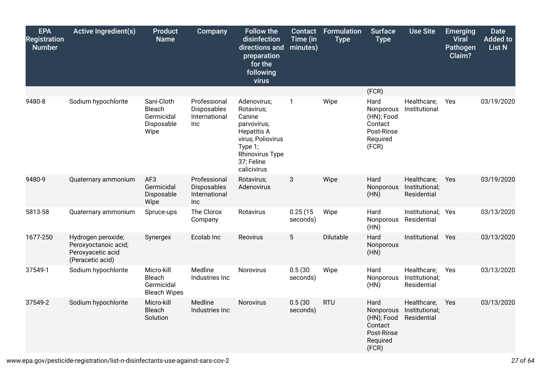| <b>EPA</b><br><b>Registration</b><br><b>Number</b> | <b>Active Ingredient(s)</b>                                                         | <b>Product</b><br><b>Name</b>                                    | <b>Company</b>                                      | <b>Follow the</b><br>disinfection<br>directions and<br>preparation<br>for the<br>following<br>virus                                                             | <b>Contact</b><br>Time (in<br>minutes) | <b>Formulation</b><br><b>Type</b> | <b>Surface</b><br><b>Type</b>                                                 | <b>Use Site</b>                              | <b>Emerging</b><br><b>Viral</b><br>Pathogen<br>Claim? | <b>Date</b><br><b>Added to</b><br>List N |
|----------------------------------------------------|-------------------------------------------------------------------------------------|------------------------------------------------------------------|-----------------------------------------------------|-----------------------------------------------------------------------------------------------------------------------------------------------------------------|----------------------------------------|-----------------------------------|-------------------------------------------------------------------------------|----------------------------------------------|-------------------------------------------------------|------------------------------------------|
| 9480-8                                             |                                                                                     | Sani-Cloth                                                       | Professional                                        |                                                                                                                                                                 |                                        | Wipe                              | (FCR)<br>Hard                                                                 | Healthcare;                                  |                                                       | 03/19/2020                               |
|                                                    | Sodium hypochlorite                                                                 | Bleach<br>Germicidal<br>Disposable<br>Wipe                       | Disposables<br>International<br><b>Inc</b>          | Adenovirus;<br>Rotavirus;<br>Canine<br>parvovirus;<br><b>Hepatitis A</b><br>virus; Poliovirus<br>Type 1;<br><b>Rhinovirus Type</b><br>37; Feline<br>calicivirus | $\mathbf{1}$                           |                                   | Nonporous<br>(HN); Food<br>Contact<br>Post-Rinse<br>Required<br>(FCR)         | Institutional                                | Yes                                                   |                                          |
| 9480-9                                             | Quaternary ammonium                                                                 | AF <sub>3</sub><br>Germicidal<br>Disposable<br>Wipe              | Professional<br>Disposables<br>International<br>Inc | Rotavirus;<br>Adenovirus                                                                                                                                        | 3                                      | Wipe                              | Hard<br>Nonporous<br>(HN)                                                     | Healthcare;<br>Institutional;<br>Residential | Yes                                                   | 03/19/2020                               |
| 5813-58                                            | Quaternary ammonium                                                                 | Spruce-ups                                                       | The Clorox<br>Company                               | Rotavirus                                                                                                                                                       | 0.25(15)<br>seconds)                   | Wipe                              | Hard<br>Nonporous<br>(HN)                                                     | Institutional; Yes<br>Residential            |                                                       | 03/13/2020                               |
| 1677-250                                           | Hydrogen peroxide;<br>Peroxyoctanoic acid;<br>Peroxyacetic acid<br>(Peracetic acid) | Synergex                                                         | Ecolab Inc                                          | Reovirus                                                                                                                                                        | $5\phantom{.0}$                        | Dilutable                         | Hard<br>Nonporous<br>(HN)                                                     | Institutional                                | Yes                                                   | 03/13/2020                               |
| 37549-1                                            | Sodium hypochlorite                                                                 | Micro-kill<br><b>Bleach</b><br>Germicidal<br><b>Bleach Wipes</b> | Medline<br>Industries Inc                           | Norovirus                                                                                                                                                       | 0.5(30)<br>seconds)                    | Wipe                              | Hard<br>Nonporous<br>(HN)                                                     | Healthcare;<br>Institutional;<br>Residential | Yes                                                   | 03/13/2020                               |
| 37549-2                                            | Sodium hypochlorite                                                                 | Micro-kill<br><b>Bleach</b><br>Solution                          | Medline<br>Industries Inc                           | Norovirus                                                                                                                                                       | 0.5(30)<br>seconds)                    | <b>RTU</b>                        | Hard<br>Nonporous<br>(HN); Food<br>Contact<br>Post-Rinse<br>Required<br>(FCR) | Healthcare;<br>Institutional;<br>Residential | Yes                                                   | 03/13/2020                               |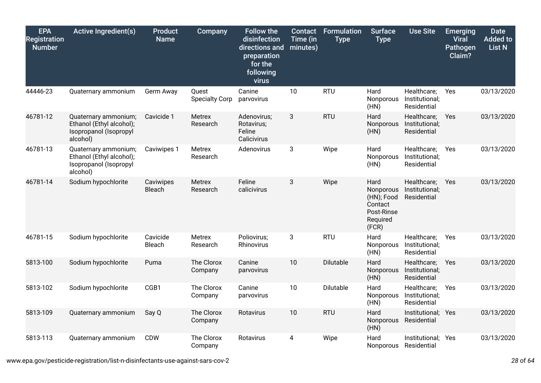| <b>EPA</b><br><b>Registration</b><br><b>Number</b> | <b>Active Ingredient(s)</b>                                                            | <b>Product</b><br><b>Name</b> | Company                        | <b>Follow the</b><br>disinfection<br>directions and<br>preparation<br>for the<br>following<br>virus | Contact<br>Time (in<br>minutes) | <b>Formulation</b><br><b>Type</b> | <b>Surface</b><br><b>Type</b>                                                 | <b>Use Site</b>                              | <b>Emerging</b><br><b>Viral</b><br>Pathogen<br>Claim? | <b>Date</b><br><b>Added to</b><br><b>List N</b> |
|----------------------------------------------------|----------------------------------------------------------------------------------------|-------------------------------|--------------------------------|-----------------------------------------------------------------------------------------------------|---------------------------------|-----------------------------------|-------------------------------------------------------------------------------|----------------------------------------------|-------------------------------------------------------|-------------------------------------------------|
| 44446-23                                           | Quaternary ammonium                                                                    | Germ Away                     | Quest<br><b>Specialty Corp</b> | Canine<br>parvovirus                                                                                | 10                              | <b>RTU</b>                        | Hard<br>Nonporous<br>(HN)                                                     | Healthcare;<br>Institutional;<br>Residential | Yes                                                   | 03/13/2020                                      |
| 46781-12                                           | Quaternary ammonium;<br>Ethanol (Ethyl alcohol);<br>Isopropanol (Isopropyl<br>alcohol) | Cavicide 1                    | Metrex<br>Research             | Adenovirus;<br>Rotavirus;<br>Feline<br>Calicivirus                                                  | 3                               | <b>RTU</b>                        | Hard<br>Nonporous<br>(HN)                                                     | Healthcare;<br>Institutional;<br>Residential | Yes                                                   | 03/13/2020                                      |
| 46781-13                                           | Quaternary ammonium;<br>Ethanol (Ethyl alcohol);<br>Isopropanol (Isopropyl<br>alcohol) | Caviwipes 1                   | Metrex<br>Research             | Adenovirus                                                                                          | 3                               | Wipe                              | Hard<br>Nonporous<br>(HN)                                                     | Healthcare;<br>Institutional;<br>Residential | Yes                                                   | 03/13/2020                                      |
| 46781-14                                           | Sodium hypochlorite                                                                    | Caviwipes<br>Bleach           | Metrex<br>Research             | Feline<br>calicivirus                                                                               | 3                               | Wipe                              | Hard<br>Nonporous<br>(HN); Food<br>Contact<br>Post-Rinse<br>Required<br>(FCR) | Healthcare;<br>Institutional;<br>Residential | <b>Yes</b>                                            | 03/13/2020                                      |
| 46781-15                                           | Sodium hypochlorite                                                                    | Cavicide<br>Bleach            | Metrex<br>Research             | Poliovirus;<br>Rhinovirus                                                                           | 3                               | <b>RTU</b>                        | Hard<br>Nonporous<br>(HN)                                                     | Healthcare;<br>Institutional;<br>Residential | Yes                                                   | 03/13/2020                                      |
| 5813-100                                           | Sodium hypochlorite                                                                    | Puma                          | The Clorox<br>Company          | Canine<br>parvovirus                                                                                | 10                              | Dilutable                         | Hard<br>Nonporous<br>(HN)                                                     | Healthcare;<br>Institutional;<br>Residential | Yes                                                   | 03/13/2020                                      |
| 5813-102                                           | Sodium hypochlorite                                                                    | CGB1                          | The Clorox<br>Company          | Canine<br>parvovirus                                                                                | 10                              | Dilutable                         | Hard<br>Nonporous<br>(HN)                                                     | Healthcare;<br>Institutional;<br>Residential | Yes                                                   | 03/13/2020                                      |
| 5813-109                                           | Quaternary ammonium                                                                    | Say Q                         | The Clorox<br>Company          | Rotavirus                                                                                           | 10                              | <b>RTU</b>                        | Hard<br>Nonporous<br>(HN)                                                     | Institutional; Yes<br>Residential            |                                                       | 03/13/2020                                      |
| 5813-113                                           | Quaternary ammonium                                                                    | <b>CDW</b>                    | The Clorox<br>Company          | Rotavirus                                                                                           | 4                               | Wipe                              | Hard<br>Nonporous                                                             | Institutional; Yes<br>Residential            |                                                       | 03/13/2020                                      |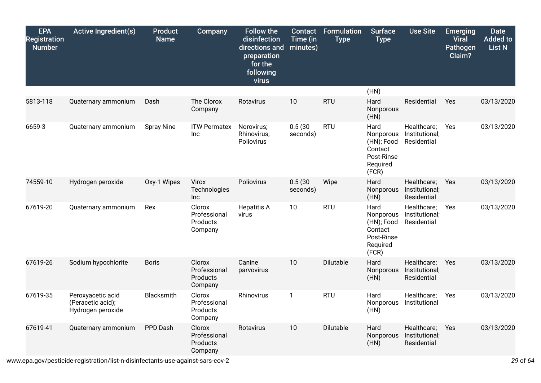| <b>EPA</b><br><b>Registration</b><br><b>Number</b> | <b>Active Ingredient(s)</b>                                 | <b>Product</b><br><b>Name</b> | Company                                              | <b>Follow the</b><br>disinfection<br>directions and<br>preparation<br>for the<br>following<br>virus | Contact<br>Time (in<br>minutes) | <b>Formulation</b><br><b>Type</b> | <b>Surface</b><br><b>Type</b>                                                 | <b>Use Site</b>                              | <b>Emerging</b><br><b>Viral</b><br>Pathogen<br>Claim? | <b>Date</b><br><b>Added to</b><br><b>List N</b> |
|----------------------------------------------------|-------------------------------------------------------------|-------------------------------|------------------------------------------------------|-----------------------------------------------------------------------------------------------------|---------------------------------|-----------------------------------|-------------------------------------------------------------------------------|----------------------------------------------|-------------------------------------------------------|-------------------------------------------------|
|                                                    |                                                             |                               |                                                      |                                                                                                     |                                 |                                   | (HN)                                                                          |                                              |                                                       |                                                 |
| 5813-118                                           | Quaternary ammonium                                         | Dash                          | The Clorox<br>Company                                | Rotavirus                                                                                           | 10                              | <b>RTU</b>                        | Hard<br>Nonporous<br>(HN)                                                     | Residential                                  | Yes                                                   | 03/13/2020                                      |
| 6659-3                                             | Quaternary ammonium                                         | <b>Spray Nine</b>             | <b>ITW Permatex</b><br>Inc                           | Norovirus;<br>Rhinovirus;<br>Poliovirus                                                             | 0.5(30)<br>seconds)             | <b>RTU</b>                        | Hard<br>Nonporous<br>(HN); Food<br>Contact<br>Post-Rinse<br>Required<br>(FCR) | Healthcare;<br>Institutional;<br>Residential | Yes                                                   | 03/13/2020                                      |
| 74559-10                                           | Hydrogen peroxide                                           | Oxy-1 Wipes                   | Virox<br>Technologies<br>Inc                         | Poliovirus                                                                                          | 0.5(30)<br>seconds)             | Wipe                              | Hard<br>Nonporous<br>(HN)                                                     | Healthcare;<br>Institutional;<br>Residential | Yes                                                   | 03/13/2020                                      |
| 67619-20                                           | Quaternary ammonium                                         | Rex                           | Clorox<br>Professional<br>Products<br>Company        | <b>Hepatitis A</b><br>virus                                                                         | 10                              | <b>RTU</b>                        | Hard<br>Nonporous<br>(HN); Food<br>Contact<br>Post-Rinse<br>Required<br>(FCR) | Healthcare;<br>Institutional;<br>Residential | Yes                                                   | 03/13/2020                                      |
| 67619-26                                           | Sodium hypochlorite                                         | <b>Boris</b>                  | Clorox<br>Professional<br>Products<br>Company        | Canine<br>parvovirus                                                                                | 10                              | Dilutable                         | Hard<br>Nonporous<br>(HN)                                                     | Healthcare;<br>Institutional;<br>Residential | Yes                                                   | 03/13/2020                                      |
| 67619-35                                           | Peroxyacetic acid<br>(Peracetic acid);<br>Hydrogen peroxide | Blacksmith                    | Clorox<br>Professional<br><b>Products</b><br>Company | Rhinovirus                                                                                          | 1                               | <b>RTU</b>                        | Hard<br>Nonporous<br>(HN)                                                     | Healthcare;<br>Institutional                 | Yes                                                   | 03/13/2020                                      |
| 67619-41                                           | Quaternary ammonium                                         | PPD Dash                      | Clorox<br>Professional<br>Products<br>Company        | Rotavirus                                                                                           | 10                              | Dilutable                         | Hard<br>Nonporous<br>(HN)                                                     | Healthcare;<br>Institutional;<br>Residential | Yes                                                   | 03/13/2020                                      |

www.epa.gov/pesticide-registration/list-n-disinfectants-use-against-sars-cov-2 *29* of *64*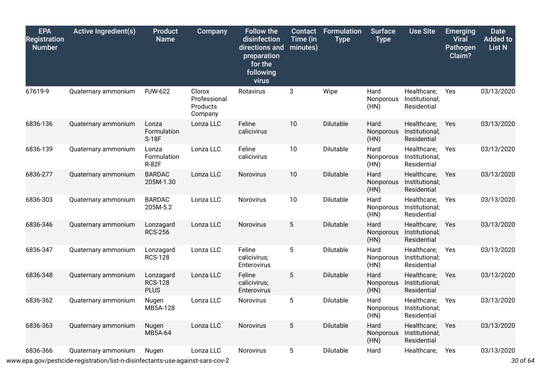| <b>EPA</b><br><b>Registration</b><br><b>Number</b> | <b>Active Ingredient(s)</b>                                                                           | <b>Product</b><br><b>Name</b>              | Company                                       | <b>Follow the</b><br>disinfection<br>directions and<br>preparation<br>for the<br>following<br>virus | <b>Contact</b><br>Time (in<br>minutes) | Formulation<br><b>Type</b> | Surface<br><b>Type</b>    | <b>Use Site</b>                              | <b>Emerging</b><br><b>Viral</b><br>Pathogen<br>Claim? | <b>Date</b><br><b>Added to</b><br>List N |
|----------------------------------------------------|-------------------------------------------------------------------------------------------------------|--------------------------------------------|-----------------------------------------------|-----------------------------------------------------------------------------------------------------|----------------------------------------|----------------------------|---------------------------|----------------------------------------------|-------------------------------------------------------|------------------------------------------|
| 67619-9                                            | Quaternary ammonium                                                                                   | <b>PJW-622</b>                             | Clorox<br>Professional<br>Products<br>Company | Rotavirus                                                                                           | 3                                      | Wipe                       | Hard<br>Nonporous<br>(HN) | Healthcare;<br>Institutional;<br>Residential | Yes                                                   | 03/13/2020                               |
| 6836-136                                           | Quaternary ammonium                                                                                   | Lonza<br>Formulation<br>S-18F              | Lonza LLC                                     | Feline<br>calicivirus                                                                               | 10                                     | Dilutable                  | Hard<br>Nonporous<br>(HN) | Healthcare;<br>Institutional;<br>Residential | Yes                                                   | 03/13/2020                               |
| 6836-139                                           | Quaternary ammonium                                                                                   | Lonza<br>Formulation<br><b>R-82F</b>       | Lonza LLC                                     | Feline<br>calicivirus                                                                               | 10                                     | Dilutable                  | Hard<br>Nonporous<br>(HN) | Healthcare;<br>Institutional;<br>Residential | Yes                                                   | 03/13/2020                               |
| 6836-277                                           | Quaternary ammonium                                                                                   | <b>BARDAC</b><br>205M-1.30                 | Lonza LLC                                     | Norovirus                                                                                           | 10                                     | Dilutable                  | Hard<br>Nonporous<br>(HN) | Healthcare;<br>Institutional;<br>Residential | Yes                                                   | 03/13/2020                               |
| 6836-303                                           | Quaternary ammonium                                                                                   | <b>BARDAC</b><br>205M-5.2                  | Lonza LLC                                     | Norovirus                                                                                           | 10                                     | Dilutable                  | Hard<br>Nonporous<br>(HN) | Healthcare;<br>Institutional;<br>Residential | Yes                                                   | 03/13/2020                               |
| 6836-346                                           | Quaternary ammonium                                                                                   | Lonzagard<br><b>RCS-256</b>                | Lonza LLC                                     | Norovirus                                                                                           | 5                                      | Dilutable                  | Hard<br>Nonporous<br>(HN) | Healthcare;<br>Institutional;<br>Residential | Yes                                                   | 03/13/2020                               |
| 6836-347                                           | Quaternary ammonium                                                                                   | Lonzagard<br><b>RCS-128</b>                | Lonza LLC                                     | Feline<br>calicivirus;<br>Enterovirus                                                               | 5                                      | Dilutable                  | Hard<br>Nonporous<br>(HN) | Healthcare;<br>Institutional;<br>Residential | Yes                                                   | 03/13/2020                               |
| 6836-348                                           | Quaternary ammonium                                                                                   | Lonzagard<br><b>RCS-128</b><br><b>PLUS</b> | Lonza LLC                                     | Feline<br>calicivirus;<br>Enterovirus                                                               | 5                                      | Dilutable                  | Hard<br>Nonporous<br>(HN) | Healthcare;<br>Institutional;<br>Residential | Yes                                                   | 03/13/2020                               |
| 6836-362                                           | Quaternary ammonium                                                                                   | Nugen<br>MB5A-128                          | Lonza LLC                                     | Norovirus                                                                                           | 5                                      | Dilutable                  | Hard<br>Nonporous<br>(HN) | Healthcare;<br>Institutional;<br>Residential | Yes                                                   | 03/13/2020                               |
| 6836-363                                           | Quaternary ammonium                                                                                   | Nugen<br>MB5A-64                           | Lonza LLC                                     | Norovirus                                                                                           | 5                                      | Dilutable                  | Hard<br>Nonporous<br>(HN) | Healthcare;<br>Institutional;<br>Residential | Yes                                                   | 03/13/2020                               |
| 6836-366                                           | Quaternary ammonium<br>www.epa.gov/pesticide-registration/list-n-disinfectants-use-against-sars-cov-2 | Nugen                                      | Lonza LLC                                     | Norovirus                                                                                           | 5                                      | Dilutable                  | Hard                      | Healthcare;                                  | Yes                                                   | 03/13/2020<br>30 of 64                   |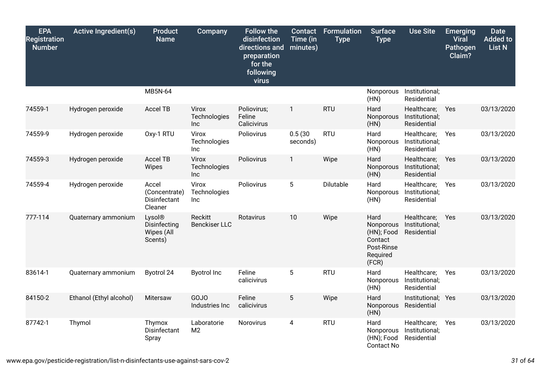| <b>EPA</b><br><b>Registration</b><br><b>Number</b> | <b>Active Ingredient(s)</b> | <b>Product</b><br><b>Name</b>                     | Company                             | <b>Follow the</b><br>disinfection<br>directions and<br>preparation<br>for the<br>following<br>virus | <b>Contact</b><br>Time (in<br>minutes) | Formulation<br><b>Type</b> | <b>Surface</b><br><b>Type</b>                                                 | <b>Use Site</b>                              | <b>Emerging</b><br><b>Viral</b><br>Pathogen<br>Claim? | <b>Date</b><br><b>Added to</b><br><b>List N</b> |
|----------------------------------------------------|-----------------------------|---------------------------------------------------|-------------------------------------|-----------------------------------------------------------------------------------------------------|----------------------------------------|----------------------------|-------------------------------------------------------------------------------|----------------------------------------------|-------------------------------------------------------|-------------------------------------------------|
|                                                    |                             | MB5N-64                                           |                                     |                                                                                                     |                                        |                            | Nonporous<br>(HN)                                                             | Institutional;<br>Residential                |                                                       |                                                 |
| 74559-1                                            | Hydrogen peroxide           | Accel TB                                          | Virox<br>Technologies<br><b>Inc</b> | Poliovirus;<br>Feline<br>Calicivirus                                                                | $\mathbf{1}$                           | <b>RTU</b>                 | Hard<br>Nonporous<br>(HN)                                                     | Healthcare;<br>Institutional;<br>Residential | Yes                                                   | 03/13/2020                                      |
| 74559-9                                            | Hydrogen peroxide           | Oxy-1 RTU                                         | Virox<br>Technologies<br><b>Inc</b> | Poliovirus                                                                                          | 0.5(30)<br>seconds)                    | <b>RTU</b>                 | Hard<br>Nonporous<br>(HN)                                                     | Healthcare;<br>Institutional;<br>Residential | Yes                                                   | 03/13/2020                                      |
| 74559-3                                            | Hydrogen peroxide           | <b>Accel TB</b><br>Wipes                          | Virox<br>Technologies<br>Inc        | Poliovirus                                                                                          | 1                                      | Wipe                       | Hard<br>Nonporous<br>(HN)                                                     | Healthcare;<br>Institutional;<br>Residential | Yes                                                   | 03/13/2020                                      |
| 74559-4                                            | Hydrogen peroxide           | Accel<br>(Concentrate)<br>Disinfectant<br>Cleaner | Virox<br>Technologies<br><b>Inc</b> | Poliovirus                                                                                          | 5                                      | Dilutable                  | Hard<br>Nonporous<br>(HN)                                                     | Healthcare;<br>Institutional;<br>Residential | Yes                                                   | 03/13/2020                                      |
| 777-114                                            | Quaternary ammonium         | Lysol®<br>Disinfecting<br>Wipes (All<br>Scents)   | Reckitt<br><b>Benckiser LLC</b>     | Rotavirus                                                                                           | 10                                     | Wipe                       | Hard<br>Nonporous<br>(HN); Food<br>Contact<br>Post-Rinse<br>Required<br>(FCR) | Healthcare;<br>Institutional;<br>Residential | Yes                                                   | 03/13/2020                                      |
| 83614-1                                            | Quaternary ammonium         | Byotrol 24                                        | <b>Byotrol Inc</b>                  | Feline<br>calicivirus                                                                               | 5                                      | <b>RTU</b>                 | Hard<br>Nonporous<br>(HN)                                                     | Healthcare;<br>Institutional;<br>Residential | Yes                                                   | 03/13/2020                                      |
| 84150-2                                            | Ethanol (Ethyl alcohol)     | Mitersaw                                          | GOJO<br>Industries Inc              | Feline<br>calicivirus                                                                               | $5\phantom{.0}$                        | Wipe                       | Hard<br>Nonporous<br>(HN)                                                     | Institutional; Yes<br>Residential            |                                                       | 03/13/2020                                      |
| 87742-1                                            | Thymol                      | Thymox<br>Disinfectant<br>Spray                   | Laboratorie<br>M <sub>2</sub>       | Norovirus                                                                                           | 4                                      | <b>RTU</b>                 | Hard<br>Nonporous<br>(HN); Food<br><b>Contact No</b>                          | Healthcare;<br>Institutional;<br>Residential | Yes                                                   | 03/13/2020                                      |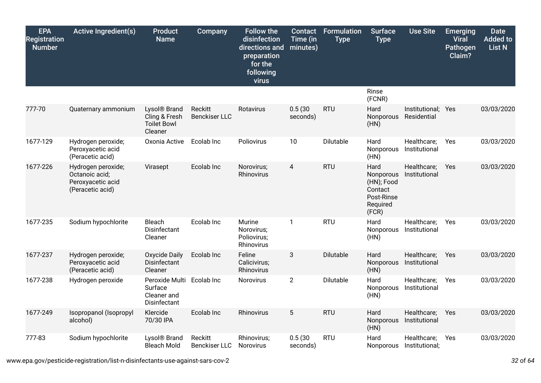| <b>EPA</b><br><b>Registration</b><br><b>Number</b> | Active Ingredient(s)                                                          | <b>Product</b><br><b>Name</b>                                              | Company                         | <b>Follow the</b><br>disinfection<br>directions and<br>preparation<br>for the<br>following<br>virus | <b>Contact</b><br>Time (in<br>minutes) | <b>Formulation</b><br><b>Type</b> | <b>Surface</b><br><b>Type</b>                                                 | <b>Use Site</b>                   | <b>Emerging</b><br><b>Viral</b><br>Pathogen<br>Claim? | <b>Date</b><br><b>Added to</b><br><b>List N</b> |
|----------------------------------------------------|-------------------------------------------------------------------------------|----------------------------------------------------------------------------|---------------------------------|-----------------------------------------------------------------------------------------------------|----------------------------------------|-----------------------------------|-------------------------------------------------------------------------------|-----------------------------------|-------------------------------------------------------|-------------------------------------------------|
|                                                    |                                                                               |                                                                            |                                 |                                                                                                     |                                        |                                   | Rinse<br>(FCNR)                                                               |                                   |                                                       |                                                 |
| 777-70                                             | Quaternary ammonium                                                           | Lysol <sup>®</sup> Brand<br>Cling & Fresh<br><b>Toilet Bowl</b><br>Cleaner | Reckitt<br><b>Benckiser LLC</b> | Rotavirus                                                                                           | 0.5(30)<br>seconds)                    | <b>RTU</b>                        | Hard<br>Nonporous<br>(HN)                                                     | Institutional; Yes<br>Residential |                                                       | 03/03/2020                                      |
| 1677-129                                           | Hydrogen peroxide;<br>Peroxyacetic acid<br>(Peracetic acid)                   | Oxonia Active                                                              | Ecolab Inc                      | Poliovirus                                                                                          | 10                                     | Dilutable                         | Hard<br>Nonporous<br>(HN)                                                     | Healthcare;<br>Institutional      | Yes                                                   | 03/03/2020                                      |
| 1677-226                                           | Hydrogen peroxide;<br>Octanoic acid;<br>Peroxyacetic acid<br>(Peracetic acid) | Virasept                                                                   | Ecolab Inc                      | Norovirus;<br>Rhinovirus                                                                            | 4                                      | <b>RTU</b>                        | Hard<br>Nonporous<br>(HN); Food<br>Contact<br>Post-Rinse<br>Required<br>(FCR) | Healthcare;<br>Institutional      | <b>Yes</b>                                            | 03/03/2020                                      |
| 1677-235                                           | Sodium hypochlorite                                                           | Bleach<br>Disinfectant<br>Cleaner                                          | Ecolab Inc                      | Murine<br>Norovirus;<br>Poliovirus;<br>Rhinovirus                                                   | $\mathbf{1}$                           | <b>RTU</b>                        | Hard<br>Nonporous<br>(HN)                                                     | Healthcare;<br>Institutional      | Yes                                                   | 03/03/2020                                      |
| 1677-237                                           | Hydrogen peroxide;<br>Peroxyacetic acid<br>(Peracetic acid)                   | <b>Oxycide Daily</b><br>Disinfectant<br>Cleaner                            | Ecolab Inc                      | Feline<br>Calicivirus;<br>Rhinovirus                                                                | 3                                      | Dilutable                         | Hard<br>Nonporous<br>(HN)                                                     | Healthcare;<br>Institutional      | Yes                                                   | 03/03/2020                                      |
| 1677-238                                           | Hydrogen peroxide                                                             | Peroxide Multi<br>Surface<br>Cleaner and<br>Disinfectant                   | Ecolab Inc                      | Norovirus                                                                                           | $\overline{2}$                         | Dilutable                         | Hard<br>Nonporous<br>(HN)                                                     | Healthcare;<br>Institutional      | Yes                                                   | 03/03/2020                                      |
| 1677-249                                           | Isopropanol (Isopropyl<br>alcohol)                                            | Klercide<br>70/30 IPA                                                      | Ecolab Inc                      | Rhinovirus                                                                                          | 5                                      | <b>RTU</b>                        | Hard<br>Nonporous<br>(HN)                                                     | Healthcare;<br>Institutional      | Yes                                                   | 03/03/2020                                      |
| 777-83                                             | Sodium hypochlorite                                                           | Lysol <sup>®</sup> Brand<br><b>Bleach Mold</b>                             | Reckitt<br><b>Benckiser LLC</b> | Rhinovirus;<br><b>Norovirus</b>                                                                     | 0.5(30)<br>seconds)                    | <b>RTU</b>                        | Hard<br><b>Nonporous</b>                                                      | Healthcare;<br>Institutional;     | Yes                                                   | 03/03/2020                                      |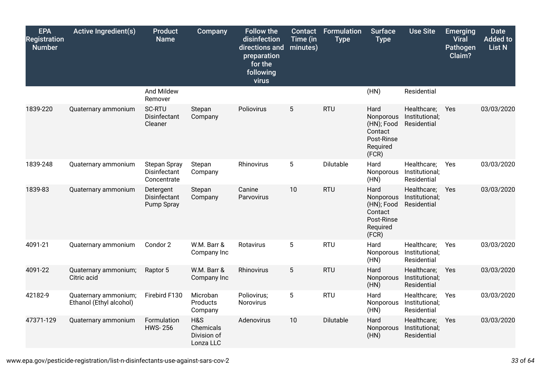| <b>EPA</b><br><b>Registration</b><br><b>Number</b> | <b>Active Ingredient(s)</b>                     | <b>Product</b><br><b>Name</b>                      | Company                                      | <b>Follow the</b><br>disinfection<br>directions and<br>preparation<br>for the<br>following<br>virus | Contact<br>Time (in<br>minutes) | <b>Formulation</b><br><b>Type</b> | <b>Surface</b><br><b>Type</b>                                                 | <b>Use Site</b>                              | <b>Emerging</b><br><b>Viral</b><br>Pathogen<br>Claim? | <b>Date</b><br><b>Added to</b><br><b>List N</b> |
|----------------------------------------------------|-------------------------------------------------|----------------------------------------------------|----------------------------------------------|-----------------------------------------------------------------------------------------------------|---------------------------------|-----------------------------------|-------------------------------------------------------------------------------|----------------------------------------------|-------------------------------------------------------|-------------------------------------------------|
|                                                    |                                                 | And Mildew<br>Remover                              |                                              |                                                                                                     |                                 |                                   | (HN)                                                                          | Residential                                  |                                                       |                                                 |
| 1839-220                                           | Quaternary ammonium                             | <b>SC-RTU</b><br>Disinfectant<br>Cleaner           | Stepan<br>Company                            | Poliovirus                                                                                          | 5                               | <b>RTU</b>                        | Hard<br>Nonporous<br>(HN); Food<br>Contact<br>Post-Rinse<br>Required<br>(FCR) | Healthcare;<br>Institutional;<br>Residential | Yes                                                   | 03/03/2020                                      |
| 1839-248                                           | Quaternary ammonium                             | <b>Stepan Spray</b><br>Disinfectant<br>Concentrate | Stepan<br>Company                            | Rhinovirus                                                                                          | $5\phantom{.0}$                 | Dilutable                         | Hard<br>Nonporous<br>(HN)                                                     | Healthcare;<br>Institutional;<br>Residential | Yes                                                   | 03/03/2020                                      |
| 1839-83                                            | Quaternary ammonium                             | Detergent<br><b>Disinfectant</b><br>Pump Spray     | Stepan<br>Company                            | Canine<br>Parvovirus                                                                                | 10                              | <b>RTU</b>                        | Hard<br>Nonporous<br>(HN); Food<br>Contact<br>Post-Rinse<br>Required<br>(FCR) | Healthcare;<br>Institutional;<br>Residential | Yes                                                   | 03/03/2020                                      |
| 4091-21                                            | Quaternary ammonium                             | Condor 2                                           | W.M. Barr &<br>Company Inc                   | Rotavirus                                                                                           | 5                               | <b>RTU</b>                        | Hard<br>Nonporous<br>(HN)                                                     | Healthcare;<br>Institutional;<br>Residential | Yes                                                   | 03/03/2020                                      |
| 4091-22                                            | Quaternary ammonium;<br>Citric acid             | Raptor 5                                           | W.M. Barr &<br>Company Inc                   | Rhinovirus                                                                                          | $5\phantom{.0}$                 | <b>RTU</b>                        | Hard<br>Nonporous<br>(HN)                                                     | Healthcare;<br>Institutional;<br>Residential | Yes                                                   | 03/03/2020                                      |
| 42182-9                                            | Quaternary ammonium;<br>Ethanol (Ethyl alcohol) | Firebird F130                                      | Microban<br>Products<br>Company              | Poliovirus;<br>Norovirus                                                                            | $5\phantom{.0}$                 | <b>RTU</b>                        | Hard<br>Nonporous<br>(HN)                                                     | Healthcare;<br>Institutional;<br>Residential | Yes                                                   | 03/03/2020                                      |
| 47371-129                                          | Quaternary ammonium                             | Formulation<br><b>HWS-256</b>                      | H&S<br>Chemicals<br>Division of<br>Lonza LLC | Adenovirus                                                                                          | 10                              | Dilutable                         | Hard<br>Nonporous<br>(HN)                                                     | Healthcare;<br>Institutional;<br>Residential | Yes                                                   | 03/03/2020                                      |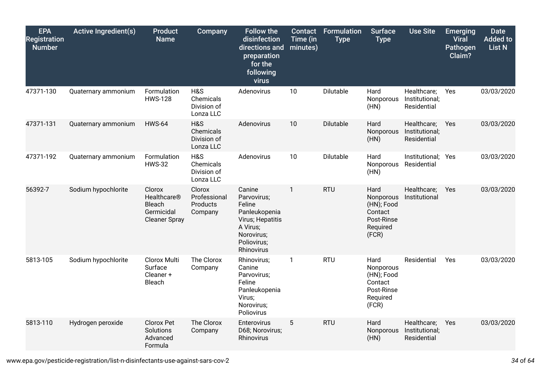| <b>EPA</b><br><b>Registration</b><br><b>Number</b> | <b>Active Ingredient(s)</b> | <b>Product</b><br><b>Name</b>                                         | <b>Company</b>                                | <b>Follow the</b><br>disinfection<br>directions and<br>preparation<br>for the<br>following<br>virus                         | <b>Contact</b><br>Time (in<br>minutes) | <b>Formulation</b><br><b>Type</b> | <b>Surface</b><br><b>Type</b>                                                 | <b>Use Site</b>                              | <b>Emerging</b><br><b>Viral</b><br>Pathogen<br>Claim? | <b>Date</b><br><b>Added to</b><br><b>List N</b> |
|----------------------------------------------------|-----------------------------|-----------------------------------------------------------------------|-----------------------------------------------|-----------------------------------------------------------------------------------------------------------------------------|----------------------------------------|-----------------------------------|-------------------------------------------------------------------------------|----------------------------------------------|-------------------------------------------------------|-------------------------------------------------|
| 47371-130                                          | Quaternary ammonium         | Formulation<br><b>HWS-128</b>                                         | H&S<br>Chemicals<br>Division of<br>Lonza LLC  | Adenovirus                                                                                                                  | 10                                     | Dilutable                         | Hard<br>Nonporous<br>(HN)                                                     | Healthcare;<br>Institutional;<br>Residential | Yes                                                   | 03/03/2020                                      |
| 47371-131                                          | Quaternary ammonium         | <b>HWS-64</b>                                                         | H&S<br>Chemicals<br>Division of<br>Lonza LLC  | Adenovirus                                                                                                                  | 10                                     | Dilutable                         | Hard<br>Nonporous<br>(HN)                                                     | Healthcare;<br>Institutional;<br>Residential | Yes                                                   | 03/03/2020                                      |
| 47371-192                                          | Quaternary ammonium         | Formulation<br><b>HWS-32</b>                                          | H&S<br>Chemicals<br>Division of<br>Lonza LLC  | Adenovirus                                                                                                                  | 10                                     | Dilutable                         | Hard<br>Nonporous<br>(HN)                                                     | Institutional; Yes<br>Residential            |                                                       | 03/03/2020                                      |
| 56392-7                                            | Sodium hypochlorite         | Clorox<br>Healthcare®<br>Bleach<br>Germicidal<br><b>Cleaner Spray</b> | Clorox<br>Professional<br>Products<br>Company | Canine<br>Parvovirus;<br>Feline<br>Panleukopenia<br>Virus; Hepatitis<br>A Virus;<br>Norovirus;<br>Poliovirus;<br>Rhinovirus | $\mathbf{1}$                           | <b>RTU</b>                        | Hard<br>Nonporous<br>(HN); Food<br>Contact<br>Post-Rinse<br>Required<br>(FCR) | Healthcare;<br>Institutional                 | Yes                                                   | 03/03/2020                                      |
| 5813-105                                           | Sodium hypochlorite         | Clorox Multi<br>Surface<br>Cleaner +<br>Bleach                        | The Clorox<br>Company                         | Rhinovirus;<br>Canine<br>Parvovirus;<br>Feline<br>Panleukopenia<br>Virus;<br>Norovirus;<br>Poliovirus                       | 1                                      | <b>RTU</b>                        | Hard<br>Nonporous<br>(HN); Food<br>Contact<br>Post-Rinse<br>Required<br>(FCR) | Residential                                  | Yes                                                   | 03/03/2020                                      |
| 5813-110                                           | Hydrogen peroxide           | Clorox Pet<br>Solutions<br>Advanced<br>Formula                        | The Clorox<br>Company                         | Enterovirus<br>D68; Norovirus;<br>Rhinovirus                                                                                | 5                                      | <b>RTU</b>                        | Hard<br>Nonporous<br>(HN)                                                     | Healthcare;<br>Institutional;<br>Residential | Yes                                                   | 03/03/2020                                      |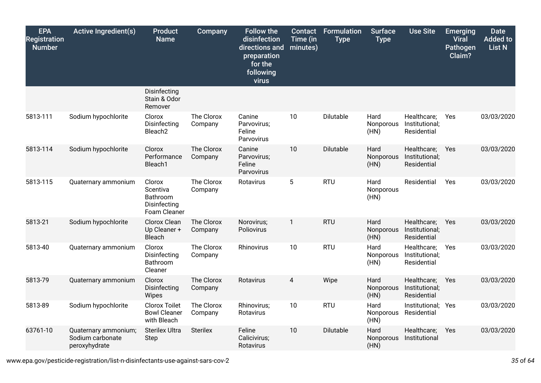| <b>EPA</b><br><b>Registration</b><br><b>Number</b> | <b>Active Ingredient(s)</b>                               | <b>Product</b><br><b>Name</b>                                  | Company               | <b>Follow the</b><br>disinfection<br>directions and<br>preparation<br>for the<br>following<br>virus | <b>Contact</b><br>Time (in<br>minutes) | <b>Formulation</b><br><b>Type</b> | <b>Surface</b><br><b>Type</b> | <b>Use Site</b>                              | <b>Emerging</b><br><b>Viral</b><br>Pathogen<br>Claim? | <b>Date</b><br><b>Added to</b><br>List N |
|----------------------------------------------------|-----------------------------------------------------------|----------------------------------------------------------------|-----------------------|-----------------------------------------------------------------------------------------------------|----------------------------------------|-----------------------------------|-------------------------------|----------------------------------------------|-------------------------------------------------------|------------------------------------------|
|                                                    |                                                           | Disinfecting<br>Stain & Odor<br>Remover                        |                       |                                                                                                     |                                        |                                   |                               |                                              |                                                       |                                          |
| 5813-111                                           | Sodium hypochlorite                                       | Clorox<br>Disinfecting<br>Bleach <sub>2</sub>                  | The Clorox<br>Company | Canine<br>Parvovirus;<br>Feline<br>Parvovirus                                                       | 10                                     | Dilutable                         | Hard<br>Nonporous<br>(HN)     | Healthcare;<br>Institutional;<br>Residential | Yes                                                   | 03/03/2020                               |
| 5813-114                                           | Sodium hypochlorite                                       | Clorox<br>Performance<br>Bleach1                               | The Clorox<br>Company | Canine<br>Parvovirus;<br>Feline<br>Parvovirus                                                       | 10                                     | Dilutable                         | Hard<br>Nonporous<br>(HN)     | Healthcare;<br>Institutional;<br>Residential | Yes                                                   | 03/03/2020                               |
| 5813-115                                           | Quaternary ammonium                                       | Clorox<br>Scentiva<br>Bathroom<br>Disinfecting<br>Foam Cleaner | The Clorox<br>Company | Rotavirus                                                                                           | $\mathbf 5$                            | <b>RTU</b>                        | Hard<br>Nonporous<br>(HN)     | Residential                                  | Yes                                                   | 03/03/2020                               |
| 5813-21                                            | Sodium hypochlorite                                       | Clorox Clean<br>Up Cleaner +<br>Bleach                         | The Clorox<br>Company | Norovirus;<br>Poliovirus                                                                            | $\mathbf{1}$                           | <b>RTU</b>                        | Hard<br>Nonporous<br>(HN)     | Healthcare;<br>Institutional;<br>Residential | Yes                                                   | 03/03/2020                               |
| 5813-40                                            | Quaternary ammonium                                       | Clorox<br>Disinfecting<br>Bathroom<br>Cleaner                  | The Clorox<br>Company | Rhinovirus                                                                                          | 10                                     | <b>RTU</b>                        | Hard<br>Nonporous<br>(HN)     | Healthcare;<br>Institutional;<br>Residential | Yes                                                   | 03/03/2020                               |
| 5813-79                                            | Quaternary ammonium                                       | Clorox<br>Disinfecting<br>Wipes                                | The Clorox<br>Company | Rotavirus                                                                                           | 4                                      | Wipe                              | Hard<br>Nonporous<br>(HN)     | Healthcare;<br>Institutional;<br>Residential | Yes                                                   | 03/03/2020                               |
| 5813-89                                            | Sodium hypochlorite                                       | <b>Clorox Toilet</b><br><b>Bowl Cleaner</b><br>with Bleach     | The Clorox<br>Company | Rhinovirus;<br>Rotavirus                                                                            | 10                                     | <b>RTU</b>                        | Hard<br>Nonporous<br>(HN)     | Institutional; Yes<br>Residential            |                                                       | 03/03/2020                               |
| 63761-10                                           | Quaternary ammonium;<br>Sodium carbonate<br>peroxyhydrate | <b>Sterilex Ultra</b><br><b>Step</b>                           | <b>Sterilex</b>       | Feline<br>Calicivirus;<br>Rotavirus                                                                 | 10                                     | Dilutable                         | Hard<br>Nonporous<br>(HN)     | Healthcare;<br>Institutional                 | Yes                                                   | 03/03/2020                               |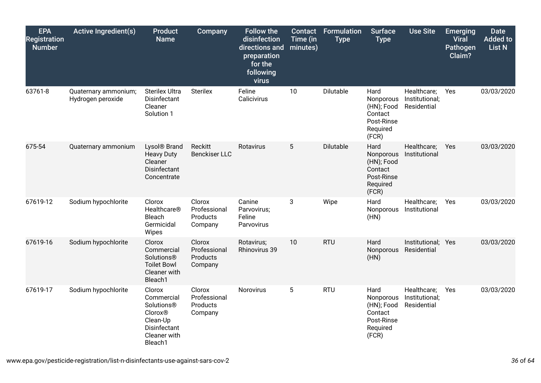| <b>EPA</b><br><b>Registration</b><br><b>Number</b> | <b>Active Ingredient(s)</b>               | <b>Product</b><br><b>Name</b>                                                                                           | <b>Company</b>                                | <b>Follow the</b><br>disinfection<br>directions and<br>preparation<br>for the<br>following<br>virus | Contact<br>Time (in<br>minutes) | Formulation<br><b>Type</b> | <b>Surface</b><br><b>Type</b>                                                 | <b>Use Site</b>                              | <b>Emerging</b><br><b>Viral</b><br>Pathogen<br>Claim? | <b>Date</b><br><b>Added to</b><br><b>List N</b> |
|----------------------------------------------------|-------------------------------------------|-------------------------------------------------------------------------------------------------------------------------|-----------------------------------------------|-----------------------------------------------------------------------------------------------------|---------------------------------|----------------------------|-------------------------------------------------------------------------------|----------------------------------------------|-------------------------------------------------------|-------------------------------------------------|
| 63761-8                                            | Quaternary ammonium;<br>Hydrogen peroxide | <b>Sterilex Ultra</b><br><b>Disinfectant</b><br>Cleaner<br>Solution 1                                                   | <b>Sterilex</b>                               | Feline<br>Calicivirus                                                                               | 10                              | Dilutable                  | Hard<br>Nonporous<br>(HN); Food<br>Contact<br>Post-Rinse<br>Required<br>(FCR) | Healthcare;<br>Institutional;<br>Residential | Yes                                                   | 03/03/2020                                      |
| 675-54                                             | Quaternary ammonium                       | Lysol <sup>®</sup> Brand<br><b>Heavy Duty</b><br>Cleaner<br>Disinfectant<br>Concentrate                                 | Reckitt<br><b>Benckiser LLC</b>               | Rotavirus                                                                                           | $5\phantom{.0}$                 | Dilutable                  | Hard<br>Nonporous<br>(HN); Food<br>Contact<br>Post-Rinse<br>Required<br>(FCR) | Healthcare;<br>Institutional                 | Yes                                                   | 03/03/2020                                      |
| 67619-12                                           | Sodium hypochlorite                       | Clorox<br>Healthcare <sup>®</sup><br><b>Bleach</b><br>Germicidal<br>Wipes                                               | Clorox<br>Professional<br>Products<br>Company | Canine<br>Parvovirus;<br>Feline<br>Parvovirus                                                       | 3                               | Wipe                       | Hard<br>Nonporous<br>(HN)                                                     | Healthcare;<br>Institutional                 | Yes                                                   | 03/03/2020                                      |
| 67619-16                                           | Sodium hypochlorite                       | Clorox<br>Commercial<br>Solutions®<br><b>Toilet Bowl</b><br>Cleaner with<br>Bleach1                                     | Clorox<br>Professional<br>Products<br>Company | Rotavirus;<br>Rhinovirus 39                                                                         | 10                              | <b>RTU</b>                 | Hard<br>Nonporous<br>(HN)                                                     | Institutional; Yes<br>Residential            |                                                       | 03/03/2020                                      |
| 67619-17                                           | Sodium hypochlorite                       | Clorox<br>Commercial<br>Solutions <sup>®</sup><br><b>Clorox®</b><br>Clean-Up<br>Disinfectant<br>Cleaner with<br>Bleach1 | Clorox<br>Professional<br>Products<br>Company | <b>Norovirus</b>                                                                                    | $5\phantom{.0}$                 | <b>RTU</b>                 | Hard<br>Nonporous<br>(HN); Food<br>Contact<br>Post-Rinse<br>Required<br>(FCR) | Healthcare;<br>Institutional;<br>Residential | Yes                                                   | 03/03/2020                                      |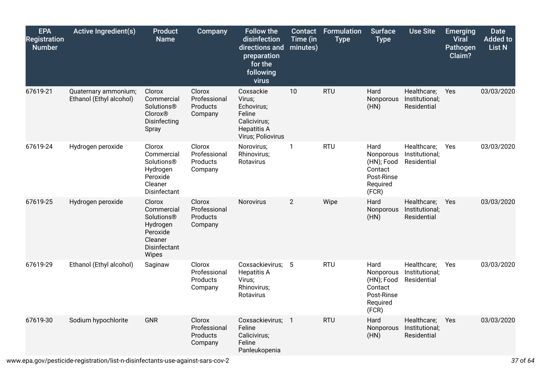| <b>EPA</b><br><b>Registration</b><br><b>Number</b> | <b>Active Ingredient(s)</b>                     | <b>Product</b><br><b>Name</b>                                                                  | Company                                       | <b>Follow the</b><br>disinfection<br>directions and<br>preparation<br>for the<br>following<br>virus    | <b>Contact</b><br>Time (in<br>minutes) | Formulation<br><b>Type</b> | <b>Surface</b><br><b>Type</b>                                                 | <b>Use Site</b>                              | <b>Emerging</b><br><b>Viral</b><br>Pathogen<br>Claim? | <b>Date</b><br><b>Added to</b><br><b>List N</b> |
|----------------------------------------------------|-------------------------------------------------|------------------------------------------------------------------------------------------------|-----------------------------------------------|--------------------------------------------------------------------------------------------------------|----------------------------------------|----------------------------|-------------------------------------------------------------------------------|----------------------------------------------|-------------------------------------------------------|-------------------------------------------------|
| 67619-21                                           | Quaternary ammonium;<br>Ethanol (Ethyl alcohol) | Clorox<br>Commercial<br><b>Solutions®</b><br><b>Clorox®</b><br>Disinfecting<br>Spray           | Clorox<br>Professional<br>Products<br>Company | Coxsackie<br>Virus;<br>Echovirus;<br>Feline<br>Calicivirus;<br><b>Hepatitis A</b><br>Virus; Poliovirus | 10                                     | <b>RTU</b>                 | Hard<br>Nonporous<br>(HN)                                                     | Healthcare;<br>Institutional;<br>Residential | Yes                                                   | 03/03/2020                                      |
| 67619-24                                           | Hydrogen peroxide                               | Clorox<br>Commercial<br>Solutions®<br>Hydrogen<br>Peroxide<br>Cleaner<br>Disinfectant          | Clorox<br>Professional<br>Products<br>Company | Norovirus;<br>Rhinovirus;<br>Rotavirus                                                                 | $\overline{1}$                         | <b>RTU</b>                 | Hard<br>Nonporous<br>(HN); Food<br>Contact<br>Post-Rinse<br>Required<br>(FCR) | Healthcare;<br>Institutional;<br>Residential | Yes                                                   | 03/03/2020                                      |
| 67619-25                                           | Hydrogen peroxide                               | Clorox<br>Commercial<br>Solutions®<br>Hydrogen<br>Peroxide<br>Cleaner<br>Disinfectant<br>Wipes | Clorox<br>Professional<br>Products<br>Company | Norovirus                                                                                              | $\overline{2}$                         | Wipe                       | Hard<br>Nonporous<br>(HN)                                                     | Healthcare;<br>Institutional;<br>Residential | Yes                                                   | 03/03/2020                                      |
| 67619-29                                           | Ethanol (Ethyl alcohol)                         | Saginaw                                                                                        | Clorox<br>Professional<br>Products<br>Company | Coxsackievirus; 5<br><b>Hepatitis A</b><br>Virus;<br>Rhinovirus;<br>Rotavirus                          |                                        | <b>RTU</b>                 | Hard<br>Nonporous<br>(HN); Food<br>Contact<br>Post-Rinse<br>Required<br>(FCR) | Healthcare;<br>Institutional;<br>Residential | Yes                                                   | 03/03/2020                                      |
| 67619-30                                           | Sodium hypochlorite                             | <b>GNR</b>                                                                                     | Clorox<br>Professional<br>Products<br>Company | Coxsackievirus; 1<br>Feline<br>Calicivirus;<br>Feline<br>Panleukopenia                                 |                                        | <b>RTU</b>                 | Hard<br>Nonporous<br>(HN)                                                     | Healthcare;<br>Institutional;<br>Residential | Yes                                                   | 03/03/2020                                      |

www.epa.gov/pesticide-registration/list-n-disinfectants-use-against-sars-cov-2 *37* of *64*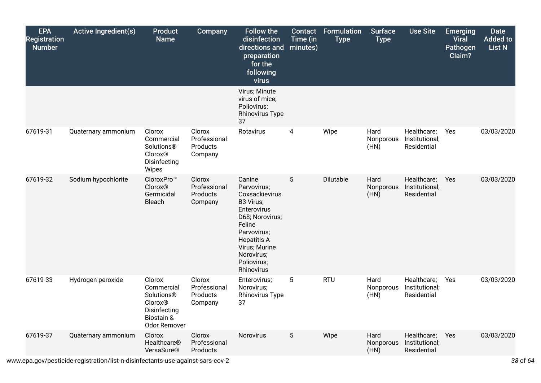| <b>EPA</b><br><b>Registration</b><br><b>Number</b> | <b>Active Ingredient(s)</b> | Product<br><b>Name</b>                                                                             | <b>Company</b>                                | <b>Follow the</b><br>disinfection<br>directions and<br>preparation<br>for the<br>following<br>virus                                                                                               | Contact<br>Time (in<br>minutes) | <b>Formulation</b><br><b>Type</b> | <b>Surface</b><br><b>Type</b> | <b>Use Site</b>                              | <b>Emerging</b><br><b>Viral</b><br><b>Pathogen</b><br>Claim? | <b>Date</b><br><b>Added to</b><br>List N |
|----------------------------------------------------|-----------------------------|----------------------------------------------------------------------------------------------------|-----------------------------------------------|---------------------------------------------------------------------------------------------------------------------------------------------------------------------------------------------------|---------------------------------|-----------------------------------|-------------------------------|----------------------------------------------|--------------------------------------------------------------|------------------------------------------|
|                                                    |                             |                                                                                                    |                                               | Virus; Minute<br>virus of mice;<br>Poliovirus;<br><b>Rhinovirus Type</b><br>37                                                                                                                    |                                 |                                   |                               |                                              |                                                              |                                          |
| 67619-31                                           | Quaternary ammonium         | Clorox<br>Commercial<br>Solutions®<br><b>Clorox®</b><br>Disinfecting<br>Wipes                      | Clorox<br>Professional<br>Products<br>Company | Rotavirus                                                                                                                                                                                         | 4                               | Wipe                              | Hard<br>Nonporous<br>(HN)     | Healthcare;<br>Institutional;<br>Residential | Yes                                                          | 03/03/2020                               |
| 67619-32                                           | Sodium hypochlorite         | CloroxPro™<br><b>Clorox®</b><br>Germicidal<br>Bleach                                               | Clorox<br>Professional<br>Products<br>Company | Canine<br>Parvovirus;<br>Coxsackievirus<br>B3 Virus;<br>Enterovirus<br>D68; Norovirus;<br>Feline<br>Parvovirus;<br><b>Hepatitis A</b><br>Virus; Murine<br>Norovirus;<br>Poliovirus;<br>Rhinovirus | 5                               | Dilutable                         | Hard<br>Nonporous<br>(HN)     | Healthcare;<br>Institutional;<br>Residential | Yes                                                          | 03/03/2020                               |
| 67619-33                                           | Hydrogen peroxide           | Clorox<br>Commercial<br>Solutions®<br><b>Clorox®</b><br>Disinfecting<br>Biostain &<br>Odor Remover | Clorox<br>Professional<br>Products<br>Company | Enterovirus;<br>Norovirus;<br><b>Rhinovirus Type</b><br>37                                                                                                                                        | $5\phantom{.0}$                 | <b>RTU</b>                        | Hard<br>Nonporous<br>(HN)     | Healthcare;<br>Institutional;<br>Residential | Yes                                                          | 03/03/2020                               |
| 67619-37                                           | Quaternary ammonium         | Clorox<br>Healthcare <sup>®</sup><br>VersaSure®                                                    | Clorox<br>Professional<br>Products            | Norovirus                                                                                                                                                                                         | $5\phantom{.0}$                 | Wipe                              | Hard<br>Nonporous<br>(HN)     | Healthcare;<br>Institutional;<br>Residential | Yes                                                          | 03/03/2020                               |

www.epa.gov/pesticide-registration/list-n-disinfectants-use-against-sars-cov-2 *38* of *64*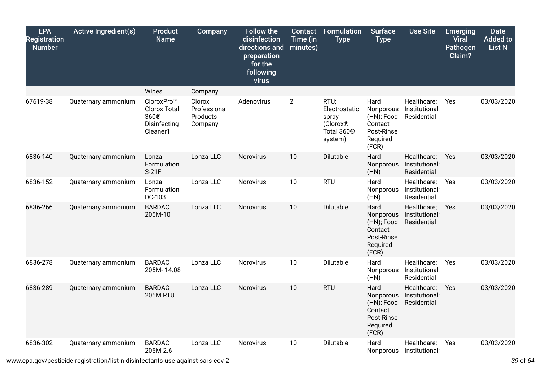| <b>EPA</b><br><b>Registration</b><br><b>Number</b> | <b>Active Ingredient(s)</b> | <b>Product</b><br><b>Name</b>                                                     | Company                                       | <b>Follow the</b><br>disinfection<br>directions and<br>preparation<br>for the<br>following<br>virus | Contact<br>Time (in<br>minutes) | <b>Formulation</b><br><b>Type</b>                                                           | <b>Surface</b><br><b>Type</b>                                                 | <b>Use Site</b>                              | <b>Emerging</b><br><b>Viral</b><br><b>Pathogen</b><br>Claim? | <b>Date</b><br><b>Added to</b><br><b>List N</b> |
|----------------------------------------------------|-----------------------------|-----------------------------------------------------------------------------------|-----------------------------------------------|-----------------------------------------------------------------------------------------------------|---------------------------------|---------------------------------------------------------------------------------------------|-------------------------------------------------------------------------------|----------------------------------------------|--------------------------------------------------------------|-------------------------------------------------|
|                                                    |                             | Wipes                                                                             | Company                                       |                                                                                                     |                                 |                                                                                             |                                                                               |                                              |                                                              |                                                 |
| 67619-38                                           | Quaternary ammonium         | CloroxPro™<br><b>Clorox Total</b><br>360 <sup>®</sup><br>Disinfecting<br>Cleaner1 | Clorox<br>Professional<br>Products<br>Company | Adenovirus                                                                                          | $\overline{2}$                  | RTU;<br>Electrostatic<br>spray<br>(Clorox <sup>®</sup><br>Total 360 <sup>®</sup><br>system) | Hard<br>Nonporous<br>(HN); Food<br>Contact<br>Post-Rinse<br>Required<br>(FCR) | Healthcare;<br>Institutional;<br>Residential | Yes                                                          | 03/03/2020                                      |
| 6836-140                                           | Quaternary ammonium         | Lonza<br>Formulation<br>$S-21F$                                                   | Lonza LLC                                     | Norovirus                                                                                           | 10                              | Dilutable                                                                                   | Hard<br>Nonporous<br>(HN)                                                     | Healthcare;<br>Institutional;<br>Residential | Yes                                                          | 03/03/2020                                      |
| 6836-152                                           | Quaternary ammonium         | Lonza<br>Formulation<br>DC-103                                                    | Lonza LLC                                     | Norovirus                                                                                           | 10                              | <b>RTU</b>                                                                                  | Hard<br>Nonporous<br>(HN)                                                     | Healthcare;<br>Institutional;<br>Residential | Yes                                                          | 03/03/2020                                      |
| 6836-266                                           | Quaternary ammonium         | <b>BARDAC</b><br>205M-10                                                          | Lonza LLC                                     | Norovirus                                                                                           | 10                              | Dilutable                                                                                   | Hard<br>Nonporous<br>(HN); Food<br>Contact<br>Post-Rinse<br>Required<br>(FCR) | Healthcare;<br>Institutional;<br>Residential | Yes                                                          | 03/03/2020                                      |
| 6836-278                                           | Quaternary ammonium         | <b>BARDAC</b><br>205M-14.08                                                       | Lonza LLC                                     | Norovirus                                                                                           | 10                              | Dilutable                                                                                   | Hard<br>Nonporous<br>(HN)                                                     | Healthcare;<br>Institutional;<br>Residential | Yes                                                          | 03/03/2020                                      |
| 6836-289                                           | Quaternary ammonium         | <b>BARDAC</b><br>205M RTU                                                         | Lonza LLC                                     | <b>Norovirus</b>                                                                                    | 10                              | <b>RTU</b>                                                                                  | Hard<br>Nonporous<br>(HN); Food<br>Contact<br>Post-Rinse<br>Required<br>(FCR) | Healthcare;<br>Institutional;<br>Residential | Yes                                                          | 03/03/2020                                      |
| 6836-302                                           | Quaternary ammonium         | <b>BARDAC</b><br>205M-2.6                                                         | Lonza LLC                                     | Norovirus                                                                                           | 10                              | Dilutable                                                                                   | Hard<br>Nonporous                                                             | Healthcare;<br>Institutional;                | Yes                                                          | 03/03/2020                                      |

www.epa.gov/pesticide-registration/list-n-disinfectants-use-against-sars-cov-2 *39* of *64*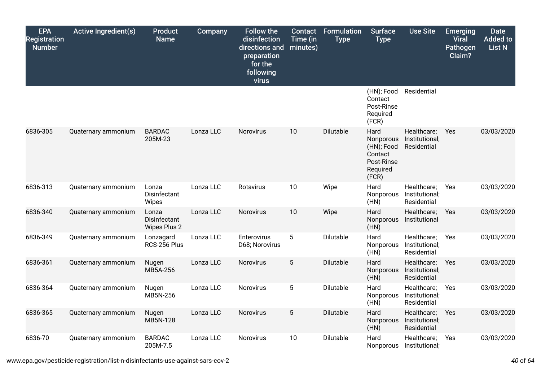| <b>EPA</b><br><b>Registration</b><br><b>Number</b> | <b>Active Ingredient(s)</b> | Product<br><b>Name</b>                       | Company   | <b>Follow the</b><br>disinfection<br>directions and<br>preparation<br>for the<br>following<br>virus | Contact<br>Time (in<br>minutes) | Formulation<br><b>Type</b> | <b>Surface</b><br><b>Type</b>                                                 | <b>Use Site</b>                              | <b>Emerging</b><br><b>Viral</b><br><b>Pathogen</b><br>Claim? | <b>Date</b><br><b>Added to</b><br>List N |
|----------------------------------------------------|-----------------------------|----------------------------------------------|-----------|-----------------------------------------------------------------------------------------------------|---------------------------------|----------------------------|-------------------------------------------------------------------------------|----------------------------------------------|--------------------------------------------------------------|------------------------------------------|
|                                                    |                             |                                              |           |                                                                                                     |                                 |                            | (HN); Food<br>Contact<br>Post-Rinse<br>Required<br>(FCR)                      | Residential                                  |                                                              |                                          |
| 6836-305                                           | Quaternary ammonium         | <b>BARDAC</b><br>205M-23                     | Lonza LLC | Norovirus                                                                                           | 10                              | Dilutable                  | Hard<br>Nonporous<br>(HN); Food<br>Contact<br>Post-Rinse<br>Required<br>(FCR) | Healthcare;<br>Institutional;<br>Residential | Yes                                                          | 03/03/2020                               |
| 6836-313                                           | Quaternary ammonium         | Lonza<br>Disinfectant<br>Wipes               | Lonza LLC | Rotavirus                                                                                           | 10                              | Wipe                       | Hard<br>Nonporous<br>(HN)                                                     | Healthcare;<br>Institutional;<br>Residential | Yes                                                          | 03/03/2020                               |
| 6836-340                                           | Quaternary ammonium         | Lonza<br>Disinfectant<br><b>Wipes Plus 2</b> | Lonza LLC | Norovirus                                                                                           | 10                              | Wipe                       | Hard<br>Nonporous<br>(HN)                                                     | Healthcare;<br>Institutional                 | Yes                                                          | 03/03/2020                               |
| 6836-349                                           | Quaternary ammonium         | Lonzagard<br>RCS-256 Plus                    | Lonza LLC | Enterovirus<br>D68; Norovirus                                                                       | $5\phantom{.0}$                 | Dilutable                  | Hard<br>Nonporous<br>(HN)                                                     | Healthcare;<br>Institutional;<br>Residential | Yes                                                          | 03/03/2020                               |
| 6836-361                                           | Quaternary ammonium         | Nugen<br>MB5A-256                            | Lonza LLC | Norovirus                                                                                           | 5                               | Dilutable                  | Hard<br>Nonporous<br>(HN)                                                     | Healthcare;<br>Institutional;<br>Residential | Yes                                                          | 03/03/2020                               |
| 6836-364                                           | Quaternary ammonium         | Nugen<br>MB5N-256                            | Lonza LLC | Norovirus                                                                                           | $5\phantom{.0}$                 | Dilutable                  | Hard<br>Nonporous<br>(HN)                                                     | Healthcare;<br>Institutional;<br>Residential | Yes                                                          | 03/03/2020                               |
| 6836-365                                           | Quaternary ammonium         | Nugen<br>MB5N-128                            | Lonza LLC | Norovirus                                                                                           | $5\phantom{.0}$                 | Dilutable                  | Hard<br>Nonporous<br>(HN)                                                     | Healthcare;<br>Institutional;<br>Residential | Yes                                                          | 03/03/2020                               |
| 6836-70                                            | Quaternary ammonium         | <b>BARDAC</b><br>205M-7.5                    | Lonza LLC | Norovirus                                                                                           | 10                              | Dilutable                  | Hard<br><b>Nonporous</b>                                                      | Healthcare;<br>Institutional;                | Yes                                                          | 03/03/2020                               |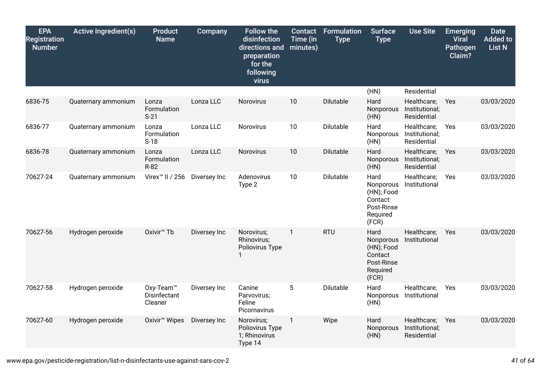| <b>EPA</b><br><b>Registration</b><br><b>Number</b> | <b>Active Ingredient(s)</b> | <b>Product</b><br><b>Name</b>                    | Company      | <b>Follow the</b><br>disinfection<br>directions and<br>preparation<br>for the<br>following<br>virus | <b>Contact</b><br>Time (in<br>minutes) | Formulation<br><b>Type</b> | <b>Surface</b><br><b>Type</b>                                                 | <b>Use Site</b>                              | <b>Emerging</b><br><b>Viral</b><br>Pathogen<br>Claim? | <b>Date</b><br><b>Added to</b><br><b>List N</b> |
|----------------------------------------------------|-----------------------------|--------------------------------------------------|--------------|-----------------------------------------------------------------------------------------------------|----------------------------------------|----------------------------|-------------------------------------------------------------------------------|----------------------------------------------|-------------------------------------------------------|-------------------------------------------------|
|                                                    |                             |                                                  |              |                                                                                                     |                                        |                            | (HN)                                                                          | Residential                                  |                                                       |                                                 |
| 6836-75                                            | Quaternary ammonium         | Lonza<br>Formulation<br>$S-21$                   | Lonza LLC    | Norovirus                                                                                           | 10                                     | Dilutable                  | Hard<br>Nonporous<br>(HN)                                                     | Healthcare;<br>Institutional;<br>Residential | Yes                                                   | 03/03/2020                                      |
| 6836-77                                            | Quaternary ammonium         | Lonza<br>Formulation<br>$S-18$                   | Lonza LLC    | Norovirus                                                                                           | 10                                     | Dilutable                  | Hard<br>Nonporous<br>(HN)                                                     | Healthcare;<br>Institutional;<br>Residential | Yes                                                   | 03/03/2020                                      |
| 6836-78                                            | Quaternary ammonium         | Lonza<br>Formulation<br>R-82                     | Lonza LLC    | Norovirus                                                                                           | 10                                     | Dilutable                  | Hard<br>Nonporous<br>(HN)                                                     | Healthcare;<br>Institutional;<br>Residential | Yes                                                   | 03/03/2020                                      |
| 70627-24                                           | Quaternary ammonium         | Virex <sup>™</sup> II / 256                      | Diversey Inc | Adenovirus<br>Type 2                                                                                | 10                                     | Dilutable                  | Hard<br>Nonporous<br>(HN); Food<br>Contact<br>Post-Rinse<br>Required<br>(FCR) | Healthcare;<br>Institutional                 | Yes                                                   | 03/03/2020                                      |
| 70627-56                                           | Hydrogen peroxide           | Oxivir <sup>™</sup> Tb                           | Diversey Inc | Norovirus;<br>Rhinovirus;<br>Poliovirus Type                                                        | $\mathbf{1}$                           | <b>RTU</b>                 | Hard<br>Nonporous<br>(HN); Food<br>Contact<br>Post-Rinse<br>Required<br>(FCR) | Healthcare;<br>Institutional                 | Yes                                                   | 03/03/2020                                      |
| 70627-58                                           | Hydrogen peroxide           | Oxy-Team <sup>™</sup><br>Disinfectant<br>Cleaner | Diversey Inc | Canine<br>Parvovirus;<br>Feline<br>Picornavirus                                                     | 5                                      | Dilutable                  | Hard<br>Nonporous<br>(HN)                                                     | Healthcare;<br>Institutional                 | Yes                                                   | 03/03/2020                                      |
| 70627-60                                           | Hydrogen peroxide           | Oxivir <sup>™</sup> Wipes                        | Diversey Inc | Norovirus;<br>Poliovirus Type<br>1; Rhinovirus<br>Type 14                                           | $\mathbf{1}$                           | Wipe                       | Hard<br>Nonporous<br>(HN)                                                     | Healthcare;<br>Institutional;<br>Residential | Yes                                                   | 03/03/2020                                      |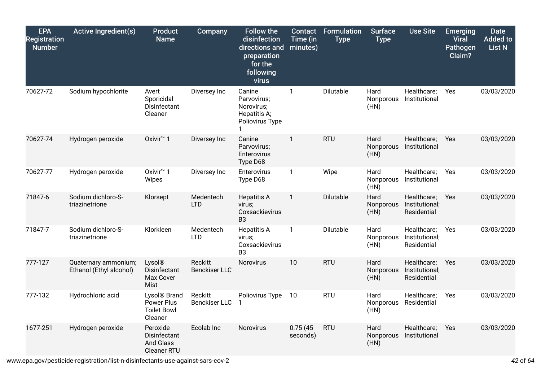| <b>EPA</b><br><b>Registration</b><br><b>Number</b> | <b>Active Ingredient(s)</b>                     | <b>Product</b><br><b>Name</b>                                           | Company                                | <b>Follow the</b><br>disinfection<br>directions and<br>preparation<br>for the<br>following<br>virus | <b>Contact</b><br>Time (in<br>minutes) | Formulation<br><b>Type</b> | <b>Surface</b><br><b>Type</b> | <b>Use Site</b>                              | <b>Emerging</b><br><b>Viral</b><br>Pathogen<br>Claim? | <b>Date</b><br><b>Added to</b><br><b>List N</b> |
|----------------------------------------------------|-------------------------------------------------|-------------------------------------------------------------------------|----------------------------------------|-----------------------------------------------------------------------------------------------------|----------------------------------------|----------------------------|-------------------------------|----------------------------------------------|-------------------------------------------------------|-------------------------------------------------|
| 70627-72                                           | Sodium hypochlorite                             | Avert<br>Sporicidal<br>Disinfectant<br>Cleaner                          | Diversey Inc                           | Canine<br>Parvovirus:<br>Norovirus;<br>Hepatitis A;<br>Poliovirus Type                              | $\mathbf{1}$                           | Dilutable                  | Hard<br>Nonporous<br>(HN)     | Healthcare;<br>Institutional                 | Yes                                                   | 03/03/2020                                      |
| 70627-74                                           | Hydrogen peroxide                               | Oxivir <sup>™</sup> 1                                                   | Diversey Inc                           | Canine<br>Parvovirus;<br>Enterovirus<br>Type D68                                                    | $\mathbf{1}$                           | <b>RTU</b>                 | Hard<br>Nonporous<br>(HN)     | Healthcare;<br>Institutional                 | Yes                                                   | 03/03/2020                                      |
| 70627-77                                           | Hydrogen peroxide                               | Oxivir <sup>™</sup> 1<br><b>Wipes</b>                                   | Diversey Inc                           | Enterovirus<br>Type D68                                                                             | $\mathbf{1}$                           | Wipe                       | Hard<br>Nonporous<br>(HN)     | Healthcare;<br>Institutional                 | Yes                                                   | 03/03/2020                                      |
| 71847-6                                            | Sodium dichloro-S-<br>triazinetrione            | Klorsept                                                                | Medentech<br><b>LTD</b>                | <b>Hepatitis A</b><br>virus;<br>Coxsackievirus<br>B <sub>3</sub>                                    | $\mathbf{1}$                           | Dilutable                  | Hard<br>Nonporous<br>(HN)     | Healthcare;<br>Institutional;<br>Residential | Yes                                                   | 03/03/2020                                      |
| 71847-7                                            | Sodium dichloro-S-<br>triazinetrione            | Klorkleen                                                               | Medentech<br><b>LTD</b>                | <b>Hepatitis A</b><br>virus;<br>Coxsackievirus<br>B <sub>3</sub>                                    | 1                                      | Dilutable                  | Hard<br>Nonporous<br>(HN)     | Healthcare;<br>Institutional;<br>Residential | Yes                                                   | 03/03/2020                                      |
| 777-127                                            | Quaternary ammonium;<br>Ethanol (Ethyl alcohol) | Lysol®<br>Disinfectant<br>Max Cover<br>Mist                             | <b>Reckitt</b><br><b>Benckiser LLC</b> | <b>Norovirus</b>                                                                                    | 10                                     | <b>RTU</b>                 | Hard<br>Nonporous<br>(HN)     | Healthcare;<br>Institutional;<br>Residential | Yes                                                   | 03/03/2020                                      |
| 777-132                                            | Hydrochloric acid                               | Lysol <sup>®</sup> Brand<br>Power Plus<br><b>Toilet Bowl</b><br>Cleaner | Reckitt<br><b>Benckiser LLC</b>        | Poliovirus Type                                                                                     | 10                                     | <b>RTU</b>                 | Hard<br>Nonporous<br>(HN)     | Healthcare;<br>Residential                   | Yes                                                   | 03/03/2020                                      |
| 1677-251                                           | Hydrogen peroxide                               | Peroxide<br>Disinfectant<br><b>And Glass</b><br>Cleaner RTU             | Ecolab Inc                             | Norovirus                                                                                           | 0.75(45)<br>seconds)                   | <b>RTU</b>                 | Hard<br>Nonporous<br>(HN)     | Healthcare;<br>Institutional                 | Yes                                                   | 03/03/2020                                      |

www.epa.gov/pesticide-registration/list-n-disinfectants-use-against-sars-cov-2 *42* of *64*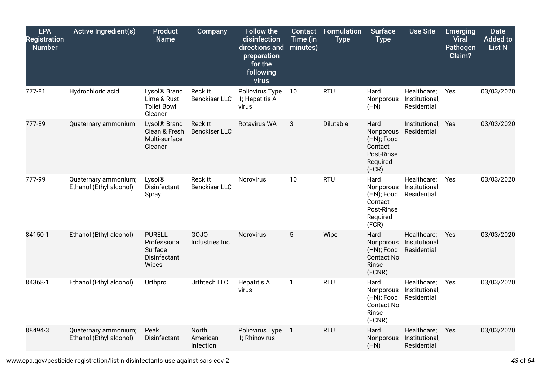| <b>EPA</b><br><b>Registration</b><br><b>Number</b> | <b>Active Ingredient(s)</b>                     | <b>Product</b><br><b>Name</b>                                            | Company                         | <b>Follow the</b><br>disinfection<br>directions and<br>preparation<br>for the<br>following<br>virus | <b>Contact</b><br>Time (in<br>minutes) | <b>Formulation</b><br><b>Type</b> | <b>Surface</b><br><b>Type</b>                                                 | <b>Use Site</b>                              | <b>Emerging</b><br><b>Viral</b><br>Pathogen<br>Claim? | <b>Date</b><br><b>Added to</b><br><b>List N</b> |
|----------------------------------------------------|-------------------------------------------------|--------------------------------------------------------------------------|---------------------------------|-----------------------------------------------------------------------------------------------------|----------------------------------------|-----------------------------------|-------------------------------------------------------------------------------|----------------------------------------------|-------------------------------------------------------|-------------------------------------------------|
| 777-81                                             | Hydrochloric acid                               | Lysol <sup>®</sup> Brand<br>Lime & Rust<br><b>Toilet Bowl</b><br>Cleaner | Reckitt<br><b>Benckiser LLC</b> | Poliovirus Type<br>1; Hepatitis A<br>virus                                                          | 10                                     | <b>RTU</b>                        | Hard<br>Nonporous<br>(HN)                                                     | Healthcare;<br>Institutional;<br>Residential | Yes                                                   | 03/03/2020                                      |
| 777-89                                             | Quaternary ammonium                             | Lysol <sup>®</sup> Brand<br>Clean & Fresh<br>Multi-surface<br>Cleaner    | Reckitt<br><b>Benckiser LLC</b> | <b>Rotavirus WA</b>                                                                                 | 3                                      | Dilutable                         | Hard<br>Nonporous<br>(HN); Food<br>Contact<br>Post-Rinse<br>Required<br>(FCR) | Institutional; Yes<br>Residential            |                                                       | 03/03/2020                                      |
| 777-99                                             | Quaternary ammonium;<br>Ethanol (Ethyl alcohol) | Lysol®<br>Disinfectant<br>Spray                                          | Reckitt<br><b>Benckiser LLC</b> | <b>Norovirus</b>                                                                                    | 10                                     | <b>RTU</b>                        | Hard<br>Nonporous<br>(HN); Food<br>Contact<br>Post-Rinse<br>Required<br>(FCR) | Healthcare;<br>Institutional;<br>Residential | Yes                                                   | 03/03/2020                                      |
| 84150-1                                            | Ethanol (Ethyl alcohol)                         | <b>PURELL</b><br>Professional<br>Surface<br>Disinfectant<br>Wipes        | GOJO<br>Industries Inc          | Norovirus                                                                                           | 5                                      | Wipe                              | Hard<br>Nonporous<br>(HN); Food<br><b>Contact No</b><br>Rinse<br>(FCNR)       | Healthcare;<br>Institutional;<br>Residential | Yes                                                   | 03/03/2020                                      |
| 84368-1                                            | Ethanol (Ethyl alcohol)                         | Urthpro                                                                  | Urthtech LLC                    | <b>Hepatitis A</b><br>virus                                                                         | $\mathbf{1}$                           | <b>RTU</b>                        | Hard<br>Nonporous<br>(HN); Food<br><b>Contact No</b><br>Rinse<br>(FCNR)       | Healthcare;<br>Institutional;<br>Residential | Yes                                                   | 03/03/2020                                      |
| 88494-3                                            | Quaternary ammonium;<br>Ethanol (Ethyl alcohol) | Peak<br>Disinfectant                                                     | North<br>American<br>Infection  | Poliovirus Type<br>1; Rhinovirus                                                                    | $\overline{1}$                         | <b>RTU</b>                        | Hard<br>Nonporous<br>(HN)                                                     | Healthcare;<br>Institutional;<br>Residential | Yes                                                   | 03/03/2020                                      |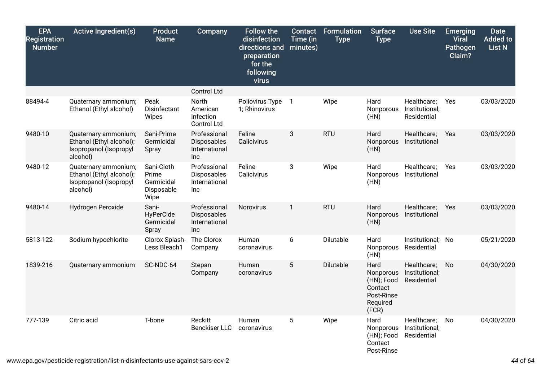| <b>EPA</b><br><b>Registration</b><br><b>Number</b> | <b>Active Ingredient(s)</b>                                                            | <b>Product</b><br><b>Name</b>                           | Company                                              | <b>Follow the</b><br>disinfection<br>directions and<br>preparation<br>for the<br>following<br>virus | <b>Contact</b><br>Time (in<br>minutes) | <b>Formulation</b><br><b>Type</b> | <b>Surface</b><br><b>Type</b>                                                 | <b>Use Site</b>                              | <b>Emerging</b><br><b>Viral</b><br>Pathogen<br>Claim? | <b>Date</b><br><b>Added to</b><br><b>List N</b> |
|----------------------------------------------------|----------------------------------------------------------------------------------------|---------------------------------------------------------|------------------------------------------------------|-----------------------------------------------------------------------------------------------------|----------------------------------------|-----------------------------------|-------------------------------------------------------------------------------|----------------------------------------------|-------------------------------------------------------|-------------------------------------------------|
|                                                    |                                                                                        |                                                         | Control Ltd                                          |                                                                                                     |                                        |                                   |                                                                               |                                              |                                                       |                                                 |
| 88494-4                                            | Quaternary ammonium;<br>Ethanol (Ethyl alcohol)                                        | Peak<br>Disinfectant<br>Wipes                           | North<br>American<br>Infection<br><b>Control Ltd</b> | Poliovirus Type<br>1; Rhinovirus                                                                    | $\overline{1}$                         | Wipe                              | Hard<br>Nonporous<br>(HN)                                                     | Healthcare;<br>Institutional;<br>Residential | Yes                                                   | 03/03/2020                                      |
| 9480-10                                            | Quaternary ammonium;<br>Ethanol (Ethyl alcohol);<br>Isopropanol (Isopropyl<br>alcohol) | Sani-Prime<br>Germicidal<br>Spray                       | Professional<br>Disposables<br>International<br>Inc  | Feline<br>Calicivirus                                                                               | 3                                      | <b>RTU</b>                        | Hard<br>Nonporous<br>(HN)                                                     | Healthcare;<br>Institutional                 | Yes                                                   | 03/03/2020                                      |
| 9480-12                                            | Quaternary ammonium;<br>Ethanol (Ethyl alcohol);<br>Isopropanol (Isopropyl<br>alcohol) | Sani-Cloth<br>Prime<br>Germicidal<br>Disposable<br>Wipe | Professional<br>Disposables<br>International<br>Inc  | Feline<br>Calicivirus                                                                               | 3                                      | Wipe                              | Hard<br>Nonporous<br>(HN)                                                     | Healthcare;<br>Institutional                 | Yes                                                   | 03/03/2020                                      |
| 9480-14                                            | Hydrogen Peroxide                                                                      | Sani-<br>HyPerCide<br>Germicidal<br>Spray               | Professional<br>Disposables<br>International<br>Inc  | Norovirus                                                                                           | $\mathbf{1}$                           | <b>RTU</b>                        | Hard<br>Nonporous<br>(HN)                                                     | Healthcare;<br>Institutional                 | Yes                                                   | 03/03/2020                                      |
| 5813-122                                           | Sodium hypochlorite                                                                    | Clorox Splash-<br>Less Bleach1                          | The Clorox<br>Company                                | Human<br>coronavirus                                                                                | 6                                      | Dilutable                         | Hard<br>Nonporous<br>(HN)                                                     | Institutional;<br>Residential                | No                                                    | 05/21/2020                                      |
| 1839-216                                           | Quaternary ammonium                                                                    | SC-NDC-64                                               | Stepan<br>Company                                    | Human<br>coronavirus                                                                                | 5                                      | Dilutable                         | Hard<br>Nonporous<br>(HN); Food<br>Contact<br>Post-Rinse<br>Required<br>(FCR) | Healthcare;<br>Institutional;<br>Residential | No                                                    | 04/30/2020                                      |
| 777-139                                            | Citric acid                                                                            | T-bone                                                  | Reckitt<br><b>Benckiser LLC</b>                      | Human<br>coronavirus                                                                                | $\overline{5}$                         | Wipe                              | Hard<br>Nonporous<br>(HN); Food<br>Contact<br>Post-Rinse                      | Healthcare;<br>Institutional;<br>Residential | No                                                    | 04/30/2020                                      |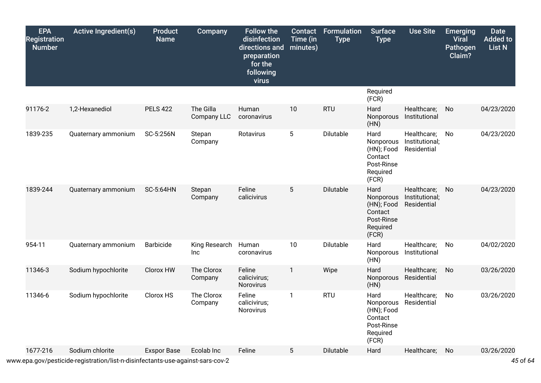| <b>EPA</b><br><b>Registration</b><br><b>Number</b> | <b>Active Ingredient(s)</b> | <b>Product</b><br><b>Name</b> | Company                  | <b>Follow the</b><br>disinfection<br>directions and<br>preparation<br>for the<br>following<br>virus | Contact<br>Time (in<br>minutes) | <b>Formulation</b><br><b>Type</b> | <b>Surface</b><br><b>Type</b>                                                 | <b>Use Site</b>                              | <b>Emerging</b><br><b>Viral</b><br>Pathogen<br>Claim? | <b>Date</b><br><b>Added to</b><br><b>List N</b> |
|----------------------------------------------------|-----------------------------|-------------------------------|--------------------------|-----------------------------------------------------------------------------------------------------|---------------------------------|-----------------------------------|-------------------------------------------------------------------------------|----------------------------------------------|-------------------------------------------------------|-------------------------------------------------|
|                                                    |                             |                               |                          |                                                                                                     |                                 |                                   | Required<br>(FCR)                                                             |                                              |                                                       |                                                 |
| 91176-2                                            | 1,2-Hexanediol              | <b>PELS 422</b>               | The Gilla<br>Company LLC | Human<br>coronavirus                                                                                | 10                              | <b>RTU</b>                        | Hard<br>Nonporous<br>(HN)                                                     | Healthcare;<br>Institutional                 | No                                                    | 04/23/2020                                      |
| 1839-235                                           | Quaternary ammonium         | SC-5:256N                     | Stepan<br>Company        | Rotavirus                                                                                           | $5\phantom{.0}$                 | Dilutable                         | Hard<br>Nonporous<br>(HN); Food<br>Contact<br>Post-Rinse<br>Required<br>(FCR) | Healthcare;<br>Institutional;<br>Residential | No                                                    | 04/23/2020                                      |
| 1839-244                                           | Quaternary ammonium         | <b>SC-5:64HN</b>              | Stepan<br>Company        | Feline<br>calicivirus                                                                               | 5                               | Dilutable                         | Hard<br>Nonporous<br>(HN); Food<br>Contact<br>Post-Rinse<br>Required<br>(FCR) | Healthcare;<br>Institutional;<br>Residential | No                                                    | 04/23/2020                                      |
| 954-11                                             | Quaternary ammonium         | Barbicide                     | King Research<br>Inc     | Human<br>coronavirus                                                                                | 10                              | Dilutable                         | Hard<br>Nonporous<br>(HN)                                                     | Healthcare;<br>Institutional                 | No                                                    | 04/02/2020                                      |
| 11346-3                                            | Sodium hypochlorite         | Clorox HW                     | The Clorox<br>Company    | Feline<br>calicivirus;<br>Norovirus                                                                 | $\mathbf{1}$                    | Wipe                              | Hard<br>Nonporous<br>(HN)                                                     | Healthcare;<br>Residential                   | No                                                    | 03/26/2020                                      |
| 11346-6                                            | Sodium hypochlorite         | Clorox HS                     | The Clorox<br>Company    | Feline<br>calicivirus;<br>Norovirus                                                                 | $\mathbf{1}$                    | <b>RTU</b>                        | Hard<br>Nonporous<br>(HN); Food<br>Contact<br>Post-Rinse<br>Required<br>(FCR) | Healthcare;<br>Residential                   | No                                                    | 03/26/2020                                      |
| 1677-216                                           | Sodium chlorite             | <b>Exspor Base</b>            | Ecolab Inc               | Feline                                                                                              | 5                               | <b>Dilutable</b>                  | Hard                                                                          | Healthcare;                                  | No                                                    | 03/26/2020                                      |

www.epa.gov/pesticide-registration/list-n-disinfectants-use-against-sars-cov-2 *45* of *64*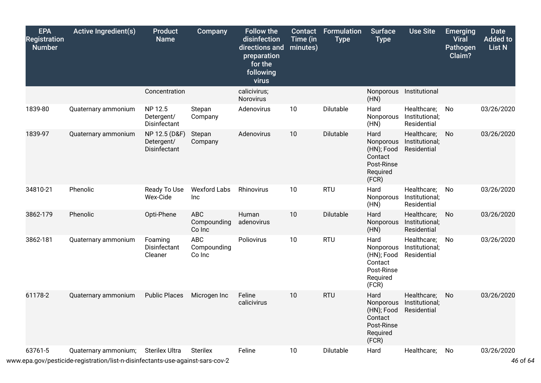| <b>EPA</b><br><b>Registration</b><br><b>Number</b> | <b>Active Ingredient(s)</b>                                                                            | <b>Product</b><br><b>Name</b>               | Company                             | <b>Follow the</b><br>disinfection<br>directions and<br>preparation<br>for the<br>following<br>virus | <b>Contact</b><br>Time (in<br>minutes) | Formulation<br><b>Type</b> | <b>Surface</b><br><b>Type</b>                                                 | <b>Use Site</b>                              | <b>Emerging</b><br><b>Viral</b><br>Pathogen<br>Claim? | <b>Date</b><br><b>Added to</b><br>List N |
|----------------------------------------------------|--------------------------------------------------------------------------------------------------------|---------------------------------------------|-------------------------------------|-----------------------------------------------------------------------------------------------------|----------------------------------------|----------------------------|-------------------------------------------------------------------------------|----------------------------------------------|-------------------------------------------------------|------------------------------------------|
|                                                    |                                                                                                        | Concentration                               |                                     | calicivirus;<br>Norovirus                                                                           |                                        |                            | (HN)                                                                          | Nonporous Institutional                      |                                                       |                                          |
| 1839-80                                            | Quaternary ammonium                                                                                    | NP 12.5<br>Detergent/<br>Disinfectant       | Stepan<br>Company                   | Adenovirus                                                                                          | 10                                     | Dilutable                  | Hard<br>Nonporous<br>(HN)                                                     | Healthcare;<br>Institutional;<br>Residential | No                                                    | 03/26/2020                               |
| 1839-97                                            | Quaternary ammonium                                                                                    | NP 12.5 (D&F)<br>Detergent/<br>Disinfectant | Stepan<br>Company                   | Adenovirus                                                                                          | 10                                     | Dilutable                  | Hard<br>Nonporous<br>(HN); Food<br>Contact<br>Post-Rinse<br>Required<br>(FCR) | Healthcare;<br>Institutional;<br>Residential | No                                                    | 03/26/2020                               |
| 34810-21                                           | Phenolic                                                                                               | Ready To Use<br>Wex-Cide                    | <b>Wexford Labs</b><br>Inc          | Rhinovirus                                                                                          | 10                                     | <b>RTU</b>                 | Hard<br>Nonporous<br>(HN)                                                     | Healthcare;<br>Institutional;<br>Residential | No                                                    | 03/26/2020                               |
| 3862-179                                           | Phenolic                                                                                               | Opti-Phene                                  | <b>ABC</b><br>Compounding<br>Co Inc | Human<br>adenovirus                                                                                 | 10                                     | Dilutable                  | Hard<br>Nonporous<br>(HN)                                                     | Healthcare;<br>Institutional;<br>Residential | No                                                    | 03/26/2020                               |
| 3862-181                                           | Quaternary ammonium                                                                                    | Foaming<br>Disinfectant<br>Cleaner          | ABC<br>Compounding<br>Co Inc        | Poliovirus                                                                                          | 10                                     | <b>RTU</b>                 | Hard<br>Nonporous<br>(HN); Food<br>Contact<br>Post-Rinse<br>Required<br>(FCR) | Healthcare;<br>Institutional;<br>Residential | No                                                    | 03/26/2020                               |
| 61178-2                                            | Quaternary ammonium                                                                                    | <b>Public Places</b>                        | Microgen Inc                        | Feline<br>calicivirus                                                                               | 10                                     | <b>RTU</b>                 | Hard<br>Nonporous<br>(HN); Food<br>Contact<br>Post-Rinse<br>Required<br>(FCR) | Healthcare;<br>Institutional;<br>Residential | No                                                    | 03/26/2020                               |
| 63761-5                                            | Quaternary ammonium;<br>www.epa.gov/pesticide-registration/list-n-disinfectants-use-against-sars-cov-2 | <b>Sterilex Ultra</b>                       | <b>Sterilex</b>                     | Feline                                                                                              | 10                                     | Dilutable                  | Hard                                                                          | Healthcare;                                  | No                                                    | 03/26/2020<br>46 of 64                   |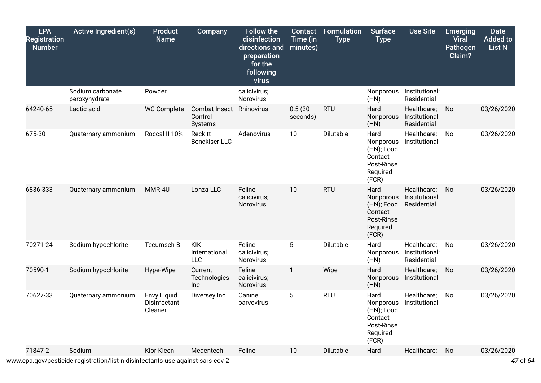| <b>EPA</b><br><b>Registration</b><br><b>Number</b> | <b>Active Ingredient(s)</b>       | <b>Product</b><br><b>Name</b>                 | Company                                   | <b>Follow the</b><br>disinfection<br>directions and<br>preparation<br>for the<br>following<br>virus | Contact<br>Time (in<br>minutes) | Formulation<br><b>Type</b> | <b>Surface</b><br><b>Type</b>                                                 | <b>Use Site</b>                              | <b>Emerging</b><br><b>Viral</b><br>Pathogen<br>Claim? | <b>Date</b><br><b>Added to</b><br><b>List N</b> |
|----------------------------------------------------|-----------------------------------|-----------------------------------------------|-------------------------------------------|-----------------------------------------------------------------------------------------------------|---------------------------------|----------------------------|-------------------------------------------------------------------------------|----------------------------------------------|-------------------------------------------------------|-------------------------------------------------|
|                                                    | Sodium carbonate<br>peroxyhydrate | Powder                                        |                                           | calicivirus;<br>Norovirus                                                                           |                                 |                            | Nonporous<br>(HN)                                                             | Institutional;<br>Residential                |                                                       |                                                 |
| 64240-65                                           | Lactic acid                       | <b>WC Complete</b>                            | Combat Insect<br>Control<br>Systems       | Rhinovirus                                                                                          | 0.5(30)<br>seconds)             | <b>RTU</b>                 | Hard<br>Nonporous<br>(HN)                                                     | Healthcare;<br>Institutional;<br>Residential | No                                                    | 03/26/2020                                      |
| 675-30                                             | Quaternary ammonium               | Roccal II 10%                                 | Reckitt<br><b>Benckiser LLC</b>           | Adenovirus                                                                                          | 10                              | Dilutable                  | Hard<br>Nonporous<br>(HN); Food<br>Contact<br>Post-Rinse<br>Required<br>(FCR) | Healthcare;<br>Institutional                 | No                                                    | 03/26/2020                                      |
| 6836-333                                           | Quaternary ammonium               | MMR-4U                                        | Lonza LLC                                 | Feline<br>calicivirus;<br>Norovirus                                                                 | 10                              | <b>RTU</b>                 | Hard<br>Nonporous<br>(HN); Food<br>Contact<br>Post-Rinse<br>Required<br>(FCR) | Healthcare;<br>Institutional;<br>Residential | No                                                    | 03/26/2020                                      |
| 70271-24                                           | Sodium hypochlorite               | Tecumseh B                                    | <b>KIK</b><br>International<br><b>LLC</b> | Feline<br>calicivirus;<br>Norovirus                                                                 | 5                               | Dilutable                  | Hard<br>Nonporous<br>(HN)                                                     | Healthcare;<br>Institutional;<br>Residential | No                                                    | 03/26/2020                                      |
| 70590-1                                            | Sodium hypochlorite               | Hype-Wipe                                     | Current<br>Technologies<br><b>Inc</b>     | Feline<br>calicivirus;<br>Norovirus                                                                 | 1                               | Wipe                       | Hard<br>Nonporous<br>(HN)                                                     | Healthcare;<br>Institutional                 | No                                                    | 03/26/2020                                      |
| 70627-33                                           | Quaternary ammonium               | <b>Envy Liquid</b><br>Disinfectant<br>Cleaner | Diversey Inc                              | Canine<br>parvovirus                                                                                | $5\phantom{.0}$                 | <b>RTU</b>                 | Hard<br>Nonporous<br>(HN); Food<br>Contact<br>Post-Rinse<br>Required<br>(FCR) | Healthcare;<br>Institutional                 | No                                                    | 03/26/2020                                      |
| 71847-2                                            | Sodium                            | Klor-Kleen                                    | Medentech                                 | Feline                                                                                              | 10                              | <b>Dilutable</b>           | Hard                                                                          | Healthcare;                                  | No                                                    | 03/26/2020                                      |

www.epa.gov/pesticide-registration/list-n-disinfectants-use-against-sars-cov-2 *47* of *64*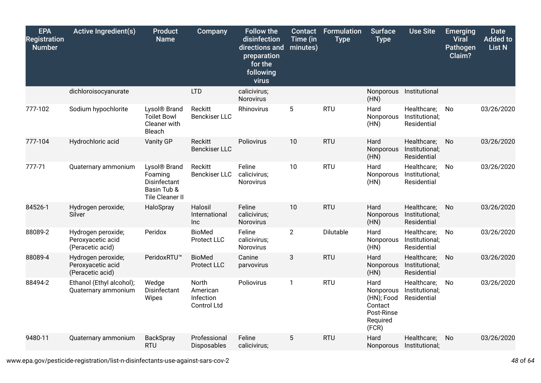| <b>EPA</b><br><b>Registration</b><br><b>Number</b> | <b>Active Ingredient(s)</b>                                 | <b>Product</b><br><b>Name</b>                                                                | Company                                       | <b>Follow the</b><br>disinfection<br>directions and<br>preparation<br>for the<br>following<br>virus | Contact<br>Time (in<br>minutes) | <b>Formulation</b><br><b>Type</b> | <b>Surface</b><br><b>Type</b>                                                 | <b>Use Site</b>                              | <b>Emerging</b><br><b>Viral</b><br><b>Pathogen</b><br>Claim? | <b>Date</b><br><b>Added to</b><br><b>List N</b> |
|----------------------------------------------------|-------------------------------------------------------------|----------------------------------------------------------------------------------------------|-----------------------------------------------|-----------------------------------------------------------------------------------------------------|---------------------------------|-----------------------------------|-------------------------------------------------------------------------------|----------------------------------------------|--------------------------------------------------------------|-------------------------------------------------|
|                                                    | dichloroisocyanurate                                        |                                                                                              | <b>LTD</b>                                    | calicivirus;<br>Norovirus                                                                           |                                 |                                   | Nonporous<br>(HN)                                                             | Institutional                                |                                                              |                                                 |
| 777-102                                            | Sodium hypochlorite                                         | Lysol <sup>®</sup> Brand<br><b>Toilet Bowl</b><br>Cleaner with<br>Bleach                     | Reckitt<br><b>Benckiser LLC</b>               | Rhinovirus                                                                                          | 5                               | <b>RTU</b>                        | Hard<br>Nonporous<br>(HN)                                                     | Healthcare;<br>Institutional;<br>Residential | No                                                           | 03/26/2020                                      |
| 777-104                                            | Hydrochloric acid                                           | Vanity GP                                                                                    | <b>Reckitt</b><br><b>Benckiser LLC</b>        | Poliovirus                                                                                          | 10                              | <b>RTU</b>                        | Hard<br>Nonporous<br>(HN)                                                     | Healthcare;<br>Institutional;<br>Residential | No                                                           | 03/26/2020                                      |
| 777-71                                             | Quaternary ammonium                                         | Lysol <sup>®</sup> Brand<br>Foaming<br>Disinfectant<br>Basin Tub &<br><b>Tile Cleaner II</b> | Reckitt<br><b>Benckiser LLC</b>               | Feline<br>calicivirus;<br>Norovirus                                                                 | 10                              | <b>RTU</b>                        | Hard<br>Nonporous<br>(HN)                                                     | Healthcare;<br>Institutional;<br>Residential | No                                                           | 03/26/2020                                      |
| 84526-1                                            | Hydrogen peroxide;<br>Silver                                | HaloSpray                                                                                    | Halosil<br>International<br><b>Inc</b>        | Feline<br>calicivirus;<br><b>Norovirus</b>                                                          | 10                              | <b>RTU</b>                        | Hard<br>Nonporous<br>(HN)                                                     | Healthcare;<br>Institutional;<br>Residential | No                                                           | 03/26/2020                                      |
| 88089-2                                            | Hydrogen peroxide;<br>Peroxyacetic acid<br>(Peracetic acid) | Peridox                                                                                      | <b>BioMed</b><br>Protect LLC                  | Feline<br>calicivirus;<br>Norovirus                                                                 | $\overline{2}$                  | Dilutable                         | Hard<br>Nonporous<br>(HN)                                                     | Healthcare;<br>Institutional;<br>Residential | No.                                                          | 03/26/2020                                      |
| 88089-4                                            | Hydrogen peroxide;<br>Peroxyacetic acid<br>(Peracetic acid) | PeridoxRTU™                                                                                  | <b>BioMed</b><br>Protect LLC                  | Canine<br>parvovirus                                                                                | 3                               | <b>RTU</b>                        | Hard<br>Nonporous<br>(HN)                                                     | Healthcare;<br>Institutional;<br>Residential | No                                                           | 03/26/2020                                      |
| 88494-2                                            | Ethanol (Ethyl alcohol);<br>Quaternary ammonium             | Wedge<br>Disinfectant<br>Wipes                                                               | North<br>American<br>Infection<br>Control Ltd | Poliovirus                                                                                          | $\mathbf{1}$                    | <b>RTU</b>                        | Hard<br>Nonporous<br>(HN); Food<br>Contact<br>Post-Rinse<br>Required<br>(FCR) | Healthcare;<br>Institutional;<br>Residential | No.                                                          | 03/26/2020                                      |
| 9480-11                                            | Quaternary ammonium                                         | BackSpray<br><b>RTU</b>                                                                      | Professional<br>Disposables                   | Feline<br>calicivirus;                                                                              | 5                               | <b>RTU</b>                        | Hard<br>Nonporous                                                             | Healthcare;<br>Institutional;                | No                                                           | 03/26/2020                                      |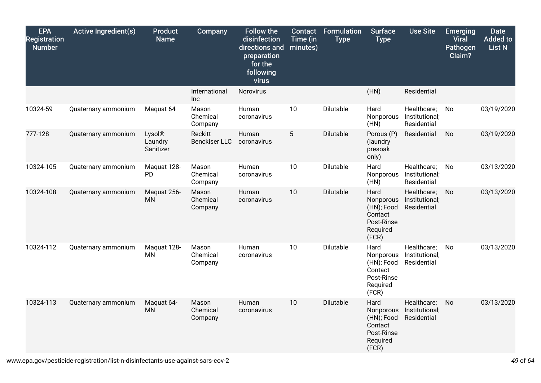| <b>EPA</b><br><b>Registration</b><br><b>Number</b> | <b>Active Ingredient(s)</b> | <b>Product</b><br><b>Name</b>  | Company                         | <b>Follow the</b><br>disinfection<br>directions and<br>preparation<br>for the<br>following<br>virus | <b>Contact</b><br>Time (in<br>minutes) | <b>Formulation</b><br><b>Type</b> | <b>Surface</b><br><b>Type</b>                                                 | <b>Use Site</b>                              | <b>Emerging</b><br><b>Viral</b><br><b>Pathogen</b><br>Claim? | <b>Date</b><br><b>Added to</b><br><b>List N</b> |
|----------------------------------------------------|-----------------------------|--------------------------------|---------------------------------|-----------------------------------------------------------------------------------------------------|----------------------------------------|-----------------------------------|-------------------------------------------------------------------------------|----------------------------------------------|--------------------------------------------------------------|-------------------------------------------------|
|                                                    |                             |                                | International<br><b>Inc</b>     | Norovirus                                                                                           |                                        |                                   | (HN)                                                                          | Residential                                  |                                                              |                                                 |
| 10324-59                                           | Quaternary ammonium         | Maquat 64                      | Mason<br>Chemical<br>Company    | Human<br>coronavirus                                                                                | 10                                     | Dilutable                         | Hard<br>Nonporous<br>(HN)                                                     | Healthcare;<br>Institutional;<br>Residential | No                                                           | 03/19/2020                                      |
| 777-128                                            | Quaternary ammonium         | Lysol®<br>Laundry<br>Sanitizer | Reckitt<br><b>Benckiser LLC</b> | Human<br>coronavirus                                                                                | $5\phantom{.0}$                        | Dilutable                         | Porous (P)<br>(laundry<br>presoak<br>only)                                    | Residential                                  | No                                                           | 03/19/2020                                      |
| 10324-105                                          | Quaternary ammonium         | Maquat 128-<br>PD              | Mason<br>Chemical<br>Company    | Human<br>coronavirus                                                                                | 10                                     | Dilutable                         | Hard<br>Nonporous<br>(HN)                                                     | Healthcare;<br>Institutional;<br>Residential | No                                                           | 03/13/2020                                      |
| 10324-108                                          | Quaternary ammonium         | Maquat 256-<br><b>MN</b>       | Mason<br>Chemical<br>Company    | Human<br>coronavirus                                                                                | 10                                     | Dilutable                         | Hard<br>Nonporous<br>(HN); Food<br>Contact<br>Post-Rinse<br>Required<br>(FCR) | Healthcare;<br>Institutional;<br>Residential | No.                                                          | 03/13/2020                                      |
| 10324-112                                          | Quaternary ammonium         | Maquat 128-<br><b>MN</b>       | Mason<br>Chemical<br>Company    | Human<br>coronavirus                                                                                | 10                                     | Dilutable                         | Hard<br>Nonporous<br>(HN); Food<br>Contact<br>Post-Rinse<br>Required<br>(FCR) | Healthcare;<br>Institutional;<br>Residential | No                                                           | 03/13/2020                                      |
| 10324-113                                          | Quaternary ammonium         | Maquat 64-<br><b>MN</b>        | Mason<br>Chemical<br>Company    | Human<br>coronavirus                                                                                | 10                                     | Dilutable                         | Hard<br>Nonporous<br>(HN); Food<br>Contact<br>Post-Rinse<br>Required<br>(FCR) | Healthcare;<br>Institutional;<br>Residential | No                                                           | 03/13/2020                                      |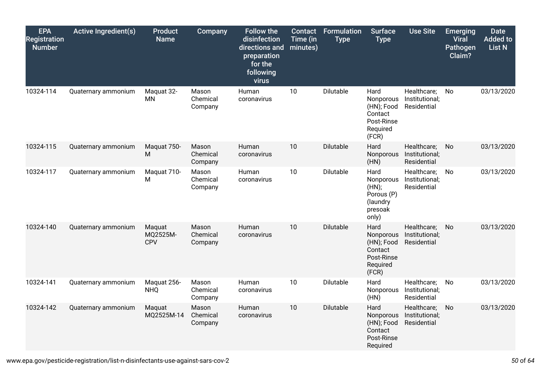| <b>EPA</b><br><b>Registration</b><br><b>Number</b> | <b>Active Ingredient(s)</b> | <b>Product</b><br><b>Name</b> | Company                      | <b>Follow the</b><br>disinfection<br>directions and<br>preparation<br>for the<br>following<br>virus | Contact<br>Time (in<br>minutes) | <b>Formulation</b><br><b>Type</b> | <b>Surface</b><br><b>Type</b>                                                 | <b>Use Site</b>                              | <b>Emerging</b><br><b>Viral</b><br>Pathogen<br>Claim? | <b>Date</b><br><b>Added to</b><br><b>List N</b> |
|----------------------------------------------------|-----------------------------|-------------------------------|------------------------------|-----------------------------------------------------------------------------------------------------|---------------------------------|-----------------------------------|-------------------------------------------------------------------------------|----------------------------------------------|-------------------------------------------------------|-------------------------------------------------|
| 10324-114                                          | Quaternary ammonium         | Maquat 32-<br><b>MN</b>       | Mason<br>Chemical<br>Company | Human<br>coronavirus                                                                                | 10                              | Dilutable                         | Hard<br>Nonporous<br>(HN); Food<br>Contact<br>Post-Rinse<br>Required<br>(FCR) | Healthcare;<br>Institutional;<br>Residential | No                                                    | 03/13/2020                                      |
| 10324-115                                          | Quaternary ammonium         | Maquat 750-<br>М              | Mason<br>Chemical<br>Company | Human<br>coronavirus                                                                                | 10                              | Dilutable                         | Hard<br>Nonporous<br>(HN)                                                     | Healthcare;<br>Institutional;<br>Residential | No                                                    | 03/13/2020                                      |
| 10324-117                                          | Quaternary ammonium         | Maquat 710-<br>M              | Mason<br>Chemical<br>Company | Human<br>coronavirus                                                                                | 10                              | Dilutable                         | Hard<br>Nonporous<br>(HN);<br>Porous (P)<br>(laundry<br>presoak<br>only)      | Healthcare;<br>Institutional;<br>Residential | No                                                    | 03/13/2020                                      |
| 10324-140                                          | Quaternary ammonium         | Maquat<br>MQ2525M-<br>CPV     | Mason<br>Chemical<br>Company | Human<br>coronavirus                                                                                | 10                              | Dilutable                         | Hard<br>Nonporous<br>(HN); Food<br>Contact<br>Post-Rinse<br>Required<br>(FCR) | Healthcare;<br>Institutional;<br>Residential | No                                                    | 03/13/2020                                      |
| 10324-141                                          | Quaternary ammonium         | Maquat 256-<br><b>NHQ</b>     | Mason<br>Chemical<br>Company | Human<br>coronavirus                                                                                | 10                              | Dilutable                         | Hard<br>Nonporous<br>(HN)                                                     | Healthcare;<br>Institutional;<br>Residential | No                                                    | 03/13/2020                                      |
| 10324-142                                          | Quaternary ammonium         | Maguat<br>MQ2525M-14          | Mason<br>Chemical<br>Company | Human<br>coronavirus                                                                                | 10                              | Dilutable                         | Hard<br>Nonporous<br>(HN); Food<br>Contact<br>Post-Rinse<br>Required          | Healthcare;<br>Institutional;<br>Residential | No                                                    | 03/13/2020                                      |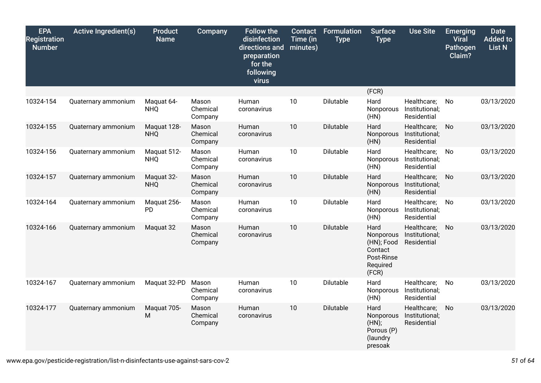| <b>EPA</b><br><b>Registration</b><br><b>Number</b> | <b>Active Ingredient(s)</b> | <b>Product</b><br><b>Name</b> | <b>Company</b>               | <b>Follow the</b><br>disinfection<br>directions and<br>preparation<br>for the<br>following<br>virus | <b>Contact</b><br>Time (in<br>minutes) | <b>Formulation</b><br><b>Type</b> | <b>Surface</b><br><b>Type</b>                                                 | <b>Use Site</b>                              | <b>Emerging</b><br><b>Viral</b><br>Pathogen<br>Claim? | <b>Date</b><br><b>Added to</b><br><b>List N</b> |
|----------------------------------------------------|-----------------------------|-------------------------------|------------------------------|-----------------------------------------------------------------------------------------------------|----------------------------------------|-----------------------------------|-------------------------------------------------------------------------------|----------------------------------------------|-------------------------------------------------------|-------------------------------------------------|
|                                                    |                             |                               |                              |                                                                                                     |                                        |                                   | (FCR)                                                                         |                                              |                                                       |                                                 |
| 10324-154                                          | Quaternary ammonium         | Maquat 64-<br><b>NHQ</b>      | Mason<br>Chemical<br>Company | Human<br>coronavirus                                                                                | 10                                     | Dilutable                         | Hard<br>Nonporous<br>(HN)                                                     | Healthcare;<br>Institutional;<br>Residential | No                                                    | 03/13/2020                                      |
| 10324-155                                          | Quaternary ammonium         | Maquat 128-<br><b>NHQ</b>     | Mason<br>Chemical<br>Company | Human<br>coronavirus                                                                                | 10                                     | Dilutable                         | Hard<br>Nonporous<br>(HN)                                                     | Healthcare;<br>Institutional;<br>Residential | No                                                    | 03/13/2020                                      |
| 10324-156                                          | Quaternary ammonium         | Maquat 512-<br><b>NHQ</b>     | Mason<br>Chemical<br>Company | Human<br>coronavirus                                                                                | 10                                     | Dilutable                         | Hard<br>Nonporous<br>(HN)                                                     | Healthcare;<br>Institutional;<br>Residential | No                                                    | 03/13/2020                                      |
| 10324-157                                          | Quaternary ammonium         | Maquat 32-<br><b>NHQ</b>      | Mason<br>Chemical<br>Company | Human<br>coronavirus                                                                                | 10                                     | Dilutable                         | Hard<br>Nonporous<br>(HN)                                                     | Healthcare;<br>Institutional;<br>Residential | No                                                    | 03/13/2020                                      |
| 10324-164                                          | Quaternary ammonium         | Maquat 256-<br><b>PD</b>      | Mason<br>Chemical<br>Company | Human<br>coronavirus                                                                                | 10                                     | Dilutable                         | Hard<br>Nonporous<br>(HN)                                                     | Healthcare;<br>Institutional;<br>Residential | No                                                    | 03/13/2020                                      |
| 10324-166                                          | Quaternary ammonium         | Maquat 32                     | Mason<br>Chemical<br>Company | Human<br>coronavirus                                                                                | 10                                     | Dilutable                         | Hard<br>Nonporous<br>(HN); Food<br>Contact<br>Post-Rinse<br>Required<br>(FCR) | Healthcare;<br>Institutional;<br>Residential | No.                                                   | 03/13/2020                                      |
| 10324-167                                          | Quaternary ammonium         | Maquat 32-PD                  | Mason<br>Chemical<br>Company | Human<br>coronavirus                                                                                | 10                                     | Dilutable                         | Hard<br>Nonporous<br>(HN)                                                     | Healthcare;<br>Institutional;<br>Residential | No                                                    | 03/13/2020                                      |
| 10324-177                                          | Quaternary ammonium         | Maquat 705-<br>M              | Mason<br>Chemical<br>Company | Human<br>coronavirus                                                                                | 10                                     | Dilutable                         | Hard<br>Nonporous<br>(HN);<br>Porous (P)<br>(laundry<br>presoak               | Healthcare;<br>Institutional;<br>Residential | No                                                    | 03/13/2020                                      |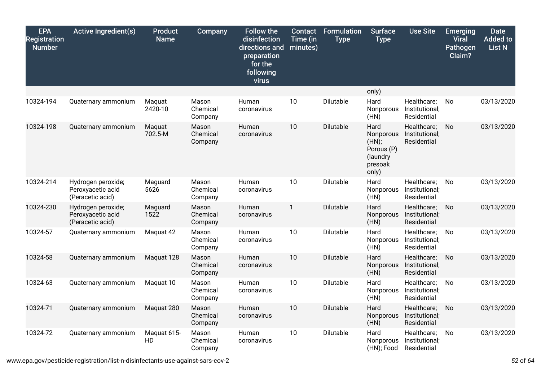| <b>EPA</b><br><b>Registration</b><br><b>Number</b> | <b>Active Ingredient(s)</b>                                 | <b>Product</b><br><b>Name</b> | Company                      | <b>Follow the</b><br>disinfection<br>directions and<br>preparation<br>for the<br>following<br>virus | <b>Contact</b><br>Time (in<br>minutes) | <b>Formulation</b><br><b>Type</b> | <b>Surface</b><br><b>Type</b>                                            | <b>Use Site</b>                              | <b>Emerging</b><br><b>Viral</b><br>Pathogen<br>Claim? | <b>Date</b><br><b>Added to</b><br><b>List N</b> |
|----------------------------------------------------|-------------------------------------------------------------|-------------------------------|------------------------------|-----------------------------------------------------------------------------------------------------|----------------------------------------|-----------------------------------|--------------------------------------------------------------------------|----------------------------------------------|-------------------------------------------------------|-------------------------------------------------|
|                                                    |                                                             |                               |                              |                                                                                                     |                                        |                                   | only)                                                                    |                                              |                                                       |                                                 |
| 10324-194                                          | Quaternary ammonium                                         | Maquat<br>2420-10             | Mason<br>Chemical<br>Company | Human<br>coronavirus                                                                                | 10                                     | Dilutable                         | Hard<br>Nonporous<br>(HN)                                                | Healthcare;<br>Institutional;<br>Residential | No                                                    | 03/13/2020                                      |
| 10324-198                                          | Quaternary ammonium                                         | Maquat<br>702.5-M             | Mason<br>Chemical<br>Company | Human<br>coronavirus                                                                                | 10                                     | Dilutable                         | Hard<br>Nonporous<br>(HN);<br>Porous (P)<br>(laundry<br>presoak<br>only) | Healthcare;<br>Institutional;<br>Residential | No                                                    | 03/13/2020                                      |
| 10324-214                                          | Hydrogen peroxide;<br>Peroxyacetic acid<br>(Peracetic acid) | Maguard<br>5626               | Mason<br>Chemical<br>Company | Human<br>coronavirus                                                                                | 10                                     | Dilutable                         | Hard<br>Nonporous<br>(HN)                                                | Healthcare;<br>Institutional;<br>Residential | No                                                    | 03/13/2020                                      |
| 10324-230                                          | Hydrogen peroxide;<br>Peroxyacetic acid<br>(Peracetic acid) | Maguard<br>1522               | Mason<br>Chemical<br>Company | Human<br>coronavirus                                                                                | 1                                      | Dilutable                         | Hard<br>Nonporous<br>(HN)                                                | Healthcare;<br>Institutional;<br>Residential | No                                                    | 03/13/2020                                      |
| 10324-57                                           | Quaternary ammonium                                         | Maquat 42                     | Mason<br>Chemical<br>Company | Human<br>coronavirus                                                                                | 10                                     | Dilutable                         | Hard<br>Nonporous<br>(HN)                                                | Healthcare;<br>Institutional;<br>Residential | No.                                                   | 03/13/2020                                      |
| 10324-58                                           | Quaternary ammonium                                         | Maquat 128                    | Mason<br>Chemical<br>Company | Human<br>coronavirus                                                                                | 10                                     | Dilutable                         | Hard<br>Nonporous<br>(HN)                                                | Healthcare;<br>Institutional;<br>Residential | No                                                    | 03/13/2020                                      |
| 10324-63                                           | Quaternary ammonium                                         | Maquat 10                     | Mason<br>Chemical<br>Company | Human<br>coronavirus                                                                                | 10                                     | Dilutable                         | Hard<br>Nonporous<br>(HN)                                                | Healthcare;<br>Institutional;<br>Residential | No                                                    | 03/13/2020                                      |
| 10324-71                                           | Quaternary ammonium                                         | Maquat 280                    | Mason<br>Chemical<br>Company | Human<br>coronavirus                                                                                | 10                                     | Dilutable                         | Hard<br>Nonporous<br>(HN)                                                | Healthcare;<br>Institutional;<br>Residential | No                                                    | 03/13/2020                                      |
| 10324-72                                           | Quaternary ammonium                                         | Maquat 615-<br>HD             | Mason<br>Chemical<br>Company | Human<br>coronavirus                                                                                | 10                                     | Dilutable                         | Hard<br>Nonporous<br>(HN); Food                                          | Healthcare;<br>Institutional;<br>Residential | No.                                                   | 03/13/2020                                      |

www.epa.gov/pesticide-registration/list-n-disinfectants-use-against-sars-cov-2 *52* of *64*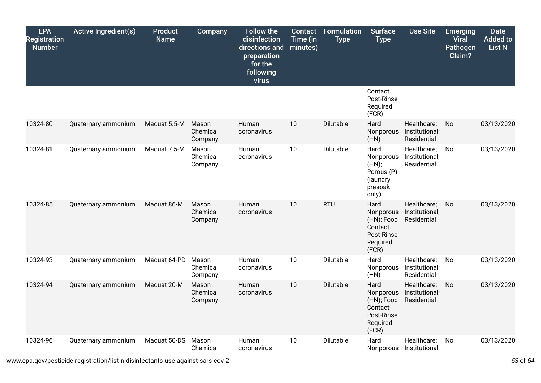| <b>EPA</b><br><b>Registration</b><br><b>Number</b> | <b>Active Ingredient(s)</b> | <b>Product</b><br><b>Name</b> | <b>Company</b>               | <b>Follow the</b><br>disinfection<br>directions and<br>preparation<br>for the<br>following<br>virus | <b>Contact</b><br>Time (in<br>minutes) | <b>Formulation</b><br><b>Type</b> | <b>Surface</b><br><b>Type</b>                                                 | <b>Use Site</b>                              | <b>Emerging</b><br><b>Viral</b><br>Pathogen<br>Claim? | <b>Date</b><br><b>Added to</b><br><b>List N</b> |
|----------------------------------------------------|-----------------------------|-------------------------------|------------------------------|-----------------------------------------------------------------------------------------------------|----------------------------------------|-----------------------------------|-------------------------------------------------------------------------------|----------------------------------------------|-------------------------------------------------------|-------------------------------------------------|
|                                                    |                             |                               |                              |                                                                                                     |                                        |                                   | Contact<br>Post-Rinse<br>Required<br>(FCR)                                    |                                              |                                                       |                                                 |
| 10324-80                                           | Quaternary ammonium         | Maquat 5.5-M                  | Mason<br>Chemical<br>Company | Human<br>coronavirus                                                                                | 10                                     | Dilutable                         | Hard<br>Nonporous<br>(HN)                                                     | Healthcare;<br>Institutional;<br>Residential | No                                                    | 03/13/2020                                      |
| 10324-81                                           | Quaternary ammonium         | Maquat 7.5-M                  | Mason<br>Chemical<br>Company | Human<br>coronavirus                                                                                | 10                                     | Dilutable                         | Hard<br>Nonporous<br>(HN);<br>Porous (P)<br>(laundry<br>presoak<br>only)      | Healthcare;<br>Institutional;<br>Residential | No.                                                   | 03/13/2020                                      |
| 10324-85                                           | Quaternary ammonium         | Maquat 86-M                   | Mason<br>Chemical<br>Company | Human<br>coronavirus                                                                                | 10                                     | <b>RTU</b>                        | Hard<br>Nonporous<br>(HN); Food<br>Contact<br>Post-Rinse<br>Required<br>(FCR) | Healthcare;<br>Institutional;<br>Residential | No                                                    | 03/13/2020                                      |
| 10324-93                                           | Quaternary ammonium         | Maquat 64-PD                  | Mason<br>Chemical<br>Company | Human<br>coronavirus                                                                                | 10                                     | Dilutable                         | Hard<br>Nonporous<br>(HN)                                                     | Healthcare;<br>Institutional;<br>Residential | No                                                    | 03/13/2020                                      |
| 10324-94                                           | Quaternary ammonium         | Maquat 20-M                   | Mason<br>Chemical<br>Company | Human<br>coronavirus                                                                                | 10                                     | Dilutable                         | Hard<br>Nonporous<br>(HN); Food<br>Contact<br>Post-Rinse<br>Required<br>(FCR) | Healthcare;<br>Institutional;<br>Residential | No.                                                   | 03/13/2020                                      |
| 10324-96                                           | Quaternary ammonium         | Maquat 50-DS                  | Mason<br>Chemical            | Human<br>coronavirus                                                                                | 10                                     | Dilutable                         | Hard<br>Nonporous                                                             | Healthcare;<br>Institutional;                | No                                                    | 03/13/2020                                      |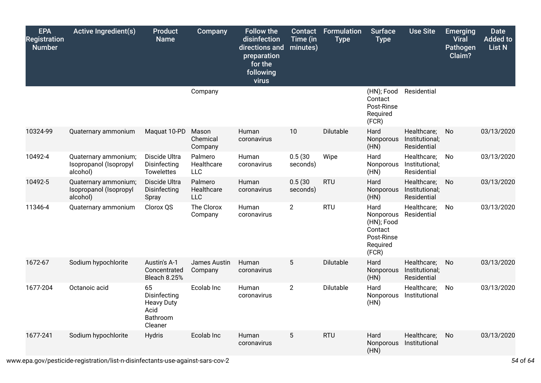| <b>EPA</b><br><b>Registration</b><br><b>Number</b> | <b>Active Ingredient(s)</b>                                | <b>Product</b><br><b>Name</b>                                          | Company                             | <b>Follow the</b><br>disinfection<br>directions and<br>preparation<br>for the<br>following<br>virus | <b>Contact</b><br>Time (in<br>minutes) | <b>Formulation</b><br><b>Type</b> | <b>Surface</b><br><b>Type</b>                                                 | <b>Use Site</b>                              | <b>Emerging</b><br><b>Viral</b><br><b>Pathogen</b><br>Claim? | <b>Date</b><br><b>Added to</b><br><b>List N</b> |
|----------------------------------------------------|------------------------------------------------------------|------------------------------------------------------------------------|-------------------------------------|-----------------------------------------------------------------------------------------------------|----------------------------------------|-----------------------------------|-------------------------------------------------------------------------------|----------------------------------------------|--------------------------------------------------------------|-------------------------------------------------|
|                                                    |                                                            |                                                                        | Company                             |                                                                                                     |                                        |                                   | (HN); Food<br>Contact<br>Post-Rinse<br>Required<br>(FCR)                      | Residential                                  |                                                              |                                                 |
| 10324-99                                           | Quaternary ammonium                                        | Maquat 10-PD                                                           | Mason<br>Chemical<br>Company        | Human<br>coronavirus                                                                                | 10                                     | Dilutable                         | Hard<br>Nonporous<br>(HN)                                                     | Healthcare;<br>Institutional;<br>Residential | No                                                           | 03/13/2020                                      |
| 10492-4                                            | Quaternary ammonium;<br>Isopropanol (Isopropyl<br>alcohol) | Discide Ultra<br>Disinfecting<br><b>Towelettes</b>                     | Palmero<br>Healthcare<br><b>LLC</b> | Human<br>coronavirus                                                                                | 0.5(30)<br>seconds)                    | Wipe                              | Hard<br>Nonporous<br>(HN)                                                     | Healthcare;<br>Institutional;<br>Residential | No                                                           | 03/13/2020                                      |
| 10492-5                                            | Quaternary ammonium;<br>Isopropanol (Isopropyl<br>alcohol) | Discide Ultra<br>Disinfecting<br>Spray                                 | Palmero<br>Healthcare<br><b>LLC</b> | Human<br>coronavirus                                                                                | 0.5(30)<br>seconds)                    | <b>RTU</b>                        | Hard<br>Nonporous<br>(HN)                                                     | Healthcare;<br>Institutional;<br>Residential | No.                                                          | 03/13/2020                                      |
| 11346-4                                            | Quaternary ammonium                                        | Clorox QS                                                              | The Clorox<br>Company               | Human<br>coronavirus                                                                                | $\overline{2}$                         | <b>RTU</b>                        | Hard<br>Nonporous<br>(HN); Food<br>Contact<br>Post-Rinse<br>Required<br>(FCR) | Healthcare;<br>Residential                   | No                                                           | 03/13/2020                                      |
| 1672-67                                            | Sodium hypochlorite                                        | Austin's A-1<br>Concentrated<br>Bleach 8.25%                           | James Austin<br>Company             | Human<br>coronavirus                                                                                | 5                                      | Dilutable                         | Hard<br>Nonporous<br>(HN)                                                     | Healthcare;<br>Institutional;<br>Residential | <b>No</b>                                                    | 03/13/2020                                      |
| 1677-204                                           | Octanoic acid                                              | 65<br>Disinfecting<br><b>Heavy Duty</b><br>Acid<br>Bathroom<br>Cleaner | Ecolab Inc                          | Human<br>coronavirus                                                                                | $\overline{2}$                         | Dilutable                         | Hard<br>Nonporous<br>(HN)                                                     | Healthcare;<br>Institutional                 | No                                                           | 03/13/2020                                      |
| 1677-241                                           | Sodium hypochlorite                                        | <b>Hydris</b>                                                          | Ecolab Inc                          | Human<br>coronavirus                                                                                | 5                                      | <b>RTU</b>                        | Hard<br>Nonporous<br>(HN)                                                     | Healthcare;<br>Institutional                 | <b>No</b>                                                    | 03/13/2020                                      |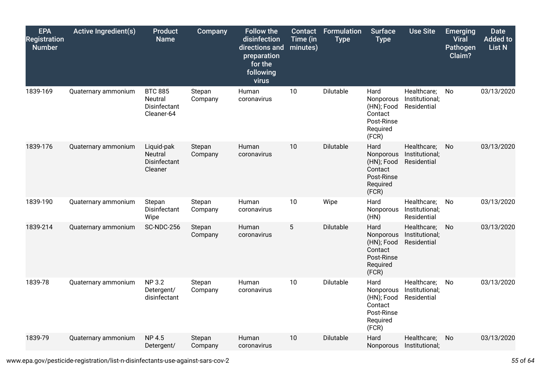| <b>EPA</b><br><b>Registration</b><br><b>Number</b> | <b>Active Ingredient(s)</b> | <b>Product</b><br><b>Name</b>                           | Company           | <b>Follow the</b><br>disinfection<br>directions and<br>preparation<br>for the<br>following<br>virus | <b>Contact</b><br>Time (in<br>minutes) | <b>Formulation</b><br><b>Type</b> | <b>Surface</b><br><b>Type</b>                                                 | <b>Use Site</b>                              | <b>Emerging</b><br><b>Viral</b><br>Pathogen<br>Claim? | <b>Date</b><br><b>Added to</b><br><b>List N</b> |
|----------------------------------------------------|-----------------------------|---------------------------------------------------------|-------------------|-----------------------------------------------------------------------------------------------------|----------------------------------------|-----------------------------------|-------------------------------------------------------------------------------|----------------------------------------------|-------------------------------------------------------|-------------------------------------------------|
| 1839-169                                           | Quaternary ammonium         | <b>BTC 885</b><br>Neutral<br>Disinfectant<br>Cleaner-64 | Stepan<br>Company | Human<br>coronavirus                                                                                | 10                                     | Dilutable                         | Hard<br>Nonporous<br>(HN); Food<br>Contact<br>Post-Rinse<br>Required<br>(FCR) | Healthcare;<br>Institutional;<br>Residential | No                                                    | 03/13/2020                                      |
| 1839-176                                           | Quaternary ammonium         | Liquid-pak<br>Neutral<br>Disinfectant<br>Cleaner        | Stepan<br>Company | Human<br>coronavirus                                                                                | 10                                     | Dilutable                         | Hard<br>Nonporous<br>(HN); Food<br>Contact<br>Post-Rinse<br>Required<br>(FCR) | Healthcare;<br>Institutional;<br>Residential | <b>No</b>                                             | 03/13/2020                                      |
| 1839-190                                           | Quaternary ammonium         | Stepan<br>Disinfectant<br>Wipe                          | Stepan<br>Company | Human<br>coronavirus                                                                                | 10                                     | Wipe                              | Hard<br>Nonporous<br>(HN)                                                     | Healthcare;<br>Institutional;<br>Residential | No                                                    | 03/13/2020                                      |
| 1839-214                                           | Quaternary ammonium         | <b>SC-NDC-256</b>                                       | Stepan<br>Company | Human<br>coronavirus                                                                                | 5                                      | Dilutable                         | Hard<br>Nonporous<br>(HN); Food<br>Contact<br>Post-Rinse<br>Required<br>(FCR) | Healthcare;<br>Institutional;<br>Residential | No                                                    | 03/13/2020                                      |
| 1839-78                                            | Quaternary ammonium         | <b>NP 3.2</b><br>Detergent/<br>disinfectant             | Stepan<br>Company | Human<br>coronavirus                                                                                | 10                                     | Dilutable                         | Hard<br>Nonporous<br>(HN); Food<br>Contact<br>Post-Rinse<br>Required<br>(FCR) | Healthcare;<br>Institutional;<br>Residential | No                                                    | 03/13/2020                                      |
| 1839-79                                            | Quaternary ammonium         | <b>NP 4.5</b><br>Detergent/                             | Stepan<br>Company | Human<br>coronavirus                                                                                | 10                                     | Dilutable                         | Hard<br>Nonporous                                                             | Healthcare;<br>Institutional;                | No                                                    | 03/13/2020                                      |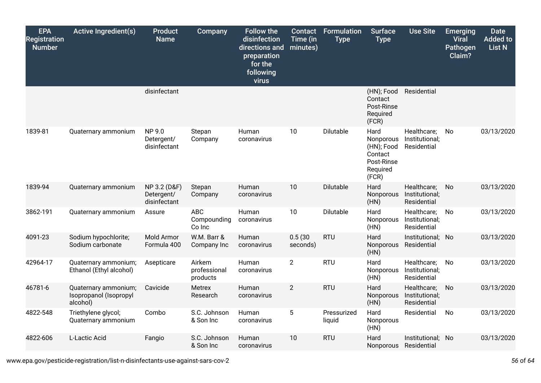| <b>EPA</b><br><b>Registration</b><br><b>Number</b> | <b>Active Ingredient(s)</b>                                | <b>Product</b><br><b>Name</b>              | Company                             | <b>Follow the</b><br>disinfection<br>directions and<br>preparation<br>for the<br>following<br>virus | <b>Contact</b><br>Time (in<br>minutes) | <b>Formulation</b><br><b>Type</b> | <b>Surface</b><br><b>Type</b>                                                 | <b>Use Site</b>                              | <b>Emerging</b><br><b>Viral</b><br>Pathogen<br>Claim? | <b>Date</b><br>Added to<br>List N |
|----------------------------------------------------|------------------------------------------------------------|--------------------------------------------|-------------------------------------|-----------------------------------------------------------------------------------------------------|----------------------------------------|-----------------------------------|-------------------------------------------------------------------------------|----------------------------------------------|-------------------------------------------------------|-----------------------------------|
|                                                    |                                                            | disinfectant                               |                                     |                                                                                                     |                                        |                                   | (HN); Food<br>Contact<br>Post-Rinse<br>Required<br>(FCR)                      | Residential                                  |                                                       |                                   |
| 1839-81                                            | Quaternary ammonium                                        | NP 9.0<br>Detergent/<br>disinfectant       | Stepan<br>Company                   | Human<br>coronavirus                                                                                | 10                                     | Dilutable                         | Hard<br>Nonporous<br>(HN); Food<br>Contact<br>Post-Rinse<br>Required<br>(FCR) | Healthcare;<br>Institutional;<br>Residential | No                                                    | 03/13/2020                        |
| 1839-94                                            | Quaternary ammonium                                        | NP 3.2 (D&F)<br>Detergent/<br>disinfectant | Stepan<br>Company                   | Human<br>coronavirus                                                                                | 10                                     | Dilutable                         | Hard<br>Nonporous<br>(HN)                                                     | Healthcare;<br>Institutional;<br>Residential | No                                                    | 03/13/2020                        |
| 3862-191                                           | Quaternary ammonium                                        | Assure                                     | <b>ABC</b><br>Compounding<br>Co Inc | Human<br>coronavirus                                                                                | 10                                     | Dilutable                         | Hard<br>Nonporous<br>(HN)                                                     | Healthcare;<br>Institutional;<br>Residential | No                                                    | 03/13/2020                        |
| 4091-23                                            | Sodium hypochlorite;<br>Sodium carbonate                   | Mold Armor<br>Formula 400                  | W.M. Barr &<br>Company Inc          | Human<br>coronavirus                                                                                | 0.5(30)<br>seconds)                    | <b>RTU</b>                        | Hard<br>Nonporous<br>(HN)                                                     | Institutional; No<br>Residential             |                                                       | 03/13/2020                        |
| 42964-17                                           | Quaternary ammonium;<br>Ethanol (Ethyl alcohol)            | Asepticare                                 | Airkem<br>professional<br>products  | Human<br>coronavirus                                                                                | $\overline{2}$                         | <b>RTU</b>                        | Hard<br>Nonporous<br>(HN)                                                     | Healthcare;<br>Institutional;<br>Residential | No                                                    | 03/13/2020                        |
| 46781-6                                            | Quaternary ammonium;<br>Isopropanol (Isopropyl<br>alcohol) | Cavicide                                   | Metrex<br>Research                  | Human<br>coronavirus                                                                                | $\overline{2}$                         | <b>RTU</b>                        | Hard<br>Nonporous<br>(HN)                                                     | Healthcare;<br>Institutional;<br>Residential | No                                                    | 03/13/2020                        |
| 4822-548                                           | Triethylene glycol;<br>Quaternary ammonium                 | Combo                                      | S.C. Johnson<br>& Son Inc           | Human<br>coronavirus                                                                                | 5                                      | Pressurized<br>liquid             | Hard<br>Nonporous<br>(HN)                                                     | Residential                                  | No                                                    | 03/13/2020                        |
| 4822-606                                           | L-Lactic Acid                                              | Fangio                                     | S.C. Johnson<br>& Son Inc           | Human<br>coronavirus                                                                                | 10                                     | <b>RTU</b>                        | Hard<br>Nonporous                                                             | Institutional; No<br>Residential             |                                                       | 03/13/2020                        |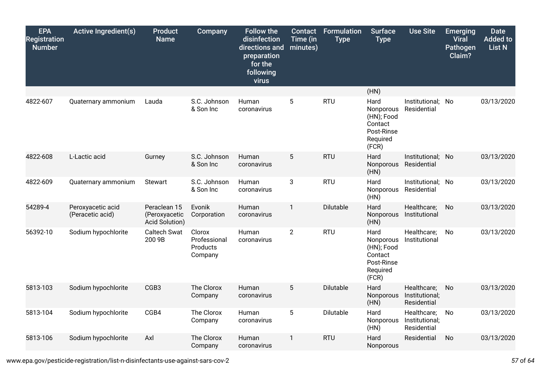| <b>EPA</b><br><b>Registration</b><br><b>Number</b> | <b>Active Ingredient(s)</b>           | <b>Product</b><br><b>Name</b>                   | Company                                       | <b>Follow the</b><br>disinfection<br>directions and<br>preparation<br>for the<br>following<br>virus | Contact<br>Time (in<br>minutes) | <b>Formulation</b><br><b>Type</b> | <b>Surface</b><br><b>Type</b>                                                 | <b>Use Site</b>                              | <b>Emerging</b><br><b>Viral</b><br>Pathogen<br>Claim? | <b>Date</b><br><b>Added to</b><br><b>List N</b> |
|----------------------------------------------------|---------------------------------------|-------------------------------------------------|-----------------------------------------------|-----------------------------------------------------------------------------------------------------|---------------------------------|-----------------------------------|-------------------------------------------------------------------------------|----------------------------------------------|-------------------------------------------------------|-------------------------------------------------|
|                                                    |                                       |                                                 |                                               |                                                                                                     |                                 |                                   | (HN)                                                                          |                                              |                                                       |                                                 |
| 4822-607                                           | Quaternary ammonium                   | Lauda                                           | S.C. Johnson<br>& Son Inc                     | Human<br>coronavirus                                                                                | 5                               | <b>RTU</b>                        | Hard<br>Nonporous<br>(HN); Food<br>Contact<br>Post-Rinse<br>Required<br>(FCR) | Institutional;<br>Residential                | No                                                    | 03/13/2020                                      |
| 4822-608                                           | L-Lactic acid                         | Gurney                                          | S.C. Johnson<br>& Son Inc                     | Human<br>coronavirus                                                                                | $5\phantom{.0}$                 | <b>RTU</b>                        | Hard<br>Nonporous<br>(HN)                                                     | Institutional; No<br>Residential             |                                                       | 03/13/2020                                      |
| 4822-609                                           | Quaternary ammonium                   | <b>Stewart</b>                                  | S.C. Johnson<br>& Son Inc                     | Human<br>coronavirus                                                                                | 3                               | <b>RTU</b>                        | Hard<br>Nonporous<br>(HN)                                                     | Institutional; No<br>Residential             |                                                       | 03/13/2020                                      |
| 54289-4                                            | Peroxyacetic acid<br>(Peracetic acid) | Peraclean 15<br>(Peroxyacetic<br>Acid Solution) | Evonik<br>Corporation                         | Human<br>coronavirus                                                                                | 1                               | Dilutable                         | Hard<br>Nonporous<br>(HN)                                                     | Healthcare;<br>Institutional                 | No                                                    | 03/13/2020                                      |
| 56392-10                                           | Sodium hypochlorite                   | Caltech Swat<br>200 9B                          | Clorox<br>Professional<br>Products<br>Company | Human<br>coronavirus                                                                                | $\overline{2}$                  | <b>RTU</b>                        | Hard<br>Nonporous<br>(HN); Food<br>Contact<br>Post-Rinse<br>Required<br>(FCR) | Healthcare;<br>Institutional                 | No                                                    | 03/13/2020                                      |
| 5813-103                                           | Sodium hypochlorite                   | CGB3                                            | The Clorox<br>Company                         | Human<br>coronavirus                                                                                | $5\phantom{.0}$                 | Dilutable                         | Hard<br>Nonporous<br>(HN)                                                     | Healthcare;<br>Institutional;<br>Residential | No                                                    | 03/13/2020                                      |
| 5813-104                                           | Sodium hypochlorite                   | CGB4                                            | The Clorox<br>Company                         | Human<br>coronavirus                                                                                | $\overline{5}$                  | Dilutable                         | Hard<br>Nonporous<br>(HN)                                                     | Healthcare;<br>Institutional;<br>Residential | No                                                    | 03/13/2020                                      |
| 5813-106                                           | Sodium hypochlorite                   | Axl                                             | The Clorox<br>Company                         | Human<br>coronavirus                                                                                | 1                               | <b>RTU</b>                        | Hard<br>Nonporous                                                             | Residential                                  | No                                                    | 03/13/2020                                      |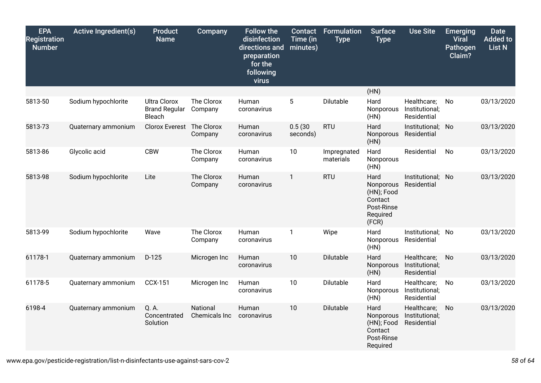| <b>EPA</b><br><b>Registration</b><br><b>Number</b> | <b>Active Ingredient(s)</b> | <b>Product</b><br><b>Name</b>                                | Company                          | <b>Follow the</b><br>disinfection<br>directions and<br>preparation<br>for the<br>following<br>virus | <b>Contact</b><br>Time (in<br>minutes) | Formulation<br><b>Type</b> | <b>Surface</b><br><b>Type</b>                                                 | <b>Use Site</b>                              | <b>Emerging</b><br><b>Viral</b><br>Pathogen<br>Claim? | <b>Date</b><br><b>Added to</b><br><b>List N</b> |
|----------------------------------------------------|-----------------------------|--------------------------------------------------------------|----------------------------------|-----------------------------------------------------------------------------------------------------|----------------------------------------|----------------------------|-------------------------------------------------------------------------------|----------------------------------------------|-------------------------------------------------------|-------------------------------------------------|
|                                                    |                             |                                                              |                                  |                                                                                                     |                                        |                            | (HN)                                                                          |                                              |                                                       |                                                 |
| 5813-50                                            | Sodium hypochlorite         | <b>Ultra Clorox</b><br><b>Brand Regular</b><br><b>Bleach</b> | The Clorox<br>Company            | Human<br>coronavirus                                                                                | 5                                      | Dilutable                  | Hard<br>Nonporous<br>(HN)                                                     | Healthcare;<br>Institutional;<br>Residential | No                                                    | 03/13/2020                                      |
| 5813-73                                            | Quaternary ammonium         | Clorox Everest                                               | The Clorox<br>Company            | Human<br>coronavirus                                                                                | 0.5(30)<br>seconds)                    | <b>RTU</b>                 | Hard<br>Nonporous<br>(HN)                                                     | Institutional; No<br>Residential             |                                                       | 03/13/2020                                      |
| 5813-86                                            | Glycolic acid               | <b>CBW</b>                                                   | The Clorox<br>Company            | Human<br>coronavirus                                                                                | 10                                     | Impregnated<br>materials   | Hard<br>Nonporous<br>(HN)                                                     | Residential                                  | No                                                    | 03/13/2020                                      |
| 5813-98                                            | Sodium hypochlorite         | Lite                                                         | The Clorox<br>Company            | Human<br>coronavirus                                                                                | $\mathbf{1}$                           | <b>RTU</b>                 | Hard<br>Nonporous<br>(HN); Food<br>Contact<br>Post-Rinse<br>Required<br>(FCR) | Institutional; No<br>Residential             |                                                       | 03/13/2020                                      |
| 5813-99                                            | Sodium hypochlorite         | Wave                                                         | The Clorox<br>Company            | Human<br>coronavirus                                                                                | $\mathbf{1}$                           | Wipe                       | Hard<br>Nonporous<br>(HN)                                                     | Institutional; No<br>Residential             |                                                       | 03/13/2020                                      |
| 61178-1                                            | Quaternary ammonium         | $D-125$                                                      | Microgen Inc                     | Human<br>coronavirus                                                                                | 10                                     | Dilutable                  | Hard<br>Nonporous<br>(HN)                                                     | Healthcare;<br>Institutional;<br>Residential | No                                                    | 03/13/2020                                      |
| 61178-5                                            | Quaternary ammonium         | <b>CCX-151</b>                                               | Microgen Inc                     | Human<br>coronavirus                                                                                | 10                                     | Dilutable                  | Hard<br>Nonporous<br>(HN)                                                     | Healthcare;<br>Institutional;<br>Residential | No                                                    | 03/13/2020                                      |
| 6198-4                                             | Quaternary ammonium         | Q. A.<br>Concentrated<br>Solution                            | <b>National</b><br>Chemicals Inc | Human<br>coronavirus                                                                                | 10                                     | Dilutable                  | Hard<br>Nonporous<br>(HN); Food<br>Contact<br>Post-Rinse<br>Required          | Healthcare;<br>Institutional;<br>Residential | No                                                    | 03/13/2020                                      |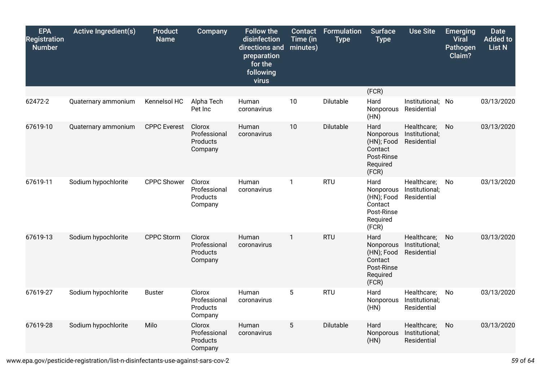| <b>EPA</b><br><b>Registration</b><br><b>Number</b> | <b>Active Ingredient(s)</b> | <b>Product</b><br><b>Name</b> | Company                                       | <b>Follow the</b><br>disinfection<br>directions and<br>preparation<br>for the<br>following<br>virus | <b>Contact</b><br>Time (in<br>minutes) | <b>Formulation</b><br><b>Type</b> | <b>Surface</b><br><b>Type</b>                                                 | <b>Use Site</b>                              | <b>Emerging</b><br><b>Viral</b><br>Pathogen<br>Claim? | <b>Date</b><br><b>Added to</b><br><b>List N</b> |
|----------------------------------------------------|-----------------------------|-------------------------------|-----------------------------------------------|-----------------------------------------------------------------------------------------------------|----------------------------------------|-----------------------------------|-------------------------------------------------------------------------------|----------------------------------------------|-------------------------------------------------------|-------------------------------------------------|
|                                                    |                             |                               |                                               |                                                                                                     |                                        |                                   | (FCR)                                                                         |                                              |                                                       |                                                 |
| 62472-2                                            | Quaternary ammonium         | Kennelsol HC                  | Alpha Tech<br>Pet Inc                         | Human<br>coronavirus                                                                                | 10                                     | Dilutable                         | Hard<br>Nonporous<br>(HN)                                                     | Institutional; No<br>Residential             |                                                       | 03/13/2020                                      |
| 67619-10                                           | Quaternary ammonium         | <b>CPPC</b> Everest           | Clorox<br>Professional<br>Products<br>Company | Human<br>coronavirus                                                                                | 10                                     | Dilutable                         | Hard<br>Nonporous<br>(HN); Food<br>Contact<br>Post-Rinse<br>Required<br>(FCR) | Healthcare;<br>Institutional;<br>Residential | No                                                    | 03/13/2020                                      |
| 67619-11                                           | Sodium hypochlorite         | <b>CPPC Shower</b>            | Clorox<br>Professional<br>Products<br>Company | Human<br>coronavirus                                                                                | 1                                      | <b>RTU</b>                        | Hard<br>Nonporous<br>(HN); Food<br>Contact<br>Post-Rinse<br>Required<br>(FCR) | Healthcare;<br>Institutional;<br>Residential | <b>No</b>                                             | 03/13/2020                                      |
| 67619-13                                           | Sodium hypochlorite         | <b>CPPC Storm</b>             | Clorox<br>Professional<br>Products<br>Company | Human<br>coronavirus                                                                                | $\mathbf{1}$                           | <b>RTU</b>                        | Hard<br>Nonporous<br>(HN); Food<br>Contact<br>Post-Rinse<br>Required<br>(FCR) | Healthcare;<br>Institutional;<br>Residential | No                                                    | 03/13/2020                                      |
| 67619-27                                           | Sodium hypochlorite         | <b>Buster</b>                 | Clorox<br>Professional<br>Products<br>Company | Human<br>coronavirus                                                                                | $\overline{5}$                         | <b>RTU</b>                        | Hard<br>Nonporous<br>(HN)                                                     | Healthcare;<br>Institutional;<br>Residential | No                                                    | 03/13/2020                                      |
| 67619-28                                           | Sodium hypochlorite         | Milo                          | Clorox<br>Professional<br>Products<br>Company | Human<br>coronavirus                                                                                | 5                                      | Dilutable                         | Hard<br>Nonporous<br>(HN)                                                     | Healthcare;<br>Institutional;<br>Residential | No                                                    | 03/13/2020                                      |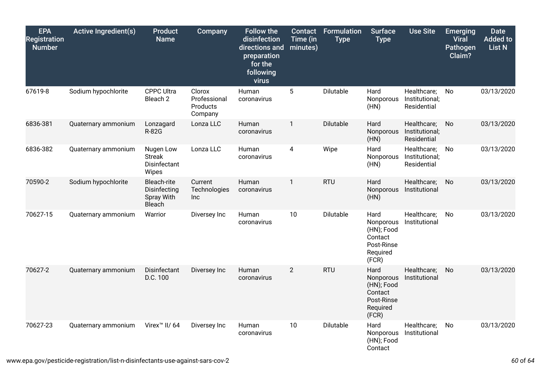| <b>EPA</b><br><b>Registration</b><br><b>Number</b> | <b>Active Ingredient(s)</b> | <b>Product</b><br><b>Name</b>                                     | Company                                       | <b>Follow the</b><br>disinfection<br>directions and<br>preparation<br>for the<br>following<br>virus | Contact<br>Time (in<br>minutes) | <b>Formulation</b><br><b>Type</b> | <b>Surface</b><br><b>Type</b>                                                 | <b>Use Site</b>                              | <b>Emerging</b><br><b>Viral</b><br><b>Pathogen</b><br>Claim? | <b>Date</b><br><b>Added to</b><br><b>List N</b> |
|----------------------------------------------------|-----------------------------|-------------------------------------------------------------------|-----------------------------------------------|-----------------------------------------------------------------------------------------------------|---------------------------------|-----------------------------------|-------------------------------------------------------------------------------|----------------------------------------------|--------------------------------------------------------------|-------------------------------------------------|
| 67619-8                                            | Sodium hypochlorite         | <b>CPPC Ultra</b><br>Bleach <sub>2</sub>                          | Clorox<br>Professional<br>Products<br>Company | Human<br>coronavirus                                                                                | 5                               | Dilutable                         | Hard<br>Nonporous<br>(HN)                                                     | Healthcare;<br>Institutional;<br>Residential | No                                                           | 03/13/2020                                      |
| 6836-381                                           | Quaternary ammonium         | Lonzagard<br><b>R-82G</b>                                         | Lonza LLC                                     | Human<br>coronavirus                                                                                | $\mathbf{1}$                    | Dilutable                         | Hard<br>Nonporous<br>(HN)                                                     | Healthcare;<br>Institutional;<br>Residential | No                                                           | 03/13/2020                                      |
| 6836-382                                           | Quaternary ammonium         | Nugen Low<br><b>Streak</b><br>Disinfectant<br>Wipes               | Lonza LLC                                     | Human<br>coronavirus                                                                                | 4                               | Wipe                              | Hard<br>Nonporous<br>(HN)                                                     | Healthcare;<br>Institutional;<br>Residential | No                                                           | 03/13/2020                                      |
| 70590-2                                            | Sodium hypochlorite         | <b>Bleach-rite</b><br>Disinfecting<br>Spray With<br><b>Bleach</b> | Current<br>Technologies<br>Inc                | Human<br>coronavirus                                                                                | $\mathbf{1}$                    | <b>RTU</b>                        | Hard<br>Nonporous<br>(HN)                                                     | Healthcare;<br>Institutional                 | No                                                           | 03/13/2020                                      |
| 70627-15                                           | Quaternary ammonium         | Warrior                                                           | Diversey Inc                                  | Human<br>coronavirus                                                                                | 10                              | Dilutable                         | Hard<br>Nonporous<br>(HN); Food<br>Contact<br>Post-Rinse<br>Required<br>(FCR) | Healthcare;<br>Institutional                 | No                                                           | 03/13/2020                                      |
| 70627-2                                            | Quaternary ammonium         | Disinfectant<br>D.C. 100                                          | Diversey Inc                                  | Human<br>coronavirus                                                                                | $\overline{2}$                  | <b>RTU</b>                        | Hard<br>Nonporous<br>(HN); Food<br>Contact<br>Post-Rinse<br>Required<br>(FCR) | Healthcare;<br>Institutional                 | No                                                           | 03/13/2020                                      |
| 70627-23                                           | Quaternary ammonium         | Virex <sup>™</sup> II/ 64                                         | Diversey Inc                                  | Human<br>coronavirus                                                                                | 10                              | Dilutable                         | Hard<br>Nonporous<br>(HN); Food<br>Contact                                    | Healthcare;<br>Institutional                 | No                                                           | 03/13/2020                                      |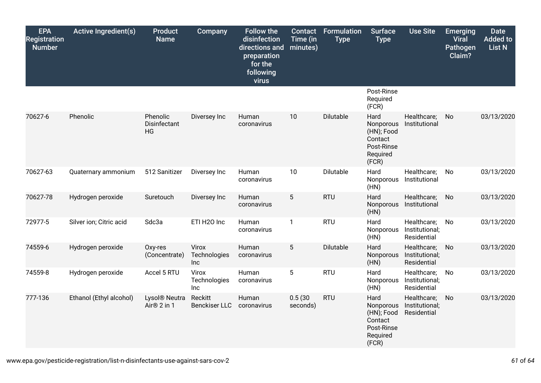| <b>EPA</b><br><b>Registration</b><br><b>Number</b> | <b>Active Ingredient(s)</b> | <b>Product</b><br><b>Name</b>            | Company                         | <b>Follow the</b><br>disinfection<br>directions and<br>preparation<br>for the<br>following<br>virus | <b>Contact</b><br>Time (in<br>minutes) | <b>Formulation</b><br><b>Type</b> | <b>Surface</b><br><b>Type</b>                                                 | <b>Use Site</b>                              | <b>Emerging</b><br><b>Viral</b><br>Pathogen<br>Claim? | <b>Date</b><br><b>Added</b> to<br>List N |
|----------------------------------------------------|-----------------------------|------------------------------------------|---------------------------------|-----------------------------------------------------------------------------------------------------|----------------------------------------|-----------------------------------|-------------------------------------------------------------------------------|----------------------------------------------|-------------------------------------------------------|------------------------------------------|
|                                                    |                             |                                          |                                 |                                                                                                     |                                        |                                   | Post-Rinse<br>Required<br>(FCR)                                               |                                              |                                                       |                                          |
| 70627-6                                            | Phenolic                    | Phenolic<br>Disinfectant<br>HG           | Diversey Inc                    | Human<br>coronavirus                                                                                | 10                                     | Dilutable                         | Hard<br>Nonporous<br>(HN); Food<br>Contact<br>Post-Rinse<br>Required<br>(FCR) | Healthcare;<br>Institutional                 | No                                                    | 03/13/2020                               |
| 70627-63                                           | Quaternary ammonium         | 512 Sanitizer                            | Diversey Inc                    | Human<br>coronavirus                                                                                | 10                                     | Dilutable                         | Hard<br>Nonporous<br>(HN)                                                     | Healthcare;<br>Institutional                 | No                                                    | 03/13/2020                               |
| 70627-78                                           | Hydrogen peroxide           | Suretouch                                | Diversey Inc                    | Human<br>coronavirus                                                                                | 5                                      | <b>RTU</b>                        | Hard<br>Nonporous<br>(HN)                                                     | Healthcare;<br>Institutional                 | No                                                    | 03/13/2020                               |
| 72977-5                                            | Silver ion; Citric acid     | Sdc3a                                    | ETI H2O Inc                     | Human<br>coronavirus                                                                                | $\mathbf{1}$                           | <b>RTU</b>                        | Hard<br>Nonporous<br>(HN)                                                     | Healthcare;<br>Institutional;<br>Residential | No                                                    | 03/13/2020                               |
| 74559-6                                            | Hydrogen peroxide           | Oxy-res<br>(Concentrate)                 | Virox<br>Technologies<br>Inc    | Human<br>coronavirus                                                                                | 5                                      | Dilutable                         | Hard<br>Nonporous<br>(HN)                                                     | Healthcare;<br>Institutional;<br>Residential | No                                                    | 03/13/2020                               |
| 74559-8                                            | Hydrogen peroxide           | Accel 5 RTU                              | Virox<br>Technologies<br>Inc    | Human<br>coronavirus                                                                                | $5\phantom{.0}$                        | <b>RTU</b>                        | Hard<br>Nonporous<br>(HN)                                                     | Healthcare;<br>Institutional;<br>Residential | No                                                    | 03/13/2020                               |
| 777-136                                            | Ethanol (Ethyl alcohol)     | Lysol <sup>®</sup> Neutra<br>Air® 2 in 1 | Reckitt<br><b>Benckiser LLC</b> | Human<br>coronavirus                                                                                | 0.5(30)<br>seconds)                    | <b>RTU</b>                        | Hard<br>Nonporous<br>(HN); Food<br>Contact<br>Post-Rinse<br>Required<br>(FCR) | Healthcare;<br>Institutional;<br>Residential | No                                                    | 03/13/2020                               |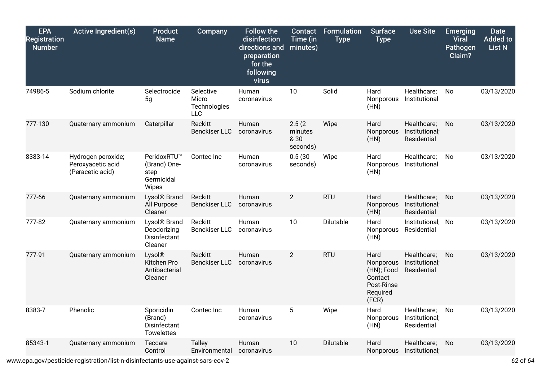| <b>EPA</b><br><b>Registration</b><br><b>Number</b> | <b>Active Ingredient(s)</b>                                 | <b>Product</b><br><b>Name</b>                                      | <b>Company</b>                                   | <b>Follow the</b><br>disinfection<br>directions and<br>preparation<br>for the<br>following<br>virus | Contact<br>Time (in<br>minutes)       | <b>Formulation</b><br><b>Type</b> | <b>Surface</b><br><b>Type</b>                                                 | <b>Use Site</b>                              | <b>Emerging</b><br><b>Viral</b><br>Pathogen<br>Claim? | <b>Date</b><br><b>Added to</b><br><b>List N</b> |
|----------------------------------------------------|-------------------------------------------------------------|--------------------------------------------------------------------|--------------------------------------------------|-----------------------------------------------------------------------------------------------------|---------------------------------------|-----------------------------------|-------------------------------------------------------------------------------|----------------------------------------------|-------------------------------------------------------|-------------------------------------------------|
| 74986-5                                            | Sodium chlorite                                             | Selectrocide<br>5g                                                 | Selective<br>Micro<br>Technologies<br><b>LLC</b> | Human<br>coronavirus                                                                                | 10                                    | Solid                             | Hard<br>Nonporous<br>(HN)                                                     | Healthcare;<br>Institutional                 | No                                                    | 03/13/2020                                      |
| 777-130                                            | Quaternary ammonium                                         | Caterpillar                                                        | Reckitt<br><b>Benckiser LLC</b>                  | Human<br>coronavirus                                                                                | 2.5(2)<br>minutes<br>& 30<br>seconds) | Wipe                              | Hard<br>Nonporous<br>(HN)                                                     | Healthcare;<br>Institutional;<br>Residential | No                                                    | 03/13/2020                                      |
| 8383-14                                            | Hydrogen peroxide;<br>Peroxyacetic acid<br>(Peracetic acid) | PeridoxRTU™<br>(Brand) One-<br>step<br>Germicidal<br>Wipes         | Contec Inc                                       | Human<br>coronavirus                                                                                | 0.5(30)<br>seconds)                   | Wipe                              | Hard<br>Nonporous<br>(HN)                                                     | Healthcare;<br>Institutional                 | No                                                    | 03/13/2020                                      |
| 777-66                                             | Quaternary ammonium                                         | Lysol <sup>®</sup> Brand<br>All Purpose<br>Cleaner                 | Reckitt<br><b>Benckiser LLC</b>                  | Human<br>coronavirus                                                                                | $\overline{2}$                        | <b>RTU</b>                        | Hard<br>Nonporous<br>(HN)                                                     | Healthcare;<br>Institutional;<br>Residential | No                                                    | 03/13/2020                                      |
| 777-82                                             | Quaternary ammonium                                         | Lysol <sup>®</sup> Brand<br>Deodorizing<br>Disinfectant<br>Cleaner | Reckitt<br><b>Benckiser LLC</b>                  | Human<br>coronavirus                                                                                | 10                                    | Dilutable                         | Hard<br>Nonporous<br>(HN)                                                     | Institutional;<br>Residential                | No                                                    | 03/13/2020                                      |
| 777-91                                             | Quaternary ammonium                                         | Lysol®<br>Kitchen Pro<br>Antibacterial<br>Cleaner                  | Reckitt<br><b>Benckiser LLC</b>                  | Human<br>coronavirus                                                                                | $\overline{2}$                        | <b>RTU</b>                        | Hard<br>Nonporous<br>(HN); Food<br>Contact<br>Post-Rinse<br>Required<br>(FCR) | Healthcare;<br>Institutional;<br>Residential | No                                                    | 03/13/2020                                      |
| 8383-7                                             | Phenolic                                                    | Sporicidin<br>(Brand)<br>Disinfectant<br><b>Towelettes</b>         | Contec Inc                                       | Human<br>coronavirus                                                                                | 5                                     | Wipe                              | Hard<br>Nonporous<br>(HN)                                                     | Healthcare;<br>Institutional;<br>Residential | No                                                    | 03/13/2020                                      |
| 85343-1                                            | Quaternary ammonium                                         | Teccare<br>Control                                                 | <b>Talley</b><br>Environmental                   | Human<br>coronavirus                                                                                | 10                                    | Dilutable                         | Hard<br><b>Nonporous</b>                                                      | Healthcare;<br>Institutional;                | No                                                    | 03/13/2020                                      |

www.epa.gov/pesticide-registration/list-n-disinfectants-use-against-sars-cov-2 *62* of *64*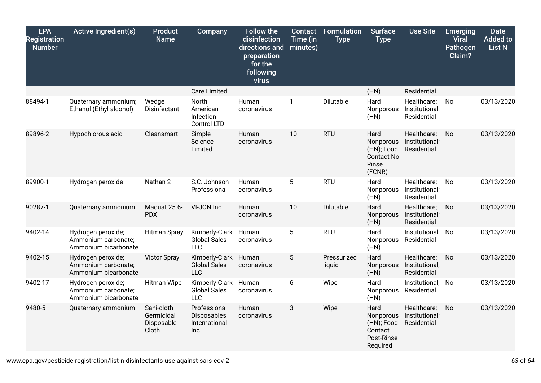| <b>EPA</b><br><b>Registration</b><br><b>Number</b> | <b>Active Ingredient(s)</b>                                       | <b>Product</b><br><b>Name</b>                   | Company                                             | <b>Follow the</b><br>disinfection<br>directions and<br>preparation<br>for the<br>following<br>virus | Contact<br>Time (in<br>minutes) | <b>Formulation</b><br><b>Type</b> | <b>Surface</b><br><b>Type</b>                                           | <b>Use Site</b>                              | <b>Emerging</b><br><b>Viral</b><br>Pathogen<br>Claim? | <b>Date</b><br><b>Added to</b><br><b>List N</b> |
|----------------------------------------------------|-------------------------------------------------------------------|-------------------------------------------------|-----------------------------------------------------|-----------------------------------------------------------------------------------------------------|---------------------------------|-----------------------------------|-------------------------------------------------------------------------|----------------------------------------------|-------------------------------------------------------|-------------------------------------------------|
|                                                    |                                                                   |                                                 | <b>Care Limited</b>                                 |                                                                                                     |                                 |                                   | (HN)                                                                    | Residential                                  |                                                       |                                                 |
| 88494-1                                            | Quaternary ammonium;<br>Ethanol (Ethyl alcohol)                   | Wedge<br>Disinfectant                           | North<br>American<br>Infection<br>Control LTD       | Human<br>coronavirus                                                                                | 1                               | Dilutable                         | Hard<br>Nonporous<br>(HN)                                               | Healthcare;<br>Institutional;<br>Residential | No                                                    | 03/13/2020                                      |
| 89896-2                                            | Hypochlorous acid                                                 | Cleansmart                                      | Simple<br>Science<br>Limited                        | Human<br>coronavirus                                                                                | 10                              | <b>RTU</b>                        | Hard<br>Nonporous<br>(HN); Food<br><b>Contact No</b><br>Rinse<br>(FCNR) | Healthcare;<br>Institutional;<br>Residential | No                                                    | 03/13/2020                                      |
| 89900-1                                            | Hydrogen peroxide                                                 | Nathan 2                                        | S.C. Johnson<br>Professional                        | Human<br>coronavirus                                                                                | 5                               | <b>RTU</b>                        | Hard<br>Nonporous<br>(HN)                                               | Healthcare;<br>Institutional;<br>Residential | No                                                    | 03/13/2020                                      |
| 90287-1                                            | Quaternary ammonium                                               | Maquat 25.6-<br><b>PDX</b>                      | VI-JON Inc                                          | Human<br>coronavirus                                                                                | 10                              | Dilutable                         | Hard<br>Nonporous<br>(HN)                                               | Healthcare;<br>Institutional;<br>Residential | No.                                                   | 03/13/2020                                      |
| 9402-14                                            | Hydrogen peroxide;<br>Ammonium carbonate;<br>Ammonium bicarbonate | <b>Hitman Spray</b>                             | Kimberly-Clark<br><b>Global Sales</b><br><b>LLC</b> | Human<br>coronavirus                                                                                | 5                               | <b>RTU</b>                        | Hard<br>Nonporous<br>(HN)                                               | Institutional; No<br>Residential             |                                                       | 03/13/2020                                      |
| 9402-15                                            | Hydrogen peroxide;<br>Ammonium carbonate;<br>Ammonium bicarbonate | <b>Victor Spray</b>                             | Kimberly-Clark<br><b>Global Sales</b><br><b>LLC</b> | Human<br>coronavirus                                                                                | 5                               | Pressurized<br>liquid             | Hard<br>Nonporous<br>(HN)                                               | Healthcare;<br>Institutional;<br>Residential | No                                                    | 03/13/2020                                      |
| 9402-17                                            | Hydrogen peroxide;<br>Ammonium carbonate;<br>Ammonium bicarbonate | <b>Hitman Wipe</b>                              | Kimberly-Clark<br><b>Global Sales</b><br><b>LLC</b> | Human<br>coronavirus                                                                                | 6                               | Wipe                              | Hard<br>Nonporous<br>(HN)                                               | Institutional; No<br>Residential             |                                                       | 03/13/2020                                      |
| 9480-5                                             | Quaternary ammonium                                               | Sani-cloth<br>Germicidal<br>Disposable<br>Cloth | Professional<br>Disposables<br>International<br>Inc | Human<br>coronavirus                                                                                | 3                               | Wipe                              | Hard<br>Nonporous<br>(HN); Food<br>Contact<br>Post-Rinse<br>Required    | Healthcare;<br>Institutional;<br>Residential | No                                                    | 03/13/2020                                      |